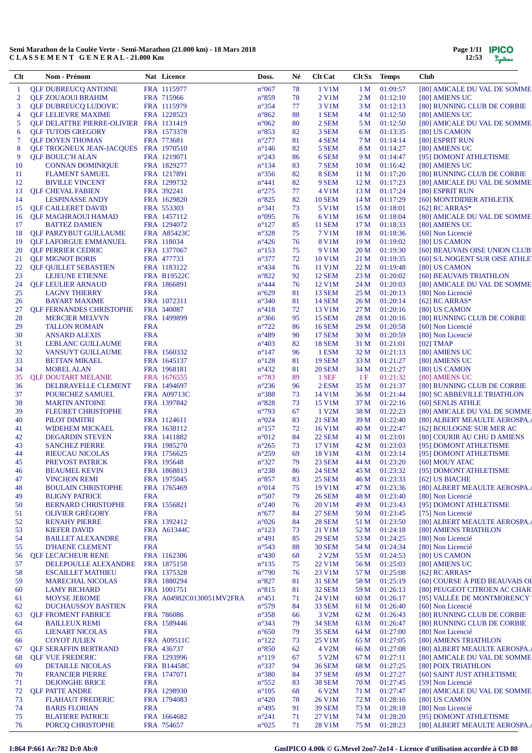| Page 1/11 | <b>IPICO</b> |
|-----------|--------------|
| 12:53     | Lystems      |

| Clt      | Nom - Prénom                                                            |                          | Nat Licence                       | Doss.                            | Né       | <b>Clt Cat</b>                 | Clt Sx          | <b>Temps</b>              | <b>Club</b>                                                  |
|----------|-------------------------------------------------------------------------|--------------------------|-----------------------------------|----------------------------------|----------|--------------------------------|-----------------|---------------------------|--------------------------------------------------------------|
| -1       | <b>QLF DUBREUCQ ANTOINE</b>                                             |                          | FRA 1115977                       | $n^{\circ}067$                   | 78       | 1 V1M                          | 1 <sub>M</sub>  | 01:09:57                  | [80] AMICALE DU VAL DE SOMME                                 |
| 2        | <b>QLF ZOUAOUI BRAHIM</b>                                               |                          | FRA 715966                        | $n^{\circ}859$                   | 78       | $2$ V1M                        | 2 M             | 01:12:10                  | [80] AMIENS UC                                               |
| 3        | <b>QLF DUBREUCQ LUDOVIC</b>                                             |                          | FRA 1115979                       | $n^{\circ}354$                   | 77       | 3 V1M                          | 3 M             | 01:12:13                  | [80] RUNNING CLUB DE CORBIE                                  |
| 4        | <b>OLF LELIEVRE MAXIME</b>                                              |                          | FRA 1228523                       | $n^{\circ}862$                   | 88       | 1 SEM                          |                 | 4 M 01:12:50              | [80] AMIENS UC                                               |
| 5        | <b>QLF DELATTRE PIERRE-OLIVIER FRA 1131419</b>                          |                          |                                   | $n^{\circ}062$                   | 80       | 2 SEM                          | 5 M             | 01:12:50                  | [80] AMICALE DU VAL DE SOMME                                 |
| 6<br>7   | <b>QLF TUTOIS GREGORY</b>                                               |                          | FRA 1573378                       | $n^{\circ}853$                   | 82<br>81 | 3 SEM                          | 6 M             | 01:13:35                  | [80] US CAMON                                                |
| 8        | <b>QLF DOYEN THOMAS</b><br><b>QLF TROGNEUX JEAN-JACQUES FRA 1970510</b> |                          | FRA 773681                        | $n^{\circ}277$<br>$n^{\circ}146$ | 82       | 4 SEM<br>5 SEM                 | 7 M<br>8 M      | 01:14:14<br>01:14:27      | [80] ESPRIT RUN<br>[80] AMIENS UC                            |
| 9        | <b>QLF BOULC'H ALAN</b>                                                 |                          | FRA 1219071                       | $n^{\circ}243$                   | 86       | 6 SEM                          | 9 M             | 01:14:47                  | [95] DOMONT ATHLETISME                                       |
| 10       | <b>CONNAN DOMINIQUE</b>                                                 |                          | FRA 1829277                       | $n^{\circ}134$                   | 83       | 7 SEM                          | 10 M            | 01:16:42                  | [80] AMIENS UC                                               |
| 11       | <b>FLAMENT SAMUEL</b>                                                   |                          | FRA 1217891                       | $n^{\circ}356$                   | 82       | 8 SEM                          | 11 M            | 01:17:20                  | [80] RUNNING CLUB DE CORBIE                                  |
| 12       | <b>BIVILLE VINCENT</b>                                                  |                          | FRA 1299732                       | $n^{\circ}441$                   | 82       | 9 SEM                          | 12 <sub>M</sub> | 01:17:23                  | [80] AMICALE DU VAL DE SOMME                                 |
| 13       | <b>QLF CHEVAL FABIEN</b>                                                |                          | FRA 392241                        | $n^{\circ}275$                   | 77       | 4 V1M                          | 13 M            | 01:17:24                  | [80] ESPRIT RUN                                              |
| 14       | <b>LESPINASSE ANDY</b>                                                  |                          | FRA 1629820                       | $n^{\circ}825$                   | 82       | <b>10 SEM</b>                  | 14 M            | 01:17:29                  | [60] MONTDIDIER ATHLETIX                                     |
| 15       | <b>QLF CAILLERET DAVID</b>                                              |                          | FRA 553303                        | $n^{\circ}341$                   | 73       | 5 V1M                          | 15 <sub>M</sub> | 01:18:01                  | [62] RC ARRAS*                                               |
| 16       | QLF MAGHRAOUI HAMAD                                                     |                          | FRA 1457112                       | $n^{\circ}095$                   | 76       | 6 V1M                          | 16 M            | 01:18:04                  | [80] AMICALE DU VAL DE SOMME                                 |
| 17       | <b>BATTEZ DAMIEN</b>                                                    |                          | FRA 1294072                       | $n^{\circ}127$                   | 85       | <b>11 SEM</b>                  | 17 M            | 01:18:33                  | [80] AMIENS UC                                               |
| 18       | <b>QLF PARZYBUT GUILLAUME</b>                                           |                          | <b>FRA A85423C</b>                | $n^{\circ}328$                   | 75       | 7 V1M                          | 18 M            | 01:18:36                  | [60] Non Licencié                                            |
| 19       | <b>QLF LAFORGUE EMMANUEL</b>                                            |                          | FRA 118034                        | $n^{\circ}426$                   | 76       | 8 V1M                          | 19 M            | 01:19:02                  | [80] US CAMON                                                |
| 20       | <b>QLF PERRIER CEDRIC</b>                                               |                          | FRA 1377067                       | $n^{\circ}153$                   | 75       | 9 V1M                          | 20 M            | 01:19:30                  | [60] BEAUVAIS OISE UNION CLUB                                |
| 21       | <b>QLF MIGNOT BORIS</b>                                                 |                          | FRA 477733                        | $n^{\circ}377$                   | 72       | 10 V1M                         | 21 M            | 01:19:35                  | [60] S/L NOGENT SUR OISE ATHLET                              |
| 22       | <b>QLF QUILLET SEBASTIEN</b>                                            |                          | FRA 1183122                       | $n^{\circ}434$                   | 76       | 11 V1M                         | 22 M            | 01:19:48<br>01:20:02      | [80] US CAMON                                                |
| 23<br>24 | LEJEUNE ETIENNE<br><b>OLF LEULIER ARNAUD</b>                            |                          | <b>FRA B19522C</b><br>FRA 1866891 | $n^{\circ}822$<br>$n^{\circ}444$ | 92<br>76 | <b>12 SEM</b><br>12 V1M        | 23 M<br>24 M    | 01:20:03                  | [60] BEAUVAIS TRIATHLON<br>[80] AMICALE DU VAL DE SOMME      |
| 25       | <b>LAGNY THIERRY</b>                                                    | <b>FRA</b>               |                                   | $n^{\circ}629$                   | 81       | <b>13 SEM</b>                  | 25 M            | 01:20:13                  | [80] Non Licencié                                            |
| 26       | <b>BAYART MAXIME</b>                                                    |                          | FRA 1072311                       | $n^{\circ}340$                   | 81       | <b>14 SEM</b>                  | 26 M            | 01:20:14                  | [62] RC ARRAS*                                               |
| 27       | <b>QLF FERNANDES CHRISTOPHE</b>                                         |                          | FRA 340087                        | $n^{\circ}418$                   | 72       | 13 V1M                         | 27 M            | 01:20:16                  | [80] US CAMON                                                |
| 28       | <b>MERCIER MELVYN</b>                                                   |                          | FRA 1499899                       | $n^{\circ}366$                   | 95       | <b>15 SEM</b>                  | 28 M            | 01:20:16                  | [80] RUNNING CLUB DE CORBIE                                  |
| 29       | <b>TALLON ROMAIN</b>                                                    | <b>FRA</b>               |                                   | $n^{\circ}722$                   | 86       | <b>16 SEM</b>                  | 29 M            | 01:20:58                  | [60] Non Licencié                                            |
| 30       | <b>ANSARD ALEXIS</b>                                                    | <b>FRA</b>               |                                   | $n^{\circ}489$                   | 90       | <b>17 SEM</b>                  | 30 M            | 01:20:59                  | [80] Non Licencié                                            |
| 31       | <b>LEBLANC GUILLAUME</b>                                                | <b>FRA</b>               |                                   | $n^{\circ}403$                   | 82       | <b>18 SEM</b>                  |                 | 31 M 01:21:01             | $[02]$ TMAP                                                  |
| 32       | VANSUYT GUILLAUME                                                       |                          | FRA 1560332                       | $n^{\circ}147$                   | 96       | 1 ESM                          | 32 M            | 01:21:13                  | [80] AMIENS UC                                               |
| 33       | <b>BETTAN MIKAEL</b>                                                    |                          | FRA 1645137                       | $n^{\circ}128$                   | 81       | <b>19 SEM</b>                  | 33 M            | 01:21:27                  | [80] AMIENS UC                                               |
| 34       | <b>MOREL ALAN</b>                                                       |                          | FRA 1968181                       | $n^{\circ}432$                   | 81       | <b>20 SEM</b>                  | 34 M            | 01:21:27                  | [80] US CAMON                                                |
| 35       | <b>QLF DOUTART MELANIE</b>                                              |                          | FRA 1676555                       | $n^{\circ}783$                   | 89       | $1$ SEF                        | 1F              | 01:21:32                  | [80] AMIENS UC                                               |
| 36       | DELBRAYELLE CLEMENT                                                     |                          | FRA 1494697                       | $n^{\circ}236$                   | 96       | 2 ESM                          | 35 M            | 01:21:37                  | [80] RUNNING CLUB DE CORBIE                                  |
| 37       | POURCHEZ SAMUEL                                                         |                          | FRA A09713C                       | $n^{\circ}388$                   | 73       | 14 V1M                         | 36 M            | 01:21:44                  | [80] SC ABBEVILLE TRIATHLON                                  |
| 38<br>39 | <b>MARTIN ANTOINE</b>                                                   |                          | FRA 1397842                       | $n^{\circ}828$                   | 73<br>67 | 15 V1M                         | 37 M            | 01:22:16<br>01:22:23      | [60] SENLIS ATHLE                                            |
| 40       | <b>FLEURET CHRISTOPHE</b><br>PILOT DIMITRI                              | <b>FRA</b>               | FRA 1124611                       | $n^{\circ}793$<br>$n^{\circ}024$ | 83       | 1 V2M<br><b>21 SEM</b>         | 38 M<br>39 M    | 01:22:40                  | [80] AMICALE DU VAL DE SOMME<br>[80] ALBERT MEAULTE AEROSPA. |
| 41       | <b>WIDEHEM MICKAEL</b>                                                  |                          | FRA 1638112                       | $n^{\circ}157$                   | 72       | 16 V1M                         | 40 M            | 01:22:47                  | [62] BOULOGNE SUR MER AC                                     |
| 42       | <b>DEGARDIN STEVEN</b>                                                  |                          | FRA 1411882                       | $n^{\circ}012$                   | 84       | <b>22 SEM</b>                  |                 | 41 M 01:23:01             | [80] COURIR AU CHU D AMIENS                                  |
| 43       | <b>SANCHEZ PIERRE</b>                                                   |                          | FRA 1985270                       | $n^{\circ}265$                   | 73       | 17 V1M                         | 42 M            | 01:23:03                  | [95] DOMONT ATHLETISME                                       |
| 44       | <b>RIEUCAU NICOLAS</b>                                                  |                          | FRA 1756625                       | $n^{\circ}259$                   | 69       | 18 V1M                         | 43 M            | 01:23:14                  | [95] DOMONT ATHLETISME                                       |
| 45       | PREVOST PATRICK                                                         |                          | FRA 195648                        | $n^{\circ}327$                   | 79       | 23 SEM                         |                 | 44 M 01:23:20             | [60] MOUY ATAC                                               |
| 46       | <b>BEAUMEL KEVIN</b>                                                    |                          | FRA 1868813                       | $n^{\circ}238$                   | 86       | <b>24 SEM</b>                  |                 | 45 M 01:23:32             | [95] DOMONT ATHLETISME                                       |
| 47       | <b>VINCHON REMI</b>                                                     |                          | FRA 1975045                       | $n^{\circ}857$                   | 83       | <b>25 SEM</b>                  |                 | 46 M 01:23:33             | [62] US BIACHE                                               |
| 48       | <b>BOULAIN CHRISTOPHE</b>                                               |                          | FRA 1765469                       | $n^{\circ}014$                   | 75       | 19 V1M                         | 47 M            | 01:23:36                  | [80] ALBERT MEAULTE AEROSPA.                                 |
| 49       | <b>BLIGNY PATRICE</b>                                                   | <b>FRA</b>               |                                   | $n^{\circ}507$                   | 79       | <b>26 SEM</b>                  | 48 M            | 01:23:40                  | [80] Non Licencié                                            |
| 50       | <b>BERNARD CHRISTOPHE</b>                                               |                          | FRA 1556821                       | $n^{\circ}240$                   | 76       | 20 V1M                         | 49 M            | 01:23:43                  | [95] DOMONT ATHLETISME                                       |
| 51       | <b>OLIVIER GRÉGORY</b>                                                  | <b>FRA</b>               |                                   | $n^{\circ}677$                   | 84       | <b>27 SEM</b>                  | 50 M            | 01:23:45                  | [75] Non Licencié                                            |
| 52       | <b>RENAHY PIERRE</b>                                                    |                          | FRA 1392412                       | $n^{\circ}026$                   | 84       | <b>28 SEM</b>                  | 51 M            | 01:23:50                  | [80] ALBERT MEAULTE AEROSPA.                                 |
| 53       | <b>KIEFER DAVID</b>                                                     |                          | FRA A61344C                       | $n^{\circ}123$                   | 73       | 21 V1M                         | 52 M            | 01:24:18                  | [80] AMIENS TRIATHLON                                        |
| 54<br>55 | <b>BAILLET ALEXANDRE</b><br><b>D'HAENE CLEMENT</b>                      | <b>FRA</b><br><b>FRA</b> |                                   | $n^{\circ}491$<br>$n^{\circ}543$ | 85<br>88 | <b>29 SEM</b><br><b>30 SEM</b> | 54 M            | 53 M 01:24:25<br>01:24:34 | [80] Non Licencié<br>[80] Non Licencié                       |
| 56       | <b>OLF LECACHEUR RENE</b>                                               |                          | FRA 1162306                       | $n^{\circ}430$                   | 68       | 2 V2M                          |                 | 55 M 01:24:53             | [80] US CAMON                                                |
| 57       | DELEPOULLE ALEXANDRE                                                    |                          | FRA 1875158                       | $n^{\circ}135$                   | 75       | 22 V1M                         | 56 M            | 01:25:03                  | [80] AMIENS UC                                               |
| 58       | <b>ESCAILLET MATHIEU</b>                                                |                          | FRA 1375328                       | $n^{\circ}790$                   | 76       | 23 V1M                         | 57 M            | 01:25:08                  | [62] RC ARRAS*                                               |
| 59       | <b>MARECHAL NICOLAS</b>                                                 |                          | FRA 1880294                       | $n^{\circ}827$                   | 81       | 31 SEM                         | 58 M            | 01:25:19                  | [60] COURSE À PIED BEAUVAIS OI                               |
| 60       | <b>LAMY RICHARD</b>                                                     |                          | FRA 1001751                       | $n^{\circ}815$                   | 81       | <b>32 SEM</b>                  | 59 M            | 01:26:13                  | [80] PEUGEOT CITROEN AC CHARI                                |
| 61       | <b>MOYSE JEROME</b>                                                     |                          | FRA A04982C0130051MV2FRA          | $n^{\circ}451$                   | 71       | 24 V1M                         | 60 M            | 01:26:17                  | [95] VALLÉE DE MONTMORENCY                                   |
| 62       | <b>DUCHAUSSOY BASTIEN</b>                                               | <b>FRA</b>               |                                   | $n^{\circ}579$                   | 84       | 33 SEM                         | 61 M            | 01:26:40                  | [60] Non Licencié                                            |
| 63       | <b>QLF FROMENT FABRICE</b>                                              |                          | FRA 786086                        | $n^{\circ}358$                   | 66       | 3 V <sub>2</sub> M             | 62 M            | 01:26:43                  | [80] RUNNING CLUB DE CORBIE                                  |
| 64       | <b>BAILLEUX REMI</b>                                                    |                          | FRA 1589446                       | $n^{\circ}343$                   | 79       | <b>34 SEM</b>                  | 63 M            | 01:26:47                  | [80] RUNNING CLUB DE CORBIE                                  |
| 65       | <b>LIENART NICOLAS</b>                                                  | <b>FRA</b>               |                                   | $n^{\circ}650$                   | 79       | <b>35 SEM</b>                  | 64 M            | 01:27:00                  | [80] Non Licencié                                            |
| 66       | <b>COYOT JULIEN</b>                                                     |                          | <b>FRA A09511C</b>                | $n^{\circ}122$                   | 73       | 25 V1M                         | 65 M            | 01:27:05                  | [80] AMIENS TRIATHLON                                        |
| 67       | <b>QLF SERAFFIN BERTRAND</b>                                            |                          | FRA 436737                        | $n^{\circ}850$                   | 62       | 4 V <sub>2</sub> M             | 66 M            | 01:27:08                  | [80] ALBERT MEAULTE AEROSPA.                                 |
| 68       | <b>QLF VUE FREDERIC</b>                                                 |                          | FRA 1293996                       | $n^{\circ}119$                   | 67       | 5 V <sub>2</sub> M             |                 | 67 M 01:27:11             | [80] AMICALE DU VAL DE SOMME                                 |
| 69       | <b>DETAILLE NICOLAS</b>                                                 |                          | <b>FRA B14458C</b>                | $n^{\circ}337$                   | 94       | <b>36 SEM</b>                  | 68 M            | 01:27:25                  | [80] POIX TRIATHLON                                          |
| 70       | <b>FRANCIER PIERRE</b>                                                  |                          | FRA 1747071                       | $n^{\circ}380$                   | 84       | <b>37 SEM</b>                  | 69 M            | 01:27:27                  | [60] SAINT JUST ATHLETISME                                   |
| 71<br>72 | <b>DEJONGHE BRICE</b><br><b>QLF PATTE ANDRE</b>                         | <b>FRA</b>               | FRA 1298930                       | $n^{\circ}552$<br>$n^{\circ}105$ | 83<br>68 | <b>38 SEM</b><br>6 V2M         | 70 M<br>71 M    | 01:27:45<br>01:27:47      | [59] Non Licencié<br>[80] AMICALE DU VAL DE SOMME            |
| 73       | <b>FLAHAUT FREDERIC</b>                                                 |                          | FRA 1794083                       | $n^{\circ}420$                   | 78       | 26 V1M                         |                 | 72 M 01:28:16             | [80] US CAMON                                                |
| 74       | <b>BARIS FLORIAN</b>                                                    | <b>FRA</b>               |                                   | $n^{\circ}495$                   | 91       | <b>39 SEM</b>                  | 73 M            | 01:28:18                  | [80] Non Licencié                                            |
| 75       | <b>BLATIERE PATRICE</b>                                                 |                          | FRA 1664682                       | $n^{\circ}241$                   | 71       | 27 V1M                         |                 | 74 M 01:28:20             | [95] DOMONT ATHLETISME                                       |
| 76       | PORCQ CHRISTOPHE                                                        |                          | FRA 754657                        | $n^{\circ}025$                   | 71       | 28 V1M                         |                 | 75 M 01:28:23             | [80] ALBERT MEAULTE AEROSPA.                                 |

# **I:864 P:661 Ar:782 D:0 Ab:0 GmIPICO 4.00k © G.Mevel 2oo7-2o14 - Licence d'utilisation accordée à CD 80**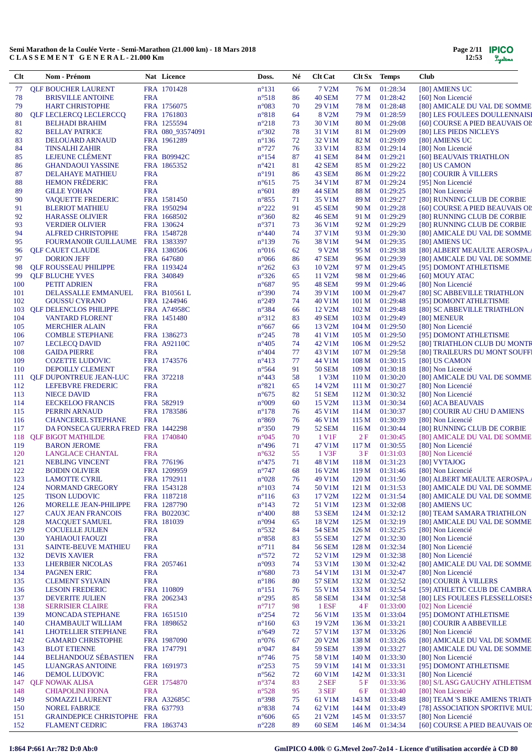| Page $2/11$ | <b>IPICO</b> |
|-------------|--------------|
| 12:53       | Lystems      |

| $Cl$       | Nom - Prénom                                        |                          | Nat Licence        | Doss.                             | Né       | <b>Clt Cat</b>          |                           | Clt Sx Temps         | <b>Club</b>                                       |
|------------|-----------------------------------------------------|--------------------------|--------------------|-----------------------------------|----------|-------------------------|---------------------------|----------------------|---------------------------------------------------|
| 77         | <b>QLF BOUCHER LAURENT</b>                          |                          | FRA 1701428        | $n^{\circ}131$                    | 66       | 7 V2M                   | 76 M                      | 01:28:34             | [80] AMIENS UC                                    |
| 78         | <b>BRISVILLE ANTOINE</b>                            | <b>FRA</b>               |                    | $n^{\circ}518$                    | 86       | <b>40 SEM</b>           | 77 M                      | 01:28:42             | [60] Non Licencié                                 |
| 79         | <b>HART CHRISTOPHE</b>                              |                          | FRA 1756075        | $n^{\circ}083$                    | 70       | 29 V1M                  | 78 M                      | 01:28:48             | [80] AMICALE DU VAL DE SOMME                      |
| 80         | <b>QLF LECLERCQ LECLERCCQ</b>                       |                          | FRA 1761803        | $n^{\circ}818$                    | 64       | 8 V2M                   | 79 M                      | 01:28:59             | [80] LES FOULEES DOULLENNAISE                     |
| 81         | <b>BELHADI BRAHIM</b>                               |                          | FRA 1255594        | $n^{\circ}218$                    | 73       | 30 V1M                  | 80 M                      | 01:29:08             | [60] COURSE A PIED BEAUVAIS OI!                   |
| 82         | <b>BELLAY PATRICE</b>                               |                          | FRA 080_93574091   | $n^{\circ}302$                    | 78       | 31 V1M                  | 81 M                      | 01:29:09             | [80] LES PIEDS NICLEYS                            |
| 83         | DELOUARD ARNAUD                                     |                          | FRA 1961289        | $n^{\circ}136$                    | 72       | 32 V1M                  | 82 M                      | 01:29:09             | [80] AMIENS UC                                    |
| 84         | <b>TINSALHI ZAHIR</b>                               | <b>FRA</b>               |                    | $n^{\circ}727$                    | 76       | 33 V1M                  | 83 M                      | 01:29:14             | [80] Non Licencié                                 |
| 85         | LEJEUNE CLÉMENT                                     |                          | <b>FRA B09942C</b> | $n^{\circ}154$                    | 87       | 41 SEM                  | 84 M                      | 01:29:21             | [60] BEAUVAIS TRIATHLON                           |
| 86<br>87   | <b>GHANDAOUI YASSINE</b><br><b>DELAHAYE MATHIEU</b> | <b>FRA</b>               | FRA 1865352        | $n^{\circ}421$<br>$n^{\circ}191$  | 81<br>86 | 42 SEM<br>43 SEM        | 85 M<br>86 M              | 01:29:22<br>01:29:22 | [80] US CAMON<br>[80] COURIR À VILLERS            |
| 88         | <b>HEMON FRÉDERIC</b>                               | <b>FRA</b>               |                    | $n^{\circ}615$                    | 75       | 34 V1M                  | 87 M                      | 01:29:24             | [95] Non Licencié                                 |
| 89         | <b>GILLE YOHAN</b>                                  | <b>FRA</b>               |                    | $n^{\circ}601$                    | 89       | 44 SEM                  | 88 M                      | 01:29:25             | [80] Non Licencié                                 |
| 90         | <b>VAOUETTE FREDERIC</b>                            |                          | FRA 1581450        | $n^{\circ}855$                    | 71       | 35 V1M                  | 89 M                      | 01:29:27             | [80] RUNNING CLUB DE CORBIE                       |
| 91         | <b>BLERIOT MATHIEU</b>                              |                          | FRA 1950294        | $n^{\circ}222$                    | 91       | <b>45 SEM</b>           | 90 M                      | 01:29:28             | [60] COURSE A PIED BEAUVAIS OI!                   |
| 92         | <b>HARASSE OLIVIER</b>                              |                          | FRA 1668502        | $n^{\circ}360$                    | 82       | <b>46 SEM</b>           | 91 M                      | 01:29:29             | [80] RUNNING CLUB DE CORBIE                       |
| 93         | <b>VERDIER OLIVIER</b>                              |                          | FRA 130624         | $n^{\circ}371$                    | 73       | 36 V1M                  | 92 M                      | 01:29:29             | [80] RUNNING CLUB DE CORBIE                       |
| 94         | <b>ALFRED CHRISTOPHE</b>                            |                          | FRA 1548728        | $n^{\circ}440$                    | 74       | 37 V1M                  | 93 M                      | 01:29:30             | [80] AMICALE DU VAL DE SOMME                      |
| 95         | <b>FOURMANOIR GUILLAUME</b>                         |                          | FRA 1383397        | $n^{\circ}139$                    | 76       | 38 V1M                  | 94 M                      | 01:29:35             | [80] AMIENS UC                                    |
| 96         | <b>QLF CAUET CLAUDE</b>                             |                          | FRA 1380506        | $n^{\circ}016$                    | 62       | 9 V2M                   | 95 M                      | 01:29:38             | [80] ALBERT MEAULTE AEROSPA.                      |
| 97         | <b>DORION JEFF</b>                                  |                          | FRA 647680         | $n^{\circ}066$                    | 86       | 47 SEM                  | 96 M                      | 01:29:39             | [80] AMICALE DU VAL DE SOMME                      |
| 98         | <b>QLF ROUSSEAU PHILIPPE</b>                        |                          | FRA 1193424        | $n^{\circ}262$                    | 63       | 10 V <sub>2</sub> M     | 97 M                      | 01:29:45             | [95] DOMONT ATHLETISME                            |
| 99         | <b>OLF BLUCHE YVES</b>                              |                          | FRA 340849         | $n^{\circ}326$                    | 65       | 11 V <sub>2</sub> M     | 98 M                      | 01:29:46             | [60] MOUY ATAC                                    |
| 100        | PETIT ADRIEN                                        | <b>FRA</b>               |                    | $n^{\circ}687$                    | 95       | <b>48 SEM</b>           | 99 M                      | 01:29:46             | [80] Non Licencié                                 |
| 101        | <b>DELASSALLE EMMANUEL</b>                          |                          | FRA B10561 L       | $n^{\circ}390$                    | 74       | 39 V1M                  | 100 <sub>M</sub>          | 01:29:47             | [80] SC ABBEVILLE TRIATHLON                       |
| 102        | <b>GOUSSU CYRANO</b>                                |                          | FRA 1244946        | $n^{\circ}249$                    | 74       | 40 V1M                  | 101 <sub>M</sub>          | 01:29:48             | [95] DOMONT ATHLETISME                            |
| 103        | <b>QLF DELENCLOS PHILIPPE</b>                       |                          | <b>FRA A74958C</b> | $n^{\circ}384$                    | 66       | 12 V <sub>2</sub> M     | 102 <sub>M</sub>          | 01:29:48             | [80] SC ABBEVILLE TRIATHLON                       |
| 104        | <b>VANTARD FLORENT</b>                              |                          | FRA 1451480        | $n^{\circ}312$                    | 83       | <b>49 SEM</b>           | 103 <sub>M</sub>          | 01:29:49             | [80] MENEUR                                       |
| 105        | <b>MERCHIER ALAIN</b>                               | <b>FRA</b>               |                    | $n^{\circ}667$                    | 66       | 13 V2M                  | 104 M                     | 01:29:50             | [80] Non Licencié                                 |
| 106        | <b>COMBLE STEPHANE</b>                              |                          | FRA 1386273        | $n^{\circ}245$                    | 78       | 41 V1M                  | 105 <sub>M</sub>          | 01:29:50             | [95] DOMONT ATHLETISME                            |
| 107        | <b>LECLECQ DAVID</b>                                |                          | <b>FRA A92110C</b> | $n^{\circ}405$                    | 74       | 42 V1M                  | 106 <sub>M</sub>          | 01:29:52             | [80] TRIATHLON CLUB DU MONTR                      |
| 108        | <b>GAIDA PIERRE</b>                                 | <b>FRA</b>               |                    | $n^{\circ}404$                    | 77       | 43 V1M                  | 107 <sub>M</sub>          | 01:29:58             | [80] TRAILEURS DU MONT SOUFFI                     |
| 109<br>110 | <b>COZETTE LUDOVIC</b><br><b>DEPOILLY CLEMENT</b>   | <b>FRA</b>               | FRA 1743576        | $n^{\circ}413$<br>$n^{\circ}$ 564 | 77<br>91 | 44 V1M<br><b>50 SEM</b> | 108 M<br>109 <sub>M</sub> | 01:30:15<br>01:30:18 | [80] US CAMON<br>[80] Non Licencié                |
| 111        | <b>QLF DUPONTREUE JEAN-LUC</b>                      |                          | FRA 372218         | $n^{\circ}443$                    | 58       | 1 V3M                   | 110 M                     | 01:30:20             | [80] AMICALE DU VAL DE SOMME                      |
| 112        | <b>LEFEBVRE FREDERIC</b>                            | <b>FRA</b>               |                    | $n^{\circ}821$                    | 65       | 14 V2M                  | 111 M                     | 01:30:27             | [80] Non Licencié                                 |
| 113        | <b>NIECE DAVID</b>                                  | <b>FRA</b>               |                    | $n^{\circ}675$                    | 82       | <b>51 SEM</b>           | 112M                      | 01:30:32             | [80] Non Licencié                                 |
| 114        | <b>EECKELOO FRANCIS</b>                             |                          | FRA 582919         | $n^{\circ}009$                    | 60       | 15 V2M                  | 113 M                     | 01:30:34             | [60] ACA BEAUVAIS                                 |
| 115        | PERRIN ARNAUD                                       |                          | FRA 1783586        | $n^{\circ}178$                    | 76       | 45 V1M                  | 114M                      | 01:30:37             | [80] COURIR AU CHU D AMIENS                       |
| 116        | <b>CHANCEREL STEPHANE</b>                           | <b>FRA</b>               |                    | $n^{\circ}869$                    | 76       | 46 V1M                  | 115 M                     | 01:30:39             | [80] Non Licencié                                 |
| 117        | DA FONSECA GUERRA FRED FRA 1442298                  |                          |                    | $n^{\circ}350$                    | 79       | <b>52 SEM</b>           | 116 M                     | 01:30:44             | [80] RUNNING CLUB DE CORBIE                       |
| 118        | <b>QLF BIGOT MATHILDE</b>                           |                          | FRA 1740840        | $n^{\circ}045$                    | 70       | 1 V <sub>1</sub> F      | 2F                        | 01:30:45             | [80] AMICALE DU VAL DE SOMME                      |
| 119        | <b>BARON JEROME</b>                                 | <b>FRA</b>               |                    | $n^{\circ}496$                    | 71       | 47 V1M                  | 117 <sub>M</sub>          | 01:30:55             | [80] Non Licencié                                 |
| 120        | <b>LANGLACE CHANTAL</b>                             | <b>FRA</b>               |                    | $n^{\circ}632$                    | 55       | 1 V3F                   | 3F                        | 01:31:03             | [80] Non Licencié                                 |
| 121        | <b>NEBLING VINCENT</b>                              |                          | FRA 776196         | $n^{\circ}475$                    | 71       | 48 V1M                  |                           | 118 M 01:31:23       | [80] VYTAJOG                                      |
| 122        | <b>BOIDIN OLIVIER</b>                               |                          | FRA 1209959        | $n^{\circ}$ 747                   | 68       | 16 V2M                  |                           | 119 M 01:31:46       | [80] Non Licencié                                 |
| 123        | <b>LAMOTTE CYRIL</b>                                |                          | FRA 1792911        | $n^{\circ}028$                    | 76       | 49 V1M                  |                           | 120 M 01:31:50       | [80] ALBERT MEAULTE AEROSPA.                      |
| 124        | <b>NORMAND GREGORY</b>                              |                          | FRA 1543128        | $n^{\circ}103$                    | 74       | 50 V1M                  | 121 M                     | 01:31:53             | [80] AMICALE DU VAL DE SOMME                      |
| 125        | <b>TISON LUDOVIC</b>                                |                          | FRA 1187218        | $n^{\circ}116$                    | 63       | 17 V2M                  | 122M                      | 01:31:54             | [80] AMICALE DU VAL DE SOMME                      |
| 126        | MORELLE JEAN-PHILIPPE                               |                          | FRA 1287790        | $n^{\circ}143$                    | 72       | 51 V1M                  | 123 <sub>M</sub>          | 01:32:08             | [80] AMIENS UC                                    |
| 127        | <b>CAUX JEAN FRANCOIS</b>                           |                          | <b>FRA B02203C</b> | $n^{\circ}400$                    | 88       | <b>53 SEM</b>           | 124 M                     | 01:32:12             | [80] TEAM SAMARA TRIATHLON                        |
| 128        | <b>MACQUET SAMUEL</b>                               |                          | FRA 181039         | $n^{\circ}094$                    | 65       | 18 V2M                  | 125 <sub>M</sub>          | 01:32:19             | [80] AMICALE DU VAL DE SOMME                      |
| 129        | <b>COCUELLE JULIEN</b>                              | <b>FRA</b>               |                    | $n^{\circ}532$                    | 84       | <b>54 SEM</b>           | 126 <sub>M</sub>          | 01:32:25             | [80] Non Licencié                                 |
| 130        | YAHIAOUI FAOUZI                                     | <b>FRA</b>               |                    | $n^{\circ}858$                    | 83       | <b>55 SEM</b>           | 127 M                     | 01:32:30             | [80] Non Licencié                                 |
| 131        | <b>SAINTE-BEUVE MATHIEU</b>                         | <b>FRA</b>               |                    | $n^{\circ}711$                    | 84       | <b>56 SEM</b>           | 128 <sub>M</sub>          | 01:32:34             | [80] Non Licencié                                 |
| 132        | <b>DEVIS XAVIER</b>                                 | <b>FRA</b>               |                    | $n^{\circ}572$                    | 72       | 52 V1M                  | 129 <sub>M</sub>          | 01:32:38             | [80] Non Licencié                                 |
| 133<br>134 | <b>LHERBIER NICOLAS</b>                             |                          | FRA 2057461        | $n^{\circ}093$                    | 74<br>73 | 53 V1M                  | 130 M<br>131 M            | 01:32:42             | [80] AMICALE DU VAL DE SOMME<br>[80] Non Licencié |
| 135        | <b>PAGNEN ERIC</b><br><b>CLEMENT SYLVAIN</b>        | <b>FRA</b><br><b>FRA</b> |                    | $n^{\circ}680$<br>$n^{\circ}186$  | 80       | 54 V1M<br><b>57 SEM</b> | 132 M                     | 01:32:47<br>01:32:52 | [80] COURIR À VILLERS                             |
| 136        | <b>LESOIN FREDERIC</b>                              |                          | FRA 110809         | $n^{\circ}151$                    | 76       | 55 V1M                  | 133 M                     | 01:32:54             | [59] ATHLETIC CLUB DE CAMBRA                      |
| 137        | <b>DEVERITE JULIEN</b>                              |                          | FRA 2062343        | $n^{\circ}295$                    | 85       | <b>58 SEM</b>           | 134 M                     | 01:32:58             | [80] LES FOULEES FLESSELLOISES                    |
| 138        | <b>SERRISIER CLAIRE</b>                             | <b>FRA</b>               |                    | $n^{\circ}717$                    | 98       | 1 ESF                   | 4 F                       | 01:33:00             | [02] Non Licencié                                 |
| 139        | <b>MONCADA STEPHANE</b>                             |                          | FRA 1651510        | $n^{\circ}254$                    | 72       | 56 V1M                  | 135 M                     | 01:33:04             | [95] DOMONT ATHLETISME                            |
| 140        | <b>CHAMBAULT WILLIAM</b>                            |                          | FRA 1898652        | $n^{\circ}160$                    | 63       | 19 V2M                  | 136 M                     | 01:33:21             | [80] COURIR A ABBEVILLE                           |
| 141        | <b>LHOTELLIER STEPHANE</b>                          | <b>FRA</b>               |                    | $n^{\circ}649$                    | 72       | 57 V1M                  | 137 <sub>M</sub>          | 01:33:26             | [80] Non Licencié                                 |
| 142        | <b>GAMARD CHRISTOPHE</b>                            |                          | FRA 1987090        | $n^{\circ}076$                    | 67       | 20 V <sub>2</sub> M     | 138 M                     | 01:33:26             | [80] AMICALE DU VAL DE SOMME                      |
| 143        | <b>BLOT ETIENNE</b>                                 |                          | FRA 1747791        | $n^{\circ}047$                    | 84       | 59 SEM                  | 139 <sub>M</sub>          | 01:33:27             | [80] AMICALE DU VAL DE SOMME                      |
| 144        | <b>BELHANDOUZ SÉBASTIEN</b>                         | <b>FRA</b>               |                    | $n^{\circ}$ 746                   | 75       | 58 V1M                  | 140 M                     | 01:33:30             | [80] Non Licencié                                 |
| 145        | <b>LUANGRAS ANTOINE</b>                             |                          | FRA 1691973        | $n^{\circ}253$                    | 75       | 59 V1M                  | 141 M                     | 01:33:31             | [95] DOMONT ATHLETISME                            |
| 146        | DEMOL LUDOVIC                                       | <b>FRA</b>               |                    | $n^{\circ}562$                    | 72       | 60 V1M                  | 142 M                     | 01:33:31             | [80] Non Licencié                                 |
| 147        | <b>QLF NOWAK ALISA</b>                              |                          | GER 1754870        | $n^{\circ}374$                    | 83       | $2$ SEF                 | 5 F                       | 01:33:36             | [80] S/L ASG GAUCHY ATHLETISM                     |
| 148        | <b>CHIAPOLINI FIONA</b>                             | <b>FRA</b>               |                    | $n^{\circ}528$                    | 95       | 3 SEF                   | 6 F                       | 01:33:40             | [80] Non Licencié                                 |
| 149        | <b>SOMAZZI LAURENT</b>                              |                          | <b>FRA A32685C</b> | $n^{\circ}398$                    | 75       | 61 V1M                  | 143 M                     | 01:33:48             | [80] TEAM 'S BIKE AMIENS TRIATH                   |
| 150        | <b>NOREL FABRICE</b>                                |                          | FRA 637793         | $n^{\circ}838$                    | 74       | 62 V1M                  | 144 M                     | 01:33:49             | [78] ASSOCIATION SPORTIVE MUL                     |
| 151        | <b>GRAINDEPICE CHRISTOPHE FRA</b>                   |                          |                    | $n^{\circ}606$                    | 65       | 21 V2M                  | 145 M                     | 01:33:57             | [80] Non Licencié                                 |
| 152        | <b>FLAMENT CEDRIC</b>                               |                          | FRA 1863743        | $n^{\circ}228$                    | 89       | <b>60 SEM</b>           | 146 M                     | 01:34:34             | [60] COURSE A PIED BEAUVAIS OI!                   |

# **I:864 P:661 Ar:782 D:0 Ab:0 GmIPICO 4.00k © G.Mevel 2oo7-2o14 - Licence d'utilisation accordée à CD 80**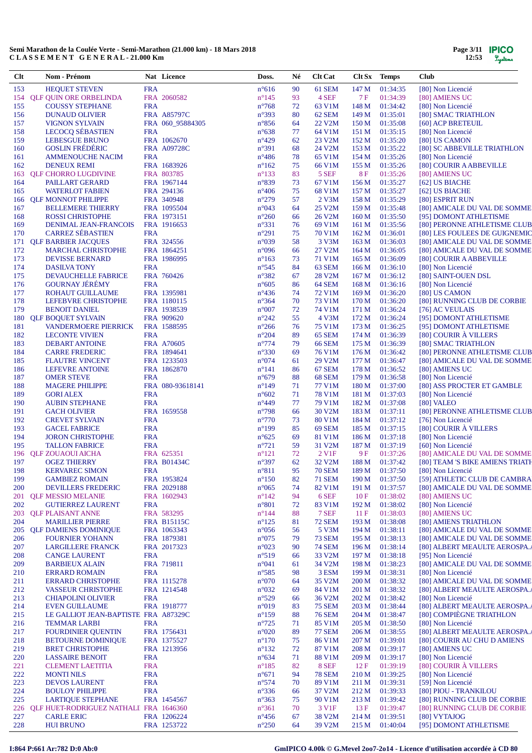| Clt        | Nom - Prénom                                       |                          | Nat Licence                | Doss.                            | Né       | <b>Clt Cat</b>                 | Clt Sx Temps     |                      | <b>Club</b>                                                  |
|------------|----------------------------------------------------|--------------------------|----------------------------|----------------------------------|----------|--------------------------------|------------------|----------------------|--------------------------------------------------------------|
| 153        | <b>HEQUET STEVEN</b>                               | <b>FRA</b>               |                            | $n^{\circ}616$                   | 90       | 61 SEM                         | 147 M            | 01:34:35             | [80] Non Licencié                                            |
| 154        | <b>QLF QUIN ORE ORBELINDA</b>                      |                          | FRA 2060582                | $n^{\circ}145$                   | 93       | 4 SEF                          | 7 F              | 01:34:39             | [80] AMIENS UC                                               |
| 155        | <b>COUSSY STEPHANE</b>                             | <b>FRA</b>               |                            | $n^{\circ}768$                   | 72       | 63 V1M                         | 148 M            | 01:34:42             | [80] Non Licencié                                            |
| 156        | <b>DUNAUD OLIVIER</b>                              |                          | <b>FRA A85797C</b>         | $n^{\circ}393$                   | 80       | 62 SEM                         | 149 M            | 01:35:01             | [80] SMAC TRIATHLON                                          |
| 157        | <b>VIGNON SYLVAIN</b>                              |                          | FRA 060 95884305           | $n^{\circ}856$                   | 64       | 22 V2M                         | 150 M            | 01:35:08             | [60] ACP BRETEUIL                                            |
| 158<br>159 | <b>LECOCQ SÉBASTIEN</b><br>LEBESGUE BRUNO          | <b>FRA</b>               | FRA 1062670                | $n^{\circ}638$<br>$n^{\circ}429$ | 77<br>62 | 64 V1M<br>23 V2M               | 151 M<br>152 M   | 01:35:15<br>01:35:20 | [80] Non Licencié<br>[80] US CAMON                           |
| 160        | <b>GOSLIN FRÉDÉRIC</b>                             |                          | <b>FRA A09728C</b>         | $n^{\circ}391$                   | 68       | 24 V2M                         | 153 M            | 01:35:22             | [80] SC ABBEVILLE TRIATHLON                                  |
| 161        | <b>AMMENOUCHE NACIM</b>                            | <b>FRA</b>               |                            | $n^{\circ}486$                   | 78       | 65 V1M                         | 154 M            | 01:35:26             | [80] Non Licencié                                            |
| 162        | <b>DENEUX REMI</b>                                 |                          | FRA 1683926                | $n^{\circ}162$                   | 75       | 66 V1M                         | 155 M            | 01:35:26             | [80] COURIR A ABBEVILLE                                      |
| 163        | <b>QLF CHORRO LUGDIVINE</b>                        |                          | FRA 803785                 | $n^{\circ}133$                   | 83       | 5 SEF                          | <b>8F</b>        | 01:35:26             | [80] AMIENS UC                                               |
| 164        | PAILLART GERARD                                    |                          | FRA 1967144                | n°839                            | 73       | 67 V1M                         | 156 M            | 01:35:27             | [62] US BIACHE                                               |
| 165        | <b>WATERLOT FABIEN</b>                             |                          | FRA 294136                 | $n^{\circ}406$                   | 75       | 68 V1M                         | 157 M            | 01:35:27             | [62] US BIACHE                                               |
| 166        | <b>QLF MONNOT PHILIPPE</b>                         |                          | FRA 340948                 | $n^{\circ}279$                   | 57       | $2$ V $3M$                     | 158 M            | 01:35:29             | [80] ESPRIT RUN                                              |
| 167        | <b>BELLEMERE THIERRY</b>                           |                          | FRA 1095504                | n°043                            | 64       | 25 V2M                         | 159 M            | 01:35:48             | [80] AMICALE DU VAL DE SOMME                                 |
| 168        | <b>ROSSI CHRISTOPHE</b>                            |                          | FRA 1973151                | $n^{\circ}260$                   | 66       | 26 V2M                         | 160 <sub>M</sub> | 01:35:50             | [95] DOMONT ATHLETISME                                       |
| 169        | DENIMAL JEAN-FRANCOIS                              |                          | FRA 1916653                | $n^{\circ}331$                   | 76       | 69 V1M                         | 161 M            | 01:35:56             | [80] PERONNE ATHLETISME CLUB                                 |
| 170        | <b>CARREZ SÉBASTIEN</b>                            | <b>FRA</b>               |                            | $n^{\circ}291$                   | 75       | 70 V1M                         | 162 M            | 01:36:01             | [80] LES FOULEES DE GUIGNEMIC                                |
| 171        | <b>QLF BARBIER JACQUES</b>                         |                          | FRA 324556                 | $n^{\circ}039$                   | 58       | 3 V3M                          | 163 M            | 01:36:03             | [80] AMICALE DU VAL DE SOMME                                 |
| 172        | <b>MARCHAL CHRISTOPHE</b>                          |                          | FRA 1864251                | $n^{\circ}096$                   | 66       | 27 V2M                         | 164 M            | 01:36:05             | [80] AMICALE DU VAL DE SOMME                                 |
| 173<br>174 | <b>DEVISSE BERNARD</b><br><b>DASILVA TONY</b>      | <b>FRA</b>               | FRA 1986995                | $n^{\circ}163$<br>$n^{\circ}545$ | 73<br>84 | 71 V1M<br>63 SEM               | 165 M<br>166 M   | 01:36:09<br>01:36:10 | [80] COURIR A ABBEVILLE<br>[80] Non Licencié                 |
| 175        | DEVAUCHELLE FABRICE                                |                          | FRA 760426                 | $n^{\circ}382$                   | 67       | 28 V2M                         | 167 M            | 01:36:12             | [80] SAINT-OUEN DSL                                          |
| 176        | <b>GOURNAY JÉRÉMY</b>                              | <b>FRA</b>               |                            | $n^{\circ}605$                   | 86       | 64 SEM                         | 168 M            | 01:36:16             | [80] Non Licencié                                            |
| 177        | ROHAUT GUILLAUME                                   |                          | FRA 1395981                | $n^{\circ}436$                   | 74       | 72 V1M                         | 169 M            | 01:36:20             | [80] US CAMON                                                |
| 178        | LEFEBVRE CHRISTOPHE                                |                          | FRA 1180115                | $n^{\circ}364$                   | 70       | 73 V1M                         | 170 M            | 01:36:20             | [80] RUNNING CLUB DE CORBIE                                  |
| 179        | <b>BENOIT DANIEL</b>                               |                          | FRA 1938539                | $n^{\circ}007$                   | 72       | 74 V1M                         | 171 M            | 01:36:24             | [76] AC VEULAIS                                              |
| 180        | <b>QLF BOQUET SYLVAIN</b>                          |                          | FRA 909620                 | $n^{\circ}242$                   | 55       | 4 V3M                          | 172 M            | 01:36:24             | [95] DOMONT ATHLETISME                                       |
| 181        | <b>VANDERMOERE PIERRICK</b>                        |                          | FRA 1588595                | $n^{\circ}266$                   | 76       | 75 V1M                         | 173 M            | 01:36:25             | [95] DOMONT ATHLETISME                                       |
| 182        | <b>LECONTE VIVIEN</b>                              | <b>FRA</b>               |                            | $n^{\circ}204$                   | 89       | 65 SEM                         | 174 M            | 01:36:39             | [80] COURIR À VILLERS                                        |
| 183        | <b>DEBART ANTOINE</b>                              |                          | FRA A70605                 | $n^{\circ}774$                   | 79       | <b>66 SEM</b>                  | 175 M            | 01:36:39             | [80] SMAC TRIATHLON                                          |
| 184        | <b>CARRE FREDERIC</b>                              |                          | FRA 1894641                | $n^{\circ}330$                   | 69       | 76 V1M                         | 176 M            | 01:36:42             | [80] PERONNE ATHLETISME CLUB                                 |
| 185        | <b>FLAUTRE VINCENT</b>                             |                          | FRA 1233503                | $n^{\circ}074$                   | 61       | 29 V2M                         | 177 M            | 01:36:47             | [80] AMICALE DU VAL DE SOMME                                 |
| 186        | LEFEVRE ANTOINE                                    |                          | FRA 1862870                | $n^{\circ}141$                   | 86       | 67 SEM                         | 178 M            | 01:36:52             | [80] AMIENS UC                                               |
| 187        | <b>OMER STEVE</b>                                  | <b>FRA</b>               |                            | $n^{\circ}679$                   | 88       | <b>68 SEM</b>                  | 179 M            | 01:36:58             | [80] Non Licencié                                            |
| 188        | <b>MAGERE PHILIPPE</b>                             |                          | FRA 080-93618141           | $n^{\circ}149$                   | 71       | 77 V1M                         | 180 M            | 01:37:00             | [80] ASS PROCTER ET GAMBLE                                   |
| 189<br>190 | <b>GORI ALEX</b>                                   | <b>FRA</b><br><b>FRA</b> |                            | $n^{\circ}602$<br>$n^{\circ}449$ | 71<br>77 | 78 V1M<br>79 V1M               | 181 M<br>182 M   | 01:37:03<br>01:37:08 | [80] Non Licencié<br>[80] VALEO                              |
| 191        | <b>AUBIN STEPHANE</b><br><b>GACH OLIVIER</b>       |                          | FRA 1659558                | $n^{\circ}798$                   | 66       | 30 V2M                         | 183 M            | 01:37:11             | [80] PERONNE ATHLETISME CLUB                                 |
| 192        | <b>CREVET SYLVAIN</b>                              | <b>FRA</b>               |                            | $n^{\circ}770$                   | 73       | 80 V1M                         | 184 M            | 01:37:12             | [76] Non Licencié                                            |
| 193        | <b>GACEL FABRICE</b>                               | <b>FRA</b>               |                            | $n^{\circ}199$                   | 85       | <b>69 SEM</b>                  | 185 M            | 01:37:15             | [80] COURIR À VILLERS                                        |
| 194        | <b>JORON CHRISTOPHE</b>                            | <b>FRA</b>               |                            | $n^{\circ}625$                   | 69       | 81 V1M                         | 186 M            | 01:37:18             | [80] Non Licencié                                            |
| 195        | <b>TALLON FABRICE</b>                              | <b>FRA</b>               |                            | $n^{\circ}721$                   | 59       | 31 V2M                         | 187 M            | 01:37:19             | [60] Non Licencié                                            |
| 196        | <b>QLF ZOUAOUI AICHA</b>                           |                          | FRA 625351                 | $n^{\circ}121$                   | 72       | 2 V1F                          | 9 F              | 01:37:26             | [80] AMICALE DU VAL DE SOMME                                 |
| 197        | <b>OGEZ THIERRY</b>                                |                          | <b>FRA B01434C</b>         | $n^{\circ}397$                   | 62       | 32 V2M                         | 188 M            | 01:37:42             | [80] TEAM 'S BIKE AMIENS TRIATH                              |
| 198        | <b>KERVAREC SIMON</b>                              | <b>FRA</b>               |                            | $n^{\circ}811$                   | 95       | <b>70 SEM</b>                  | 189 M            | 01:37:50             | [80] Non Licencié                                            |
| 199        | <b>GAMBIEZ ROMAIN</b>                              |                          | FRA 1953824                | $n^{\circ}150$                   | 82       | <b>71 SEM</b>                  | 190 M            | 01:37:50             | [59] ATHLETIC CLUB DE CAMBRA                                 |
| <b>200</b> | <b>DEVILLERS FREDERIC</b>                          |                          | FRA 2029188                | $n^{\circ}065$                   | 74       | 82 V1M                         | 191 M            | 01:37:57             | [80] AMICALE DU VAL DE SOMME                                 |
| 201        | <b>OLF MESSIO MELANIE</b>                          |                          | FRA 1602943                | $n^{\circ}142$                   | 94       | 6 SEF                          | 10F              | 01:38:02             | [80] AMIENS UC                                               |
| 202        | <b>GUTIERREZ LAURENT</b>                           | <b>FRA</b>               |                            | $n^{\circ}801$                   | 72       | 83 V1M                         | 192 M            | 01:38:02             | [80] Non Licencié                                            |
| 203        | <b>OLF PLAISANT ANNE</b>                           |                          | FRA 583295                 | $n^{\circ}$ 144                  | 88       | 7 SEF                          | 11F              | 01:38:03             | [80] AMIENS UC                                               |
| 204        | <b>MARILLIER PIERRE</b>                            |                          | <b>FRA B15115C</b>         | $n^{\circ}125$                   | 81       | <b>72 SEM</b>                  | 193 M            | 01:38:08             | [80] AMIENS TRIATHLON                                        |
| 205        | <b>QLF DAMIENS DOMINIQUE</b>                       |                          | FRA 1063343                | $n^{\circ}056$                   | 56       | 5 V3M                          | 194 M            | 01:38:11             | [80] AMICALE DU VAL DE SOMME                                 |
| 206<br>207 | <b>FOURNIER YOHANN</b><br><b>LARGILLERE FRANCK</b> |                          | FRA 1879381<br>FRA 2017323 | $n^{\circ}075$<br>$n^{\circ}023$ | 79<br>90 | <b>73 SEM</b><br><b>74 SEM</b> | 195 M<br>196 M   | 01:38:13<br>01:38:14 | [80] AMICALE DU VAL DE SOMME<br>[80] ALBERT MEAULTE AEROSPA. |
| 208        | <b>CANGE LAURENT</b>                               | <b>FRA</b>               |                            | $n^{\circ}519$                   | 66       | 33 V2M                         | 197 M            | 01:38:18             | [95] Non Licencié                                            |
| 209        | <b>BARBIEUX ALAIN</b>                              |                          | FRA 719811                 | $n^{\circ}041$                   | 61       | 34 V2M                         | 198 M            | 01:38:23             | [80] AMICALE DU VAL DE SOMME                                 |
| 210        | <b>ERRARD ROMAIN</b>                               | <b>FRA</b>               |                            | $n^{\circ}585$                   | 98       | 3 ESM                          | 199 M            | 01:38:31             | [80] Non Licencié                                            |
| 211        | <b>ERRARD CHRISTOPHE</b>                           |                          | FRA 1115278                | $n^{\circ}070$                   | 64       | 35 V2M                         | 200 M            | 01:38:32             | [80] AMICALE DU VAL DE SOMME                                 |
| 212        | <b>VASSEUR CHRISTOPHE</b>                          |                          | FRA 1214548                | $n^{\circ}032$                   | 69       | 84 V1M                         | 201 M            | 01:38:32             | [80] ALBERT MEAULTE AEROSPA.                                 |
| 213        | <b>CHIAPOLINI OLIVIER</b>                          | <b>FRA</b>               |                            | $n^{\circ}529$                   | 66       | 36 V2M                         | 202 M            | 01:38:42             | [80] Non Licencié                                            |
| 214        | <b>EVEN GUILLAUME</b>                              |                          | FRA 1918777                | n°019                            | 83       | <b>75 SEM</b>                  | 203 M            | 01:38:44             | [80] ALBERT MEAULTE AEROSPA.                                 |
| 215        | LE GALLIOT JEAN-BAPTISTE FRA A87329C               |                          |                            | $n^{\circ}159$                   | 88       | <b>76 SEM</b>                  | 204 M            | 01:38:47             | [80] COMPIÈGNE TRIATHLON                                     |
| 216        | <b>TEMMAR LARBI</b>                                | <b>FRA</b>               |                            | $n^{\circ}725$                   | 71       | 85 V1M                         | 205 M            | 01:38:50             | [80] Non Licencié                                            |
| 217        | <b>FOURDINIER QUENTIN</b>                          |                          | FRA 1756431                | $n^{\circ}020$                   | 89       | <b>77 SEM</b>                  | 206 M            | 01:38:55             | [80] ALBERT MEAULTE AEROSPA.                                 |
| 218        | <b>BETOURNE DOMINIQUE</b>                          |                          | FRA 1375527                | $n^{\circ}170$                   | 75       | 86 V1M                         | 207 M            | 01:39:01             | [80] COURIR AU CHU D AMIENS                                  |
| 219        | <b>BRET CHRISTOPHE</b>                             |                          | FRA 1213956                | $n^{\circ}132$                   | 72       | 87 V1M                         | 208 M            | 01:39:17             | [80] AMIENS UC                                               |
| 220        | <b>LASSAIRE BENOIT</b>                             | <b>FRA</b>               |                            | $n^{\circ}634$                   | 71       | 88 V1M                         | 209 M            | 01:39:17             | [80] Non Licencié                                            |
| 221        | <b>CLEMENT LAETITIA</b>                            | <b>FRA</b>               |                            | $n^{\circ}185$                   | 82       | 8 SEF                          | 12 F             | 01:39:19             | [80] COURIR À VILLERS                                        |
| 222        | <b>MONTI NILS</b>                                  | <b>FRA</b>               |                            | $n^{\circ}671$                   | 94       | <b>78 SEM</b>                  | 210 M            | 01:39:25             | [80] Non Licencié                                            |
| 223        | <b>DEVOS LAURENT</b>                               | <b>FRA</b>               |                            | $n^{\circ}574$                   | 70       | 89 V1M                         | 211 M            | 01:39:31             | [59] Non Licencié                                            |
| 224<br>225 | <b>BOULOY PHILIPPE</b><br><b>LARTIQUE STEPHANE</b> | <b>FRA</b>               | FRA 1454567                | $n^{\circ}336$<br>$n^{\circ}363$ | 66<br>75 | 37 V2M<br>90 V1M               | 212 M<br>213 M   | 01:39:33<br>01:39:42 | [80] PIOU - TRANKILOU<br>[80] RUNNING CLUB DE CORBIE         |
| 226        | <b>QLF HUET-RODRIGUEZ NATHALI FRA 1646360</b>      |                          |                            | $n^{\circ}361$                   | 70       | 3 V1F                          | 13F              | 01:39:47             | [80] RUNNING CLUB DE CORBIE                                  |
| 227        | <b>CARLE ERIC</b>                                  |                          | FRA 1206224                | $n^{\circ}456$                   | 67       | 38 V <sub>2</sub> M            | 214 M            | 01:39:51             | [80] VYTAJOG                                                 |
| 228        | <b>HUI BRUNO</b>                                   |                          | FRA 1253722                | $n^{\circ}250$                   | 64       | 39 V2M                         | 215 M            | 01:40:04             | [95] DOMONT ATHLETISME                                       |
|            |                                                    |                          |                            |                                  |          |                                |                  |                      |                                                              |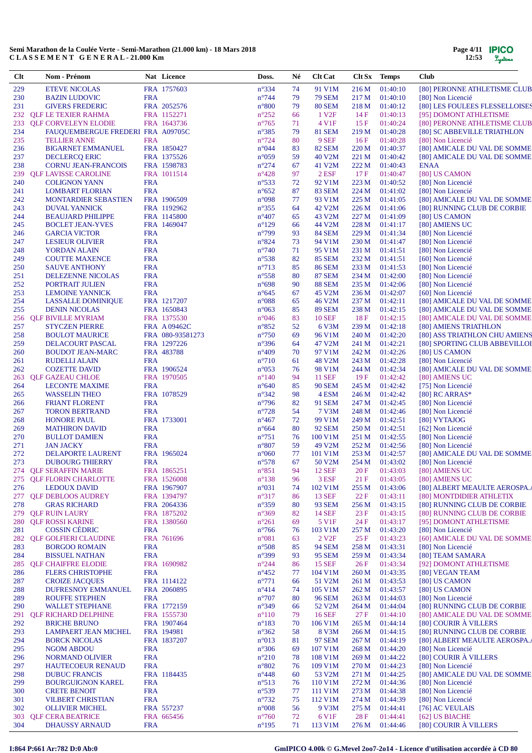| Clt        | Nom - Prénom                                       |            | Nat Licence                | Doss.                            | Né       | <b>Clt Cat</b>           | Clt Sx Temps   |                      | <b>Club</b>                                                  |
|------------|----------------------------------------------------|------------|----------------------------|----------------------------------|----------|--------------------------|----------------|----------------------|--------------------------------------------------------------|
| 229        | <b>ETEVE NICOLAS</b>                               |            | FRA 1757603                | $n^{\circ}334$                   | 74       | 91 V1M                   | 216M           | 01:40:10             | [80] PERONNE ATHLETISME CLUB                                 |
| 230        | <b>BAZIN LUDOVIC</b>                               | <b>FRA</b> |                            | $n^{\circ}$ 744                  | 79       | <b>79 SEM</b>            | 217 M          | 01:40:10             | [80] Non Licencié                                            |
| 231        | <b>GIVERS FREDERIC</b>                             |            | FRA 2052576                | $n^{\circ}800$                   | 79       | <b>80 SEM</b>            | 218 M          | 01:40:12             | [80] LES FOULEES FLESSELLOISES                               |
| 232        | <b>QLF LE TEXIER RAHMA</b>                         |            | FRA 1152271                | $n^{\circ}252$                   | 66       | 1 V <sub>2F</sub>        | 14F            | 01:40:13             | [95] DOMONT ATHLETISME                                       |
| 233        | <b>QLF CORVELEYN ELODIE</b>                        |            | FRA 1643736                | $n^{\circ}765$                   | 71       | 4 V1F                    | 15 F           | 01:40:24             | [80] PERONNE ATHLETISME CLUB                                 |
| 234        | FAUQUEMBERGUE FREDERI FRA A09705C                  |            |                            | $n^{\circ}385$                   | 79       | <b>81 SEM</b>            | 219 M          | 01:40:28             | [80] SC ABBEVILLE TRIATHLON                                  |
| 235        | <b>TELLIER ANNE</b>                                | <b>FRA</b> |                            | $n^{\circ}$ 724                  | 80       | 9 SEF                    | 16F            | 01:40:28             | [80] Non Licencié                                            |
| 236        | <b>BIGARNET EMMANUEL</b>                           |            | FRA 1850427                | n°044                            | 83       | <b>82 SEM</b>            | 220 M          | 01:40:37             | [80] AMICALE DU VAL DE SOMME                                 |
| 237<br>238 | <b>DECLERCQ ERIC</b><br><b>CORNU JEAN-FRANCOIS</b> |            | FRA 1375526<br>FRA 1598783 | $n^{\circ}059$<br>$n^{\circ}274$ | 59<br>67 | 40 V2M<br>41 V2M         | 221 M<br>222 M | 01:40:42<br>01:40:43 | [80] AMICALE DU VAL DE SOMME<br><b>ENAA</b>                  |
| 239        | <b>QLF LAVISSE CAROLINE</b>                        |            | FRA 1011514                | $n^{\circ}428$                   | 97       | $2$ ESF                  | 17 F           | 01:40:47             | [80] US CAMON                                                |
| 240        | <b>COLIGNON YANN</b>                               | <b>FRA</b> |                            | $n^{\circ}533$                   | 72       | 92 V1M                   | 223 M          | 01:40:52             | [80] Non Licencié                                            |
| 241        | <b>LOMBART FLORIAN</b>                             | <b>FRA</b> |                            | $n^{\circ}652$                   | 87       | <b>83 SEM</b>            | 224 M          | 01:41:02             | [80] Non Licencié                                            |
| 242        | <b>MONTARDIER SEBASTIEN</b>                        |            | FRA 1906509                | n°098                            | 77       | 93 V1M                   | 225 M          | 01:41:05             | [80] AMICALE DU VAL DE SOMME                                 |
| 243        | <b>DUVAL YANNICK</b>                               |            | FRA 1192962                | $n^{\circ}355$                   | 64       | 42 V2M                   | 226 M          | 01:41:06             | [80] RUNNING CLUB DE CORBIE                                  |
| 244        | <b>BEAUJARD PHILIPPE</b>                           |            | FRA 1145800                | $n^{\circ}407$                   | 65       | 43 V2M                   | 227 M          | 01:41:09             | [80] US CAMON                                                |
| 245        | <b>BOCLET JEAN-YVES</b>                            |            | FRA 1469047                | $n^{\circ}129$                   | 66       | 44 V2M                   | 228 M          | 01:41:17             | [80] AMIENS UC                                               |
| 246        | <b>GARCIA VICTOR</b>                               | <b>FRA</b> |                            | $n^{\circ}799$                   | 93       | <b>84 SEM</b>            | 229 M          | 01:41:34             | [80] Non Licencié                                            |
| 247        | <b>LESIEUR OLIVIER</b>                             | <b>FRA</b> |                            | $n^{\circ}824$                   | 73       | 94 V1M                   | 230 M          | 01:41:47             | [80] Non Licencié                                            |
| 248        | YORDAN ALAIN                                       | <b>FRA</b> |                            | $n^{\circ}740$                   | 71       | 95 V1M                   | 231 M          | 01:41:51             | [80] Non Licencié                                            |
| 249        | <b>COUTTE MAXENCE</b>                              | <b>FRA</b> |                            | $n^{\circ}538$                   | 82       | <b>85 SEM</b>            | 232 M          | 01:41:51             | [60] Non Licencié                                            |
| 250        | <b>SAUVE ANTHONY</b>                               | <b>FRA</b> |                            | $n^{\circ}713$                   | 85       | <b>86 SEM</b>            | 233 M          | 01:41:53             | [80] Non Licencié                                            |
| 251        | DELEZENNE NICOLAS                                  | <b>FRA</b> |                            | $n^{\circ}$ 558                  | 80       | <b>87 SEM</b>            | 234 M          | 01:42:00             | [80] Non Licencié                                            |
| 252        | PORTRAIT JULIEN                                    | <b>FRA</b> |                            | $n^{\circ}698$                   | 90       | <b>88 SEM</b>            | 235 M          | 01:42:06             | [80] Non Licencié                                            |
| 253<br>254 | <b>LEMOINE YANNICK</b>                             | <b>FRA</b> | FRA 1217207                | $n^{\circ}645$<br>$n^{\circ}088$ | 67       | 45 V2M<br>46 V2M         | 236 M<br>237 M | 01:42:07<br>01:42:11 | [60] Non Licencié                                            |
| 255        | <b>LASSALLE DOMINIQUE</b><br><b>DENIN NICOLAS</b>  |            | FRA 1650843                | $n^{\circ}063$                   | 65<br>85 | <b>89 SEM</b>            | 238 M          | 01:42:15             | [80] AMICALE DU VAL DE SOMME<br>[80] AMICALE DU VAL DE SOMME |
| 256        | <b>OLF BIVILLE MYRIAM</b>                          |            | FRA 1375530                | $n^{\circ}046$                   | 83       | <b>10 SEF</b>            | 18F            | 01:42:15             | [80] AMICALE DU VAL DE SOMME                                 |
| 257        | <b>STYCZEN PIERRE</b>                              |            | <b>FRA A09462C</b>         | $n^{\circ}852$                   | 52       | 6 V3M                    | 239 M          | 01:42:18             | [80] AMIENS TRIATHLON                                        |
| 258        | <b>BOULOT MAURICE</b>                              |            | FRA 080-93581273           | $n^{\circ}750$                   | 69       | 96 V1M                   | 240 M          | 01:42:20             | [80] ASS TRIATHLON CHU AMIENS                                |
| 259        | DELACOURT PASCAL                                   |            | FRA 1297226                | $n^{\circ}396$                   | 64       | 47 V2M                   | 241 M          | 01:42:21             | [80] SPORTING CLUB ABBEVILLOI                                |
| 260        | <b>BOUDOT JEAN-MARC</b>                            |            | FRA 483788                 | $n^{\circ}409$                   | 70       | 97 V1M                   | 242 M          | 01:42:26             | [80] US CAMON                                                |
| 261        | <b>RUDELLI ALAIN</b>                               | <b>FRA</b> |                            | $n^{\circ}710$                   | 61       | 48 V2M                   | 243 M          | 01:42:28             | [80] Non Licencié                                            |
| 262        | <b>COZETTE DAVID</b>                               |            | FRA 1906524                | $n^{\circ}053$                   | 76       | 98 V1M                   | 244 M          | 01:42:34             | [80] AMICALE DU VAL DE SOMME                                 |
| 263        | <b>QLF GAZEAU CHLOE</b>                            |            | FRA 1970505                | $n^{\circ}140$                   | 94       | <b>11 SEF</b>            | 19F            | 01:42:42             | [80] AMIENS UC                                               |
| 264        | <b>LECONTE MAXIME</b>                              | <b>FRA</b> |                            | $n^{\circ}640$                   | 85       | <b>90 SEM</b>            | 245 M          | 01:42:42             | [75] Non Licencié                                            |
| 265        | <b>WASSELIN THEO</b>                               |            | FRA 1078529                | $n^{\circ}342$                   | 98       | 4 ESM                    | 246 M          | 01:42:42             | $[80]$ RC ARRAS*                                             |
| 266        | <b>FRIANT FLORENT</b>                              | <b>FRA</b> |                            | $n^{\circ}$ 796                  | 82       | 91 SEM                   | 247 M          | 01:42:45             | [80] Non Licencié                                            |
| 267        | <b>TORON BERTRAND</b>                              | <b>FRA</b> |                            | $n^{\circ}728$                   | 54       | 7 V3M                    | 248 M          | 01:42:46             | [80] Non Licencié                                            |
| 268        | <b>HONORE PAUL</b>                                 |            | FRA 1733001                | $n^{\circ}467$                   | 72       | 99 V1M                   | 249 M          | 01:42:51             | [80] VYTAJOG                                                 |
| 269        | <b>MATHIRON DAVID</b>                              | <b>FRA</b> |                            | $n^{\circ}664$                   | 80       | <b>92 SEM</b>            | 250 M          | 01:42:51             | [62] Non Licencié                                            |
| 270        | <b>BULLOT DAMIEN</b>                               | <b>FRA</b> |                            | $n^{\circ}751$                   | 76<br>59 | 100 V1M                  | 251 M          | 01:42:55             | [80] Non Licencié                                            |
| 271<br>272 | <b>JAN JACKY</b><br>DELAPORTE LAURENT              | <b>FRA</b> | FRA 1965024                | $n^{\circ}807$<br>$n^{\circ}060$ | 77       | 49 V2M<br>101 V1M        | 252 M<br>253 M | 01:42:56<br>01:42:57 | [80] Non Licencié<br>[80] AMICALE DU VAL DE SOMME            |
| 273        | <b>DUBOURG THIERRY</b>                             | <b>FRA</b> |                            | $n^{\circ}578$                   | 67       | 50 V2M                   | 254 M          | 01:43:02             | [80] Non Licencié                                            |
|            | 274 OLF SERAFFIN MARIE                             |            | FRA 1865251                | $n^{\circ}851$                   | 94       | <b>12 SEF</b>            |                | 20 F 01:43:03        | [80] AMIENS UC                                               |
| 275        | <b>QLF FLORIN CHARLOTTE</b>                        |            | FRA 1526008                | $n^{\circ}138$                   | 96       | 3 ESF                    | 21 F           | 01:43:05             | [80] AMIENS UC                                               |
| 276        | <b>LEDOUX DAVID</b>                                |            | FRA 1967907                | $n^{\circ}031$                   | 74       | 102 V1M                  | 255 M          | 01:43:06             | [80] ALBERT MEAULTE AEROSPA.                                 |
| 277        | <b>QLF DEBLOOS AUDREY</b>                          |            | FRA 1394797                | $n^{\circ}317$                   | 86       | <b>13 SEF</b>            | 22 F           | 01:43:11             | [80] MONTDIDIER ATHLETIX                                     |
| 278        | <b>GRAS RICHARD</b>                                |            | FRA 2064336                | $n^{\circ}359$                   | 80       | <b>93 SEM</b>            | 256 M          | 01:43:15             | [80] RUNNING CLUB DE CORBIE                                  |
| 279        | <b>OLF RUIN LAURY</b>                              |            | FRA 1875202                | $n^{\circ}369$                   | 82       | <b>14 SEF</b>            | 23 F           | 01:43:15             | [80] RUNNING CLUB DE CORBIE                                  |
| 280        | <b>QLF ROSSI KARINE</b>                            |            | FRA 1380560                | $n^{\circ}261$                   | 69       | 5 V1F                    | 24 F           | 01:43:17             | [95] DOMONT ATHLETISME                                       |
| 281        | <b>COSSIN CÉDRIC</b>                               | <b>FRA</b> |                            | $n^{\circ}766$                   | 76       | 103 V1M                  | 257 M          | 01:43:20             | [80] Non Licencié                                            |
| 282        | <b>OLF GOLFIERI CLAUDINE</b>                       |            | FRA 761696                 | $n^{\circ}081$                   | 63       | 2 V <sub>2F</sub>        | 25 F           | 01:43:23             | [60] AMICALE DU VAL DE SOMME                                 |
| 283        | <b>BORGOO ROMAIN</b>                               | <b>FRA</b> |                            | $n^{\circ}508$                   | 85       | <b>94 SEM</b>            | 258 M          | 01:43:31             | [80] Non Licencié                                            |
| 284        | <b>BISSUEL NATHAN</b>                              | <b>FRA</b> |                            | $n^{\circ}399$                   | 93       | <b>95 SEM</b>            | 259 M          | 01:43:34             | [80] TEAM SAMARA                                             |
| 285        | <b>QLF CHAIFFRE ELODIE</b>                         |            | FRA 1690982                | $n^{\circ}244$                   | 86       | <b>15 SEF</b>            | 26F            | 01:43:34             | [92] DOMONT ATHLETISME                                       |
| 286        | <b>FLERS CHRISTOPHE</b>                            | <b>FRA</b> |                            | $n^{\circ}452$                   | 77       | 104 V1M                  | 260 M          | 01:43:35             | [80] VEGAN TEAM                                              |
| 287        | <b>CROIZE JACQUES</b>                              |            | FRA 1114122                | $n^{\circ}771$                   | 66       | 51 V2M                   | 261 M          | 01:43:53             | [80] US CAMON                                                |
| 288<br>289 | DUFRESNOY EMMANUEL<br><b>ROUFFE STEPHEN</b>        | <b>FRA</b> | FRA 2060895                | $n^{\circ}414$<br>$n^{\circ}707$ | 74<br>80 | 105 V1M<br><b>96 SEM</b> | 262 M<br>263 M | 01:43:57<br>01:44:03 | [80] US CAMON<br>[80] Non Licencié                           |
| 290        | <b>WALLET STEPHANE</b>                             |            | FRA 1772159                | $n^{\circ}349$                   | 66       | 52 V <sub>2</sub> M      | 264 M          | 01:44:04             | [80] RUNNING CLUB DE CORBIE                                  |
| 291        | <b>QLF RICHARD DELPHINE</b>                        |            | FRA 1555730                | $n^{\circ}110$                   | 79       | <b>16 SEF</b>            | 27F            | 01:44:10             | [80] AMICALE DU VAL DE SOMME                                 |
| 292        | <b>BRICHE BRUNO</b>                                |            | FRA 1907464                | $n^{\circ}183$                   | 70       | 106 V1M                  | 265 M          | 01:44:14             | [80] COURIR À VILLERS                                        |
| 293        | <b>LAMPAERT JEAN MICHEL</b>                        |            | FRA 194981                 | $n^{\circ}362$                   | 58       | 8 V3M                    | 266 M          | 01:44:15             | [80] RUNNING CLUB DE CORBIE                                  |
| 294        | <b>BORCK NICOLAS</b>                               |            | FRA 1837207                | $n^{\circ}013$                   | 81       | <b>97 SEM</b>            | 267 M          | 01:44:19             | [80] ALBERT MEAULTE AEROSPA.                                 |
| 295        | <b>NGOM ABDOU</b>                                  | <b>FRA</b> |                            | $n^{\circ}306$                   | 69       | 107 V1M                  | 268 M          | 01:44:20             | [80] Non Licencié                                            |
| 296        | NORMAND OLIVIER                                    | <b>FRA</b> |                            | $n^{\circ}210$                   | 78       | 108 V1M                  | 269 M          | 01:44:22             | [80] COURIR À VILLERS                                        |
| 297        | <b>HAUTECOEUR RENAUD</b>                           | <b>FRA</b> |                            | $n^{\circ}802$                   | 76       | 109 V1M                  | 270 M          | 01:44:23             | [80] Non Licencié                                            |
| 298        | <b>DUBUC FRANCIS</b>                               |            | FRA 1184435                | $n^{\circ}448$                   | 60       | 53 V2M                   | 271 M          | 01:44:25             | [80] AMICALE DU VAL DE SOMME                                 |
| 299        | <b>BOURGUIGNON KAREL</b>                           | <b>FRA</b> |                            | $n^{\circ}513$                   | 76       | 110 V1M                  | 272 M          | 01:44:36             | [80] Non Licencié                                            |
| 300        | <b>CRETE BENOIT</b>                                | <b>FRA</b> |                            | $n^{\circ}539$                   | 77       | 111 V1M                  | 273 M          | 01:44:38             | [80] Non Licencié                                            |
| 301        | <b>VILBERT CHRISTIAN</b>                           | <b>FRA</b> |                            | $n^{\circ}732$                   | 75       | 112 V1M                  | 274 M          | 01:44:39             | [80] Non Licencié                                            |
| 302        | <b>OLLIVIER MICHEL</b>                             |            | FRA 557237                 | $n^{\circ}008$                   | 56       | 9 V3M                    | 275 M          | 01:44:41             | [76] AC VEULAIS                                              |
| 303        | <b>QLF CERA BEATRICE</b>                           |            | FRA 665456                 | $n^{\circ}760$                   | 72       | 6 V <sub>1F</sub>        | 28F            | 01:44:41             | [62] US BIACHE                                               |
| 304        | <b>DHAUSSY ARNAUD</b>                              | <b>FRA</b> |                            | $n^{\circ}195$                   | 71       | 113 V1M                  | 276 M          | 01:44:46             | [80] COURIR À VILLERS                                        |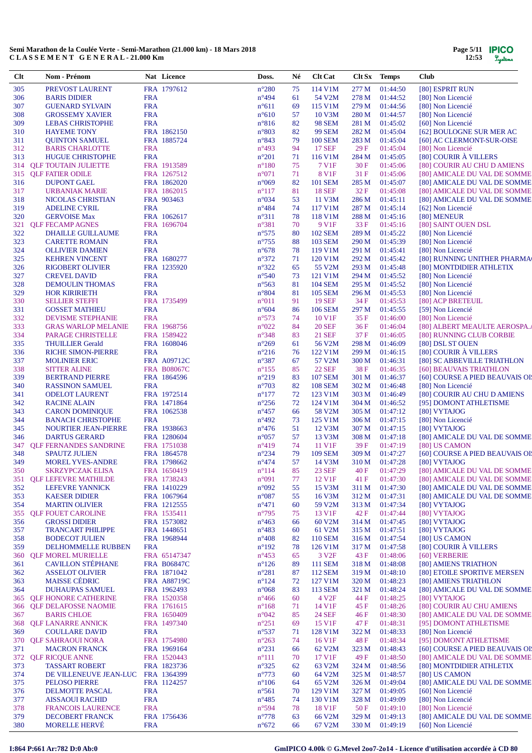| 305<br>FRA 1797612<br>$n^{\circ}280$<br>114 V1M<br>01:44:50<br>[80] ESPRIT RUN<br>PREVOST LAURENT<br>75<br>277 M<br>$n^{\circ}494$<br>54 V2M<br>01:44:52<br>306<br><b>BARIS DIDIER</b><br><b>FRA</b><br>61<br>278 M<br>[80] Non Licencié<br>307<br><b>FRA</b><br>$n^{\circ}611$<br>69<br>115 V1M<br>279 M<br>01:44:56<br>[80] Non Licencié<br><b>GUENARD SYLVAIN</b><br>308<br><b>FRA</b><br>57<br>280 M<br><b>GROSSEMY XAVIER</b><br>$n^{\circ}610$<br>10 V3M<br>01:44:57<br>[80] Non Licencié<br><b>FRA</b><br>$n^{\circ}816$<br>82<br><b>98 SEM</b><br>281 M<br>01:45:02<br>309<br><b>LEBAS CHRISTOPHE</b><br>[60] Non Licencié<br>FRA 1862150<br>$n^{\circ}803$<br><b>99 SEM</b><br>310<br><b>HAYEME TONY</b><br>82<br>282 M<br>01:45:04<br>[62] BOULOGNE SUR MER AC<br>FRA 1885724<br>$n^{\circ}843$<br>01:45:04<br>311<br><b>QUINTON SAMUEL</b><br>79<br><b>100 SEM</b><br>283 M<br>[60] AC CLERMONT-SUR-OISE<br>312<br>29F<br><b>FRA</b><br>$n^{\circ}493$<br>94<br>17 SEF<br>01:45:04<br>[80] Non Licencié<br><b>BARIS CHARLOTTE</b><br>[80] COURIR À VILLERS<br>313<br><b>HUGUE CHRISTOPHE</b><br><b>FRA</b><br>$n^{\circ}201$<br>71<br>116 V1M<br>284 M<br>01:45:05<br>FRA 1913589<br>75<br>7 V1F<br>01:45:06<br>314<br><b>QLF TOUTAIN JULIETTE</b><br>$n^{\circ}180$<br>30 F<br>[80] COURIR AU CHU D AMIENS<br>$n^{\circ}071$<br>8 V1F<br>315<br><b>QLF FATIER ODILE</b><br>FRA 1267512<br>71<br>31F<br>01:45:06<br>[80] AMICALE DU VAL DE SOMME<br>316<br><b>DUPONT GAEL</b><br>FRA 1862020<br>$n^{\circ}069$<br>82<br><b>101 SEM</b><br>285 M<br>01:45:07<br>[80] AMICALE DU VAL DE SOMME<br>317<br>$n^{\circ}117$<br>32 F<br>FRA 1862015<br>81<br><b>18 SEF</b><br>01:45:08<br>[80] AMICALE DU VAL DE SOMME<br>URBANIAK MARIE<br>53<br>318<br>FRA 903463<br>$n^{\circ}034$<br>11 V3M<br>286 M<br>01:45:11<br>NICOLAS CHRISTIAN<br>[80] AMICALE DU VAL DE SOMME<br>74<br>319<br><b>ADELINE CYRIL</b><br><b>FRA</b><br>$n^{\circ}484$<br>117 V1M<br>287 M<br>01:45:14<br>[62] Non Licencié<br>320<br>FRA 1062617<br>$n^{\circ}311$<br>78<br><b>GERVOISE Max</b><br>118 V1M<br>288 M<br>01:45:16<br>[80] MENEUR<br>321<br>FRA 1696704<br>$n^{\circ}381$<br>9 V <sub>1F</sub><br>33 F<br><b>QLF FECAMP AGNES</b><br>70<br>01:45:16<br>[80] SAINT OUEN DSL<br>322<br><b>FRA</b><br>$n^{\circ}575$<br><b>102 SEM</b><br><b>DHAILLE GUILLAUME</b><br>80<br>289 M<br>01:45:22<br>[80] Non Licencié<br>323<br><b>FRA</b><br>$n^{\circ}755$<br><b>103 SEM</b><br>01:45:39<br><b>CARETTE ROMAIN</b><br>88<br>290 M<br>[80] Non Licencié<br>324<br>78<br><b>FRA</b><br>$n^{\circ}678$<br>119 V1M<br>291 M<br>01:45:41<br>[80] Non Licencié<br><b>OLLIVIER DAMIEN</b><br>325<br>$n^{\circ}372$<br>FRA 1680277<br>71<br>120 V1M<br>292 M<br>01:45:42<br><b>KEHREN VINCENT</b><br>[80] RUNNING UNITHER PHARMA<br>326<br>FRA 1235920<br>$n^{\circ}322$<br>55 V2M<br>01:45:48<br><b>RIGOBERT OLIVIER</b><br>65<br>293 M<br>[80] MONTDIDIER ATHLETIX<br>327<br><b>FRA</b><br>$n^{\circ}540$<br>121 V1M<br>01:45:52<br><b>CREVEL DAVID</b><br>73<br>294 M<br>[80] Non Licencié<br>328<br><b>FRA</b><br><b>104 SEM</b><br>$n^{\circ}$ 563<br>81<br>295 M<br>01:45:52<br>[80] Non Licencié<br>DEMOULIN THOMAS<br>329<br><b>FRA</b><br>$n^{\circ}804$<br><b>105 SEM</b><br><b>HOR KIRIRIETH</b><br>81<br>296 M<br>01:45:53<br>[80] Non Licencié<br>330<br>FRA 1735499<br>$n^{\circ}011$<br>91<br><b>19 SEF</b><br>34 F<br><b>SELLIER STEFFI</b><br>01:45:53<br>[80] ACP BRETEUIL<br>331<br><b>FRA</b><br>$n^{\circ}604$<br>86<br><b>106 SEM</b><br>297 M<br>01:45:55<br>[59] Non Licencié<br><b>GOSSET MATHIEU</b><br>332<br><b>FRA</b><br>$n^{\circ}573$<br>74<br>10 V <sub>1F</sub><br>35 F<br>01:46:00<br>[80] Non Licencié<br><b>DEVISME STEPHANIE</b><br>333<br>FRA 1968756<br>$n^{\circ}022$<br>84<br><b>20 SEF</b><br><b>GRAS WARLOP MELANIE</b><br>36F<br>01:46:04<br>[80] ALBERT MEAULTE AEROSPA.<br>334<br>FRA 1589422<br>$n^{\circ}348$<br>21 SEF<br>PARAGE CHRISTELLE<br>83<br>37 F<br>01:46:05<br>[80] RUNNING CLUB CORBIE<br>335<br>56 V2M<br><b>THUILLIER Gerald</b><br>FRA 1608046<br>$n^{\circ}269$<br>61<br>298 M<br>01:46:09<br>[80] DSL ST OUEN<br>336<br><b>FRA</b><br>$n^{\circ}216$<br>[80] COURIR À VILLERS<br><b>RICHE SIMON-PIERRE</b><br>76<br>122 V1M<br>299 M<br>01:46:15<br>FRA A09712C<br>337<br>$n^{\circ}387$<br>67<br>57 V2M<br>300 M<br>01:46:31<br>[80] SC ABBEVILLE TRIATHLON<br><b>MOLINIER ERIC</b><br><b>22 SEF</b><br>338<br><b>SITTER ALINE</b><br><b>FRA B08067C</b><br>$n^{\circ}155$<br>85<br>38 F<br>01:46:35<br>[60] BEAUVAIS TRIATHLON<br>339<br>$n^{\circ}219$<br><b>107 SEM</b><br><b>BERTRAND PIERRE</b><br>FRA 1864596<br>83<br>301 M<br>01:46:37<br>[60] COURSE A PIED BEAUVAIS OI!<br><b>FRA</b><br>$n^{\circ}703$<br>82<br><b>108 SEM</b><br>302 M<br>01:46:48<br>340<br><b>RASSINON SAMUEL</b><br>[80] Non Licencié<br>$n^{\circ}177$<br>341<br><b>ODELOT LAURENT</b><br>FRA 1972514<br>72<br>123 V1M<br>303 M<br>01:46:49<br>[80] COURIR AU CHU D AMIENS<br>342<br>$n^{\circ}256$<br>72<br>124 V1M<br><b>RACINE ALAIN</b><br>FRA 1471864<br>304 M<br>01:46:52<br>[95] DOMONT ATHLETISME<br>343<br><b>CARON DOMINIQUE</b><br>FRA 1062538<br>$n^{\circ}457$<br>66<br>58 V2M<br>305 M<br>01:47:12<br>[80] VYTAJOG<br>344<br><b>BANACH CHRISTOPHE</b><br><b>FRA</b><br>$n^{\circ}492$<br>73<br>125 V1M<br>306 M<br>01:47:15<br>[80] Non Licencié<br>345<br><b>NOURTIER JEAN-PIERRE</b><br>FRA 1938663<br>$n^{\circ}476$<br>51<br>12 V3M<br>307 M<br>01:47:15<br>[80] VYTAJOG<br>$n^{\circ}057$<br>13 V3M<br>346<br><b>DARTUS GERARD</b><br>FRA 1280604<br>57<br>308 M<br>01:47:18<br>[80] AMICALE DU VAL DE SOMME<br>11 V1F<br>347<br><b>QLF FERNANDES SANDRINE</b><br>FRA 1751038<br>$n^{\circ}419$<br>74<br>39F<br>01:47:19<br>[80] US CAMON<br>348<br>$n^{\circ}234$<br>FRA 1864578<br>79<br><b>109 SEM</b><br>309 M<br>01:47:27<br>[60] COURSE A PIED BEAUVAIS OI!<br><b>SPAUTZ JULIEN</b><br>349<br>$n^{\circ}474$<br>57<br><b>MOREL YVES-ANDRE</b><br>FRA 1798662<br>14 V3M<br>310 M<br>01:47:28<br>[80] VYTAJOG<br>40 F<br>350<br>SKRZYPCZAK ELISA<br>FRA 1650419<br>$n^{\circ}114$<br>85<br>23 SEF<br>01:47:29<br>[80] AMICALE DU VAL DE SOMME<br><b>QLF LEFEVRE MATHILDE</b><br>FRA 1738243<br>n°091<br>12 V1F<br>01:47:30<br>[80] AMICALE DU VAL DE SOMME<br>351<br>77<br>41 F<br>352<br>FRA 1410229<br>n°092<br>55<br>01:47:30<br>[80] AMICALE DU VAL DE SOMME<br>LEFEVRE YANNICK<br>15 V3M<br>311 M<br>$n^{\circ}087$<br>353<br><b>KAESER DIDIER</b><br>FRA 1067964<br>55<br>16 V3M<br>312 M<br>01:47:31<br>[80] AMICALE DU VAL DE SOMME<br>59 V2M<br>354<br><b>MARTIN OLIVIER</b><br>FRA 1212555<br>$n^{\circ}471$<br>60<br>313 M<br>01:47:34<br>[80] VYTAJOG<br>13 V1F<br>355<br><b>QLF FOUET CAROLINE</b><br>FRA 1535411<br>$n^{\circ}795$<br>75<br>42 F<br>01:47:44<br>[80] VYTAJOG<br>356<br>FRA 1573082<br>$n^{\circ}463$<br>60 V2M<br>314 M<br>01:47:45<br>[80] VYTAJOG<br><b>GROSSI DIDIER</b><br>66<br>357<br><b>TRANCART PHILIPPE</b><br>FRA 1448651<br>$n^{\circ}483$<br>60<br>61 V2M<br>315 M<br>01:47:51<br>[80] VYTAJOG<br>FRA 1968944<br><b>110 SEM</b><br>[80] US CAMON<br>358<br><b>BODECOT JULIEN</b><br>$n^{\circ}408$<br>82<br>316 M<br>01:47:54<br>[80] COURIR À VILLERS<br>359<br>DELHOMMELLE RUBBEN<br><b>FRA</b><br>$n^{\circ}192$<br>126 V1M<br>317 M<br>01:47:58<br>78<br>3 V <sub>2F</sub><br><b>QLF MOREL MURIELLE</b><br>FRA 65147347<br>$n^{\circ}453$<br>43 F<br>01:48:06<br>[60] VERBERIE<br>360<br>65<br><b>CAVILLON STÉPHANE</b><br><b>FRA B06847C</b><br>$n^{\circ}126$<br><b>111 SEM</b><br>361<br>89<br>318 M<br>01:48:08<br>[80] AMIENS TRIATHON<br>362<br><b>ASSELOT OLIVIER</b><br>$n^{\circ}281$<br>87<br><b>112 SEM</b><br>01:48:10<br>FRA 1871042<br>319 M<br>[80] ETOILE SPORTIVE MERSEN<br><b>MAISSE CÉDRIC</b><br>363<br><b>FRA A88719C</b><br>$n^{\circ}124$<br>72<br>127 V1M<br>320 M<br>01:48:23<br>[80] AMIENS TRIATHLON<br><b>DUHAUPAS SAMUEL</b><br><b>113 SEM</b><br>364<br>FRA 1962493<br>$n^{\circ}068$<br>83<br>321 M<br>01:48:24<br>[80] AMICALE DU VAL DE SOMME<br>4 V <sub>2F</sub><br>[80] VYTAJOG<br><b>QLF HONORE CATHERINE</b><br>FRA 1520358<br>$n^{\circ}466$<br>44 F<br>01:48:25<br>365<br>60<br><b>QLF DELAFOSSE NAOMIE</b><br>FRA 1761615<br>$n^{\circ}168$<br>71<br>14 V1F<br>45 F<br>01:48:26<br>[80] COURIR AU CHU AMIENS<br>366<br><b>24 SEF</b><br>367<br><b>BARIS CHLOE</b><br>FRA 1650409<br>$n^{\circ}042$<br>85<br>46 F<br>01:48:30<br>[80] AMICALE DU VAL DE SOMME<br><b>QLF LANARRE ANNICK</b><br>FRA 1497340<br>$n^{\circ}251$<br>69<br>15 V1F<br>47 F<br>01:48:31<br>[95] DOMONT ATHLETISME<br>368<br><b>COULLARE DAVID</b><br><b>FRA</b><br>$n^{\circ}537$<br>71<br>128 V1M<br>322 M<br>01:48:33<br>[80] Non Licencié<br>369<br>FRA 1754980<br>370<br><b>QLF SAHRAOUI NORA</b><br>$n^{\circ}263$<br>74<br>16 V <sub>1F</sub><br>48 F<br>01:48:34<br>[95] DOMONT ATHLETISME<br>$n^{\circ}231$<br>371<br><b>MACRON FRANCK</b><br>FRA 1969164<br>62 V2M<br>323 M<br>01:48:43<br>[60] COURSE A PIED BEAUVAIS OI!<br>66<br>17 V1F<br>372<br><b>QLF RICQUE ANNE</b><br>FRA 1520443<br>$n^{\circ}111$<br>49 F<br>01:48:50<br>[80] AMICALE DU VAL DE SOMME<br>70<br>373<br>FRA 1823736<br>$n^{\circ}325$<br>62<br>63 V2M<br>324 M<br>01:48:56<br>[80] MONTDIDIER ATHLETIX<br><b>TASSART ROBERT</b><br>$n^{\circ}773$<br>374<br>FRA 1364399<br>64 V2M<br>325 M<br>01:48:57<br>[80] US CAMON<br>DE VILLENEUVE JEAN-LUC<br>60<br>375<br><b>PELOSO PIERRE</b><br>FRA 1124257<br>$n^{\circ}106$<br>64<br>65 V2M<br>326 M<br>01:49:04<br>[80] AMICALE DU VAL DE SOMME<br>376<br>DELMOTTE PASCAL<br><b>FRA</b><br>$n^{\circ}561$<br>129 V1M<br>327 M<br>01:49:05<br>[60] Non Licencié<br>70<br>377<br><b>FRA</b><br>$n^{\circ}485$<br>130 V1M<br>328 M<br>01:49:09<br>[80] Non Licencié<br><b>AISSAOUI RACHID</b><br>74<br>18 V1F<br>[80] Non Licencié<br>378<br><b>FRANCOIS LAURENCE</b><br><b>FRA</b><br>$n^{\circ}594$<br>78<br>50 F<br>01:49:10<br>379<br>01:49:13<br><b>DECOBERT FRANCK</b><br>FRA 1756436<br>$n^{\circ}778$<br>66 V2M<br>329 M<br>[80] AMICALE DU VAL DE SOMME<br>63<br><b>MORELLE HERVÉ</b><br>$n^{\circ}672$<br>380<br><b>FRA</b><br>67 V2M<br>330 M<br>01:49:19<br>[60] Non Licencié<br>66 | Clt | Nom - Prénom | Nat Licence | Doss. | Né | <b>Clt Cat</b> | Clt Sx Temps | <b>Club</b> |
|-------------------------------------------------------------------------------------------------------------------------------------------------------------------------------------------------------------------------------------------------------------------------------------------------------------------------------------------------------------------------------------------------------------------------------------------------------------------------------------------------------------------------------------------------------------------------------------------------------------------------------------------------------------------------------------------------------------------------------------------------------------------------------------------------------------------------------------------------------------------------------------------------------------------------------------------------------------------------------------------------------------------------------------------------------------------------------------------------------------------------------------------------------------------------------------------------------------------------------------------------------------------------------------------------------------------------------------------------------------------------------------------------------------------------------------------------------------------------------------------------------------------------------------------------------------------------------------------------------------------------------------------------------------------------------------------------------------------------------------------------------------------------------------------------------------------------------------------------------------------------------------------------------------------------------------------------------------------------------------------------------------------------------------------------------------------------------------------------------------------------------------------------------------------------------------------------------------------------------------------------------------------------------------------------------------------------------------------------------------------------------------------------------------------------------------------------------------------------------------------------------------------------------------------------------------------------------------------------------------------------------------------------------------------------------------------------------------------------------------------------------------------------------------------------------------------------------------------------------------------------------------------------------------------------------------------------------------------------------------------------------------------------------------------------------------------------------------------------------------------------------------------------------------------------------------------------------------------------------------------------------------------------------------------------------------------------------------------------------------------------------------------------------------------------------------------------------------------------------------------------------------------------------------------------------------------------------------------------------------------------------------------------------------------------------------------------------------------------------------------------------------------------------------------------------------------------------------------------------------------------------------------------------------------------------------------------------------------------------------------------------------------------------------------------------------------------------------------------------------------------------------------------------------------------------------------------------------------------------------------------------------------------------------------------------------------------------------------------------------------------------------------------------------------------------------------------------------------------------------------------------------------------------------------------------------------------------------------------------------------------------------------------------------------------------------------------------------------------------------------------------------------------------------------------------------------------------------------------------------------------------------------------------------------------------------------------------------------------------------------------------------------------------------------------------------------------------------------------------------------------------------------------------------------------------------------------------------------------------------------------------------------------------------------------------------------------------------------------------------------------------------------------------------------------------------------------------------------------------------------------------------------------------------------------------------------------------------------------------------------------------------------------------------------------------------------------------------------------------------------------------------------------------------------------------------------------------------------------------------------------------------------------------------------------------------------------------------------------------------------------------------------------------------------------------------------------------------------------------------------------------------------------------------------------------------------------------------------------------------------------------------------------------------------------------------------------------------------------------------------------------------------------------------------------------------------------------------------------------------------------------------------------------------------------------------------------------------------------------------------------------------------------------------------------------------------------------------------------------------------------------------------------------------------------------------------------------------------------------------------------------------------------------------------------------------------------------------------------------------------------------------------------------------------------------------------------------------------------------------------------------------------------------------------------------------------------------------------------------------------------------------------------------------------------------------------------------------------------------------------------------------------------------------------------------------------------------------------------------------------------------------------------------------------------------------------------------------------------------------------------------------------------------------------------------------------------------------------------------------------------------------------------------------------------------------------------------------------------------------------------------------------------------------------------------------------------------------------------------------------------------------------------------------------------------------------------------------------------------------------------------------------------------------------------------------------------------------------------------------------------------------------------------------------------------------------------------------------------------------------------------------------------------------------------------------------------------------------------------------------------------------------------------------------------------------------------------------------------------------------------------------------------------------------------------------------------------------------------------------------------------------------------------------------------------------------------------------------------------------------------------------------------------------------------------------------------------------------------------------------------------------------------------------------------------------------------------------------------------------------------------------------------------------------------------------------------------------------------------------------------------------------------------------------------------------------------------------------------------------------------------------------------------------------------------------------------------------------------------------------------------------------------------------------------------------------------------------------------------------------------------------------------------------------------------------------------------------------------------------------------------------------------------------------------------------------------------------------------------------------------------------------------------------------------------------------------------------------------------------------------------------------------------------------------------------------------------------------------------------------------------------------------------------------------------------------------------------------------------------------------|-----|--------------|-------------|-------|----|----------------|--------------|-------------|
|                                                                                                                                                                                                                                                                                                                                                                                                                                                                                                                                                                                                                                                                                                                                                                                                                                                                                                                                                                                                                                                                                                                                                                                                                                                                                                                                                                                                                                                                                                                                                                                                                                                                                                                                                                                                                                                                                                                                                                                                                                                                                                                                                                                                                                                                                                                                                                                                                                                                                                                                                                                                                                                                                                                                                                                                                                                                                                                                                                                                                                                                                                                                                                                                                                                                                                                                                                                                                                                                                                                                                                                                                                                                                                                                                                                                                                                                                                                                                                                                                                                                                                                                                                                                                                                                                                                                                                                                                                                                                                                                                                                                                                                                                                                                                                                                                                                                                                                                                                                                                                                                                                                                                                                                                                                                                                                                                                                                                                                                                                                                                                                                                                                                                                                                                                                                                                                                                                                                                                                                                                                                                                                                                                                                                                                                                                                                                                                                                                                                                                                                                                                                                                                                                                                                                                                                                                                                                                                                                                                                                                                                                                                                                                                                                                                                                                                                                                                                                                                                                                                                                                                                                                                                                                                                                                                                                                                                                                                                                                                                                                                                                                                                                                                                                                                                                                                                                                                                                                                                                                                                                                                                                                                                                                                                                                                                                                                                                                                                                                                                                                                                                                                                                                                                                                                                                                                                                                                                                                                                                                                                                                                                                                                                                                                                                                                                                                                                                                                                                                                                                                                                                                                                                                                                                                                 |     |              |             |       |    |                |              |             |
|                                                                                                                                                                                                                                                                                                                                                                                                                                                                                                                                                                                                                                                                                                                                                                                                                                                                                                                                                                                                                                                                                                                                                                                                                                                                                                                                                                                                                                                                                                                                                                                                                                                                                                                                                                                                                                                                                                                                                                                                                                                                                                                                                                                                                                                                                                                                                                                                                                                                                                                                                                                                                                                                                                                                                                                                                                                                                                                                                                                                                                                                                                                                                                                                                                                                                                                                                                                                                                                                                                                                                                                                                                                                                                                                                                                                                                                                                                                                                                                                                                                                                                                                                                                                                                                                                                                                                                                                                                                                                                                                                                                                                                                                                                                                                                                                                                                                                                                                                                                                                                                                                                                                                                                                                                                                                                                                                                                                                                                                                                                                                                                                                                                                                                                                                                                                                                                                                                                                                                                                                                                                                                                                                                                                                                                                                                                                                                                                                                                                                                                                                                                                                                                                                                                                                                                                                                                                                                                                                                                                                                                                                                                                                                                                                                                                                                                                                                                                                                                                                                                                                                                                                                                                                                                                                                                                                                                                                                                                                                                                                                                                                                                                                                                                                                                                                                                                                                                                                                                                                                                                                                                                                                                                                                                                                                                                                                                                                                                                                                                                                                                                                                                                                                                                                                                                                                                                                                                                                                                                                                                                                                                                                                                                                                                                                                                                                                                                                                                                                                                                                                                                                                                                                                                                                                                 |     |              |             |       |    |                |              |             |
|                                                                                                                                                                                                                                                                                                                                                                                                                                                                                                                                                                                                                                                                                                                                                                                                                                                                                                                                                                                                                                                                                                                                                                                                                                                                                                                                                                                                                                                                                                                                                                                                                                                                                                                                                                                                                                                                                                                                                                                                                                                                                                                                                                                                                                                                                                                                                                                                                                                                                                                                                                                                                                                                                                                                                                                                                                                                                                                                                                                                                                                                                                                                                                                                                                                                                                                                                                                                                                                                                                                                                                                                                                                                                                                                                                                                                                                                                                                                                                                                                                                                                                                                                                                                                                                                                                                                                                                                                                                                                                                                                                                                                                                                                                                                                                                                                                                                                                                                                                                                                                                                                                                                                                                                                                                                                                                                                                                                                                                                                                                                                                                                                                                                                                                                                                                                                                                                                                                                                                                                                                                                                                                                                                                                                                                                                                                                                                                                                                                                                                                                                                                                                                                                                                                                                                                                                                                                                                                                                                                                                                                                                                                                                                                                                                                                                                                                                                                                                                                                                                                                                                                                                                                                                                                                                                                                                                                                                                                                                                                                                                                                                                                                                                                                                                                                                                                                                                                                                                                                                                                                                                                                                                                                                                                                                                                                                                                                                                                                                                                                                                                                                                                                                                                                                                                                                                                                                                                                                                                                                                                                                                                                                                                                                                                                                                                                                                                                                                                                                                                                                                                                                                                                                                                                                                                 |     |              |             |       |    |                |              |             |
|                                                                                                                                                                                                                                                                                                                                                                                                                                                                                                                                                                                                                                                                                                                                                                                                                                                                                                                                                                                                                                                                                                                                                                                                                                                                                                                                                                                                                                                                                                                                                                                                                                                                                                                                                                                                                                                                                                                                                                                                                                                                                                                                                                                                                                                                                                                                                                                                                                                                                                                                                                                                                                                                                                                                                                                                                                                                                                                                                                                                                                                                                                                                                                                                                                                                                                                                                                                                                                                                                                                                                                                                                                                                                                                                                                                                                                                                                                                                                                                                                                                                                                                                                                                                                                                                                                                                                                                                                                                                                                                                                                                                                                                                                                                                                                                                                                                                                                                                                                                                                                                                                                                                                                                                                                                                                                                                                                                                                                                                                                                                                                                                                                                                                                                                                                                                                                                                                                                                                                                                                                                                                                                                                                                                                                                                                                                                                                                                                                                                                                                                                                                                                                                                                                                                                                                                                                                                                                                                                                                                                                                                                                                                                                                                                                                                                                                                                                                                                                                                                                                                                                                                                                                                                                                                                                                                                                                                                                                                                                                                                                                                                                                                                                                                                                                                                                                                                                                                                                                                                                                                                                                                                                                                                                                                                                                                                                                                                                                                                                                                                                                                                                                                                                                                                                                                                                                                                                                                                                                                                                                                                                                                                                                                                                                                                                                                                                                                                                                                                                                                                                                                                                                                                                                                                                                 |     |              |             |       |    |                |              |             |
|                                                                                                                                                                                                                                                                                                                                                                                                                                                                                                                                                                                                                                                                                                                                                                                                                                                                                                                                                                                                                                                                                                                                                                                                                                                                                                                                                                                                                                                                                                                                                                                                                                                                                                                                                                                                                                                                                                                                                                                                                                                                                                                                                                                                                                                                                                                                                                                                                                                                                                                                                                                                                                                                                                                                                                                                                                                                                                                                                                                                                                                                                                                                                                                                                                                                                                                                                                                                                                                                                                                                                                                                                                                                                                                                                                                                                                                                                                                                                                                                                                                                                                                                                                                                                                                                                                                                                                                                                                                                                                                                                                                                                                                                                                                                                                                                                                                                                                                                                                                                                                                                                                                                                                                                                                                                                                                                                                                                                                                                                                                                                                                                                                                                                                                                                                                                                                                                                                                                                                                                                                                                                                                                                                                                                                                                                                                                                                                                                                                                                                                                                                                                                                                                                                                                                                                                                                                                                                                                                                                                                                                                                                                                                                                                                                                                                                                                                                                                                                                                                                                                                                                                                                                                                                                                                                                                                                                                                                                                                                                                                                                                                                                                                                                                                                                                                                                                                                                                                                                                                                                                                                                                                                                                                                                                                                                                                                                                                                                                                                                                                                                                                                                                                                                                                                                                                                                                                                                                                                                                                                                                                                                                                                                                                                                                                                                                                                                                                                                                                                                                                                                                                                                                                                                                                                                 |     |              |             |       |    |                |              |             |
|                                                                                                                                                                                                                                                                                                                                                                                                                                                                                                                                                                                                                                                                                                                                                                                                                                                                                                                                                                                                                                                                                                                                                                                                                                                                                                                                                                                                                                                                                                                                                                                                                                                                                                                                                                                                                                                                                                                                                                                                                                                                                                                                                                                                                                                                                                                                                                                                                                                                                                                                                                                                                                                                                                                                                                                                                                                                                                                                                                                                                                                                                                                                                                                                                                                                                                                                                                                                                                                                                                                                                                                                                                                                                                                                                                                                                                                                                                                                                                                                                                                                                                                                                                                                                                                                                                                                                                                                                                                                                                                                                                                                                                                                                                                                                                                                                                                                                                                                                                                                                                                                                                                                                                                                                                                                                                                                                                                                                                                                                                                                                                                                                                                                                                                                                                                                                                                                                                                                                                                                                                                                                                                                                                                                                                                                                                                                                                                                                                                                                                                                                                                                                                                                                                                                                                                                                                                                                                                                                                                                                                                                                                                                                                                                                                                                                                                                                                                                                                                                                                                                                                                                                                                                                                                                                                                                                                                                                                                                                                                                                                                                                                                                                                                                                                                                                                                                                                                                                                                                                                                                                                                                                                                                                                                                                                                                                                                                                                                                                                                                                                                                                                                                                                                                                                                                                                                                                                                                                                                                                                                                                                                                                                                                                                                                                                                                                                                                                                                                                                                                                                                                                                                                                                                                                                                 |     |              |             |       |    |                |              |             |
|                                                                                                                                                                                                                                                                                                                                                                                                                                                                                                                                                                                                                                                                                                                                                                                                                                                                                                                                                                                                                                                                                                                                                                                                                                                                                                                                                                                                                                                                                                                                                                                                                                                                                                                                                                                                                                                                                                                                                                                                                                                                                                                                                                                                                                                                                                                                                                                                                                                                                                                                                                                                                                                                                                                                                                                                                                                                                                                                                                                                                                                                                                                                                                                                                                                                                                                                                                                                                                                                                                                                                                                                                                                                                                                                                                                                                                                                                                                                                                                                                                                                                                                                                                                                                                                                                                                                                                                                                                                                                                                                                                                                                                                                                                                                                                                                                                                                                                                                                                                                                                                                                                                                                                                                                                                                                                                                                                                                                                                                                                                                                                                                                                                                                                                                                                                                                                                                                                                                                                                                                                                                                                                                                                                                                                                                                                                                                                                                                                                                                                                                                                                                                                                                                                                                                                                                                                                                                                                                                                                                                                                                                                                                                                                                                                                                                                                                                                                                                                                                                                                                                                                                                                                                                                                                                                                                                                                                                                                                                                                                                                                                                                                                                                                                                                                                                                                                                                                                                                                                                                                                                                                                                                                                                                                                                                                                                                                                                                                                                                                                                                                                                                                                                                                                                                                                                                                                                                                                                                                                                                                                                                                                                                                                                                                                                                                                                                                                                                                                                                                                                                                                                                                                                                                                                                                 |     |              |             |       |    |                |              |             |
|                                                                                                                                                                                                                                                                                                                                                                                                                                                                                                                                                                                                                                                                                                                                                                                                                                                                                                                                                                                                                                                                                                                                                                                                                                                                                                                                                                                                                                                                                                                                                                                                                                                                                                                                                                                                                                                                                                                                                                                                                                                                                                                                                                                                                                                                                                                                                                                                                                                                                                                                                                                                                                                                                                                                                                                                                                                                                                                                                                                                                                                                                                                                                                                                                                                                                                                                                                                                                                                                                                                                                                                                                                                                                                                                                                                                                                                                                                                                                                                                                                                                                                                                                                                                                                                                                                                                                                                                                                                                                                                                                                                                                                                                                                                                                                                                                                                                                                                                                                                                                                                                                                                                                                                                                                                                                                                                                                                                                                                                                                                                                                                                                                                                                                                                                                                                                                                                                                                                                                                                                                                                                                                                                                                                                                                                                                                                                                                                                                                                                                                                                                                                                                                                                                                                                                                                                                                                                                                                                                                                                                                                                                                                                                                                                                                                                                                                                                                                                                                                                                                                                                                                                                                                                                                                                                                                                                                                                                                                                                                                                                                                                                                                                                                                                                                                                                                                                                                                                                                                                                                                                                                                                                                                                                                                                                                                                                                                                                                                                                                                                                                                                                                                                                                                                                                                                                                                                                                                                                                                                                                                                                                                                                                                                                                                                                                                                                                                                                                                                                                                                                                                                                                                                                                                                                                 |     |              |             |       |    |                |              |             |
|                                                                                                                                                                                                                                                                                                                                                                                                                                                                                                                                                                                                                                                                                                                                                                                                                                                                                                                                                                                                                                                                                                                                                                                                                                                                                                                                                                                                                                                                                                                                                                                                                                                                                                                                                                                                                                                                                                                                                                                                                                                                                                                                                                                                                                                                                                                                                                                                                                                                                                                                                                                                                                                                                                                                                                                                                                                                                                                                                                                                                                                                                                                                                                                                                                                                                                                                                                                                                                                                                                                                                                                                                                                                                                                                                                                                                                                                                                                                                                                                                                                                                                                                                                                                                                                                                                                                                                                                                                                                                                                                                                                                                                                                                                                                                                                                                                                                                                                                                                                                                                                                                                                                                                                                                                                                                                                                                                                                                                                                                                                                                                                                                                                                                                                                                                                                                                                                                                                                                                                                                                                                                                                                                                                                                                                                                                                                                                                                                                                                                                                                                                                                                                                                                                                                                                                                                                                                                                                                                                                                                                                                                                                                                                                                                                                                                                                                                                                                                                                                                                                                                                                                                                                                                                                                                                                                                                                                                                                                                                                                                                                                                                                                                                                                                                                                                                                                                                                                                                                                                                                                                                                                                                                                                                                                                                                                                                                                                                                                                                                                                                                                                                                                                                                                                                                                                                                                                                                                                                                                                                                                                                                                                                                                                                                                                                                                                                                                                                                                                                                                                                                                                                                                                                                                                                                 |     |              |             |       |    |                |              |             |
|                                                                                                                                                                                                                                                                                                                                                                                                                                                                                                                                                                                                                                                                                                                                                                                                                                                                                                                                                                                                                                                                                                                                                                                                                                                                                                                                                                                                                                                                                                                                                                                                                                                                                                                                                                                                                                                                                                                                                                                                                                                                                                                                                                                                                                                                                                                                                                                                                                                                                                                                                                                                                                                                                                                                                                                                                                                                                                                                                                                                                                                                                                                                                                                                                                                                                                                                                                                                                                                                                                                                                                                                                                                                                                                                                                                                                                                                                                                                                                                                                                                                                                                                                                                                                                                                                                                                                                                                                                                                                                                                                                                                                                                                                                                                                                                                                                                                                                                                                                                                                                                                                                                                                                                                                                                                                                                                                                                                                                                                                                                                                                                                                                                                                                                                                                                                                                                                                                                                                                                                                                                                                                                                                                                                                                                                                                                                                                                                                                                                                                                                                                                                                                                                                                                                                                                                                                                                                                                                                                                                                                                                                                                                                                                                                                                                                                                                                                                                                                                                                                                                                                                                                                                                                                                                                                                                                                                                                                                                                                                                                                                                                                                                                                                                                                                                                                                                                                                                                                                                                                                                                                                                                                                                                                                                                                                                                                                                                                                                                                                                                                                                                                                                                                                                                                                                                                                                                                                                                                                                                                                                                                                                                                                                                                                                                                                                                                                                                                                                                                                                                                                                                                                                                                                                                                                 |     |              |             |       |    |                |              |             |
|                                                                                                                                                                                                                                                                                                                                                                                                                                                                                                                                                                                                                                                                                                                                                                                                                                                                                                                                                                                                                                                                                                                                                                                                                                                                                                                                                                                                                                                                                                                                                                                                                                                                                                                                                                                                                                                                                                                                                                                                                                                                                                                                                                                                                                                                                                                                                                                                                                                                                                                                                                                                                                                                                                                                                                                                                                                                                                                                                                                                                                                                                                                                                                                                                                                                                                                                                                                                                                                                                                                                                                                                                                                                                                                                                                                                                                                                                                                                                                                                                                                                                                                                                                                                                                                                                                                                                                                                                                                                                                                                                                                                                                                                                                                                                                                                                                                                                                                                                                                                                                                                                                                                                                                                                                                                                                                                                                                                                                                                                                                                                                                                                                                                                                                                                                                                                                                                                                                                                                                                                                                                                                                                                                                                                                                                                                                                                                                                                                                                                                                                                                                                                                                                                                                                                                                                                                                                                                                                                                                                                                                                                                                                                                                                                                                                                                                                                                                                                                                                                                                                                                                                                                                                                                                                                                                                                                                                                                                                                                                                                                                                                                                                                                                                                                                                                                                                                                                                                                                                                                                                                                                                                                                                                                                                                                                                                                                                                                                                                                                                                                                                                                                                                                                                                                                                                                                                                                                                                                                                                                                                                                                                                                                                                                                                                                                                                                                                                                                                                                                                                                                                                                                                                                                                                                                 |     |              |             |       |    |                |              |             |
|                                                                                                                                                                                                                                                                                                                                                                                                                                                                                                                                                                                                                                                                                                                                                                                                                                                                                                                                                                                                                                                                                                                                                                                                                                                                                                                                                                                                                                                                                                                                                                                                                                                                                                                                                                                                                                                                                                                                                                                                                                                                                                                                                                                                                                                                                                                                                                                                                                                                                                                                                                                                                                                                                                                                                                                                                                                                                                                                                                                                                                                                                                                                                                                                                                                                                                                                                                                                                                                                                                                                                                                                                                                                                                                                                                                                                                                                                                                                                                                                                                                                                                                                                                                                                                                                                                                                                                                                                                                                                                                                                                                                                                                                                                                                                                                                                                                                                                                                                                                                                                                                                                                                                                                                                                                                                                                                                                                                                                                                                                                                                                                                                                                                                                                                                                                                                                                                                                                                                                                                                                                                                                                                                                                                                                                                                                                                                                                                                                                                                                                                                                                                                                                                                                                                                                                                                                                                                                                                                                                                                                                                                                                                                                                                                                                                                                                                                                                                                                                                                                                                                                                                                                                                                                                                                                                                                                                                                                                                                                                                                                                                                                                                                                                                                                                                                                                                                                                                                                                                                                                                                                                                                                                                                                                                                                                                                                                                                                                                                                                                                                                                                                                                                                                                                                                                                                                                                                                                                                                                                                                                                                                                                                                                                                                                                                                                                                                                                                                                                                                                                                                                                                                                                                                                                                                 |     |              |             |       |    |                |              |             |
|                                                                                                                                                                                                                                                                                                                                                                                                                                                                                                                                                                                                                                                                                                                                                                                                                                                                                                                                                                                                                                                                                                                                                                                                                                                                                                                                                                                                                                                                                                                                                                                                                                                                                                                                                                                                                                                                                                                                                                                                                                                                                                                                                                                                                                                                                                                                                                                                                                                                                                                                                                                                                                                                                                                                                                                                                                                                                                                                                                                                                                                                                                                                                                                                                                                                                                                                                                                                                                                                                                                                                                                                                                                                                                                                                                                                                                                                                                                                                                                                                                                                                                                                                                                                                                                                                                                                                                                                                                                                                                                                                                                                                                                                                                                                                                                                                                                                                                                                                                                                                                                                                                                                                                                                                                                                                                                                                                                                                                                                                                                                                                                                                                                                                                                                                                                                                                                                                                                                                                                                                                                                                                                                                                                                                                                                                                                                                                                                                                                                                                                                                                                                                                                                                                                                                                                                                                                                                                                                                                                                                                                                                                                                                                                                                                                                                                                                                                                                                                                                                                                                                                                                                                                                                                                                                                                                                                                                                                                                                                                                                                                                                                                                                                                                                                                                                                                                                                                                                                                                                                                                                                                                                                                                                                                                                                                                                                                                                                                                                                                                                                                                                                                                                                                                                                                                                                                                                                                                                                                                                                                                                                                                                                                                                                                                                                                                                                                                                                                                                                                                                                                                                                                                                                                                                                                 |     |              |             |       |    |                |              |             |
|                                                                                                                                                                                                                                                                                                                                                                                                                                                                                                                                                                                                                                                                                                                                                                                                                                                                                                                                                                                                                                                                                                                                                                                                                                                                                                                                                                                                                                                                                                                                                                                                                                                                                                                                                                                                                                                                                                                                                                                                                                                                                                                                                                                                                                                                                                                                                                                                                                                                                                                                                                                                                                                                                                                                                                                                                                                                                                                                                                                                                                                                                                                                                                                                                                                                                                                                                                                                                                                                                                                                                                                                                                                                                                                                                                                                                                                                                                                                                                                                                                                                                                                                                                                                                                                                                                                                                                                                                                                                                                                                                                                                                                                                                                                                                                                                                                                                                                                                                                                                                                                                                                                                                                                                                                                                                                                                                                                                                                                                                                                                                                                                                                                                                                                                                                                                                                                                                                                                                                                                                                                                                                                                                                                                                                                                                                                                                                                                                                                                                                                                                                                                                                                                                                                                                                                                                                                                                                                                                                                                                                                                                                                                                                                                                                                                                                                                                                                                                                                                                                                                                                                                                                                                                                                                                                                                                                                                                                                                                                                                                                                                                                                                                                                                                                                                                                                                                                                                                                                                                                                                                                                                                                                                                                                                                                                                                                                                                                                                                                                                                                                                                                                                                                                                                                                                                                                                                                                                                                                                                                                                                                                                                                                                                                                                                                                                                                                                                                                                                                                                                                                                                                                                                                                                                                                 |     |              |             |       |    |                |              |             |
|                                                                                                                                                                                                                                                                                                                                                                                                                                                                                                                                                                                                                                                                                                                                                                                                                                                                                                                                                                                                                                                                                                                                                                                                                                                                                                                                                                                                                                                                                                                                                                                                                                                                                                                                                                                                                                                                                                                                                                                                                                                                                                                                                                                                                                                                                                                                                                                                                                                                                                                                                                                                                                                                                                                                                                                                                                                                                                                                                                                                                                                                                                                                                                                                                                                                                                                                                                                                                                                                                                                                                                                                                                                                                                                                                                                                                                                                                                                                                                                                                                                                                                                                                                                                                                                                                                                                                                                                                                                                                                                                                                                                                                                                                                                                                                                                                                                                                                                                                                                                                                                                                                                                                                                                                                                                                                                                                                                                                                                                                                                                                                                                                                                                                                                                                                                                                                                                                                                                                                                                                                                                                                                                                                                                                                                                                                                                                                                                                                                                                                                                                                                                                                                                                                                                                                                                                                                                                                                                                                                                                                                                                                                                                                                                                                                                                                                                                                                                                                                                                                                                                                                                                                                                                                                                                                                                                                                                                                                                                                                                                                                                                                                                                                                                                                                                                                                                                                                                                                                                                                                                                                                                                                                                                                                                                                                                                                                                                                                                                                                                                                                                                                                                                                                                                                                                                                                                                                                                                                                                                                                                                                                                                                                                                                                                                                                                                                                                                                                                                                                                                                                                                                                                                                                                                                                 |     |              |             |       |    |                |              |             |
|                                                                                                                                                                                                                                                                                                                                                                                                                                                                                                                                                                                                                                                                                                                                                                                                                                                                                                                                                                                                                                                                                                                                                                                                                                                                                                                                                                                                                                                                                                                                                                                                                                                                                                                                                                                                                                                                                                                                                                                                                                                                                                                                                                                                                                                                                                                                                                                                                                                                                                                                                                                                                                                                                                                                                                                                                                                                                                                                                                                                                                                                                                                                                                                                                                                                                                                                                                                                                                                                                                                                                                                                                                                                                                                                                                                                                                                                                                                                                                                                                                                                                                                                                                                                                                                                                                                                                                                                                                                                                                                                                                                                                                                                                                                                                                                                                                                                                                                                                                                                                                                                                                                                                                                                                                                                                                                                                                                                                                                                                                                                                                                                                                                                                                                                                                                                                                                                                                                                                                                                                                                                                                                                                                                                                                                                                                                                                                                                                                                                                                                                                                                                                                                                                                                                                                                                                                                                                                                                                                                                                                                                                                                                                                                                                                                                                                                                                                                                                                                                                                                                                                                                                                                                                                                                                                                                                                                                                                                                                                                                                                                                                                                                                                                                                                                                                                                                                                                                                                                                                                                                                                                                                                                                                                                                                                                                                                                                                                                                                                                                                                                                                                                                                                                                                                                                                                                                                                                                                                                                                                                                                                                                                                                                                                                                                                                                                                                                                                                                                                                                                                                                                                                                                                                                                                                 |     |              |             |       |    |                |              |             |
|                                                                                                                                                                                                                                                                                                                                                                                                                                                                                                                                                                                                                                                                                                                                                                                                                                                                                                                                                                                                                                                                                                                                                                                                                                                                                                                                                                                                                                                                                                                                                                                                                                                                                                                                                                                                                                                                                                                                                                                                                                                                                                                                                                                                                                                                                                                                                                                                                                                                                                                                                                                                                                                                                                                                                                                                                                                                                                                                                                                                                                                                                                                                                                                                                                                                                                                                                                                                                                                                                                                                                                                                                                                                                                                                                                                                                                                                                                                                                                                                                                                                                                                                                                                                                                                                                                                                                                                                                                                                                                                                                                                                                                                                                                                                                                                                                                                                                                                                                                                                                                                                                                                                                                                                                                                                                                                                                                                                                                                                                                                                                                                                                                                                                                                                                                                                                                                                                                                                                                                                                                                                                                                                                                                                                                                                                                                                                                                                                                                                                                                                                                                                                                                                                                                                                                                                                                                                                                                                                                                                                                                                                                                                                                                                                                                                                                                                                                                                                                                                                                                                                                                                                                                                                                                                                                                                                                                                                                                                                                                                                                                                                                                                                                                                                                                                                                                                                                                                                                                                                                                                                                                                                                                                                                                                                                                                                                                                                                                                                                                                                                                                                                                                                                                                                                                                                                                                                                                                                                                                                                                                                                                                                                                                                                                                                                                                                                                                                                                                                                                                                                                                                                                                                                                                                                                 |     |              |             |       |    |                |              |             |
|                                                                                                                                                                                                                                                                                                                                                                                                                                                                                                                                                                                                                                                                                                                                                                                                                                                                                                                                                                                                                                                                                                                                                                                                                                                                                                                                                                                                                                                                                                                                                                                                                                                                                                                                                                                                                                                                                                                                                                                                                                                                                                                                                                                                                                                                                                                                                                                                                                                                                                                                                                                                                                                                                                                                                                                                                                                                                                                                                                                                                                                                                                                                                                                                                                                                                                                                                                                                                                                                                                                                                                                                                                                                                                                                                                                                                                                                                                                                                                                                                                                                                                                                                                                                                                                                                                                                                                                                                                                                                                                                                                                                                                                                                                                                                                                                                                                                                                                                                                                                                                                                                                                                                                                                                                                                                                                                                                                                                                                                                                                                                                                                                                                                                                                                                                                                                                                                                                                                                                                                                                                                                                                                                                                                                                                                                                                                                                                                                                                                                                                                                                                                                                                                                                                                                                                                                                                                                                                                                                                                                                                                                                                                                                                                                                                                                                                                                                                                                                                                                                                                                                                                                                                                                                                                                                                                                                                                                                                                                                                                                                                                                                                                                                                                                                                                                                                                                                                                                                                                                                                                                                                                                                                                                                                                                                                                                                                                                                                                                                                                                                                                                                                                                                                                                                                                                                                                                                                                                                                                                                                                                                                                                                                                                                                                                                                                                                                                                                                                                                                                                                                                                                                                                                                                                                                 |     |              |             |       |    |                |              |             |
|                                                                                                                                                                                                                                                                                                                                                                                                                                                                                                                                                                                                                                                                                                                                                                                                                                                                                                                                                                                                                                                                                                                                                                                                                                                                                                                                                                                                                                                                                                                                                                                                                                                                                                                                                                                                                                                                                                                                                                                                                                                                                                                                                                                                                                                                                                                                                                                                                                                                                                                                                                                                                                                                                                                                                                                                                                                                                                                                                                                                                                                                                                                                                                                                                                                                                                                                                                                                                                                                                                                                                                                                                                                                                                                                                                                                                                                                                                                                                                                                                                                                                                                                                                                                                                                                                                                                                                                                                                                                                                                                                                                                                                                                                                                                                                                                                                                                                                                                                                                                                                                                                                                                                                                                                                                                                                                                                                                                                                                                                                                                                                                                                                                                                                                                                                                                                                                                                                                                                                                                                                                                                                                                                                                                                                                                                                                                                                                                                                                                                                                                                                                                                                                                                                                                                                                                                                                                                                                                                                                                                                                                                                                                                                                                                                                                                                                                                                                                                                                                                                                                                                                                                                                                                                                                                                                                                                                                                                                                                                                                                                                                                                                                                                                                                                                                                                                                                                                                                                                                                                                                                                                                                                                                                                                                                                                                                                                                                                                                                                                                                                                                                                                                                                                                                                                                                                                                                                                                                                                                                                                                                                                                                                                                                                                                                                                                                                                                                                                                                                                                                                                                                                                                                                                                                                                 |     |              |             |       |    |                |              |             |
|                                                                                                                                                                                                                                                                                                                                                                                                                                                                                                                                                                                                                                                                                                                                                                                                                                                                                                                                                                                                                                                                                                                                                                                                                                                                                                                                                                                                                                                                                                                                                                                                                                                                                                                                                                                                                                                                                                                                                                                                                                                                                                                                                                                                                                                                                                                                                                                                                                                                                                                                                                                                                                                                                                                                                                                                                                                                                                                                                                                                                                                                                                                                                                                                                                                                                                                                                                                                                                                                                                                                                                                                                                                                                                                                                                                                                                                                                                                                                                                                                                                                                                                                                                                                                                                                                                                                                                                                                                                                                                                                                                                                                                                                                                                                                                                                                                                                                                                                                                                                                                                                                                                                                                                                                                                                                                                                                                                                                                                                                                                                                                                                                                                                                                                                                                                                                                                                                                                                                                                                                                                                                                                                                                                                                                                                                                                                                                                                                                                                                                                                                                                                                                                                                                                                                                                                                                                                                                                                                                                                                                                                                                                                                                                                                                                                                                                                                                                                                                                                                                                                                                                                                                                                                                                                                                                                                                                                                                                                                                                                                                                                                                                                                                                                                                                                                                                                                                                                                                                                                                                                                                                                                                                                                                                                                                                                                                                                                                                                                                                                                                                                                                                                                                                                                                                                                                                                                                                                                                                                                                                                                                                                                                                                                                                                                                                                                                                                                                                                                                                                                                                                                                                                                                                                                                                 |     |              |             |       |    |                |              |             |
|                                                                                                                                                                                                                                                                                                                                                                                                                                                                                                                                                                                                                                                                                                                                                                                                                                                                                                                                                                                                                                                                                                                                                                                                                                                                                                                                                                                                                                                                                                                                                                                                                                                                                                                                                                                                                                                                                                                                                                                                                                                                                                                                                                                                                                                                                                                                                                                                                                                                                                                                                                                                                                                                                                                                                                                                                                                                                                                                                                                                                                                                                                                                                                                                                                                                                                                                                                                                                                                                                                                                                                                                                                                                                                                                                                                                                                                                                                                                                                                                                                                                                                                                                                                                                                                                                                                                                                                                                                                                                                                                                                                                                                                                                                                                                                                                                                                                                                                                                                                                                                                                                                                                                                                                                                                                                                                                                                                                                                                                                                                                                                                                                                                                                                                                                                                                                                                                                                                                                                                                                                                                                                                                                                                                                                                                                                                                                                                                                                                                                                                                                                                                                                                                                                                                                                                                                                                                                                                                                                                                                                                                                                                                                                                                                                                                                                                                                                                                                                                                                                                                                                                                                                                                                                                                                                                                                                                                                                                                                                                                                                                                                                                                                                                                                                                                                                                                                                                                                                                                                                                                                                                                                                                                                                                                                                                                                                                                                                                                                                                                                                                                                                                                                                                                                                                                                                                                                                                                                                                                                                                                                                                                                                                                                                                                                                                                                                                                                                                                                                                                                                                                                                                                                                                                                                                 |     |              |             |       |    |                |              |             |
|                                                                                                                                                                                                                                                                                                                                                                                                                                                                                                                                                                                                                                                                                                                                                                                                                                                                                                                                                                                                                                                                                                                                                                                                                                                                                                                                                                                                                                                                                                                                                                                                                                                                                                                                                                                                                                                                                                                                                                                                                                                                                                                                                                                                                                                                                                                                                                                                                                                                                                                                                                                                                                                                                                                                                                                                                                                                                                                                                                                                                                                                                                                                                                                                                                                                                                                                                                                                                                                                                                                                                                                                                                                                                                                                                                                                                                                                                                                                                                                                                                                                                                                                                                                                                                                                                                                                                                                                                                                                                                                                                                                                                                                                                                                                                                                                                                                                                                                                                                                                                                                                                                                                                                                                                                                                                                                                                                                                                                                                                                                                                                                                                                                                                                                                                                                                                                                                                                                                                                                                                                                                                                                                                                                                                                                                                                                                                                                                                                                                                                                                                                                                                                                                                                                                                                                                                                                                                                                                                                                                                                                                                                                                                                                                                                                                                                                                                                                                                                                                                                                                                                                                                                                                                                                                                                                                                                                                                                                                                                                                                                                                                                                                                                                                                                                                                                                                                                                                                                                                                                                                                                                                                                                                                                                                                                                                                                                                                                                                                                                                                                                                                                                                                                                                                                                                                                                                                                                                                                                                                                                                                                                                                                                                                                                                                                                                                                                                                                                                                                                                                                                                                                                                                                                                                                                 |     |              |             |       |    |                |              |             |
|                                                                                                                                                                                                                                                                                                                                                                                                                                                                                                                                                                                                                                                                                                                                                                                                                                                                                                                                                                                                                                                                                                                                                                                                                                                                                                                                                                                                                                                                                                                                                                                                                                                                                                                                                                                                                                                                                                                                                                                                                                                                                                                                                                                                                                                                                                                                                                                                                                                                                                                                                                                                                                                                                                                                                                                                                                                                                                                                                                                                                                                                                                                                                                                                                                                                                                                                                                                                                                                                                                                                                                                                                                                                                                                                                                                                                                                                                                                                                                                                                                                                                                                                                                                                                                                                                                                                                                                                                                                                                                                                                                                                                                                                                                                                                                                                                                                                                                                                                                                                                                                                                                                                                                                                                                                                                                                                                                                                                                                                                                                                                                                                                                                                                                                                                                                                                                                                                                                                                                                                                                                                                                                                                                                                                                                                                                                                                                                                                                                                                                                                                                                                                                                                                                                                                                                                                                                                                                                                                                                                                                                                                                                                                                                                                                                                                                                                                                                                                                                                                                                                                                                                                                                                                                                                                                                                                                                                                                                                                                                                                                                                                                                                                                                                                                                                                                                                                                                                                                                                                                                                                                                                                                                                                                                                                                                                                                                                                                                                                                                                                                                                                                                                                                                                                                                                                                                                                                                                                                                                                                                                                                                                                                                                                                                                                                                                                                                                                                                                                                                                                                                                                                                                                                                                                                                 |     |              |             |       |    |                |              |             |
|                                                                                                                                                                                                                                                                                                                                                                                                                                                                                                                                                                                                                                                                                                                                                                                                                                                                                                                                                                                                                                                                                                                                                                                                                                                                                                                                                                                                                                                                                                                                                                                                                                                                                                                                                                                                                                                                                                                                                                                                                                                                                                                                                                                                                                                                                                                                                                                                                                                                                                                                                                                                                                                                                                                                                                                                                                                                                                                                                                                                                                                                                                                                                                                                                                                                                                                                                                                                                                                                                                                                                                                                                                                                                                                                                                                                                                                                                                                                                                                                                                                                                                                                                                                                                                                                                                                                                                                                                                                                                                                                                                                                                                                                                                                                                                                                                                                                                                                                                                                                                                                                                                                                                                                                                                                                                                                                                                                                                                                                                                                                                                                                                                                                                                                                                                                                                                                                                                                                                                                                                                                                                                                                                                                                                                                                                                                                                                                                                                                                                                                                                                                                                                                                                                                                                                                                                                                                                                                                                                                                                                                                                                                                                                                                                                                                                                                                                                                                                                                                                                                                                                                                                                                                                                                                                                                                                                                                                                                                                                                                                                                                                                                                                                                                                                                                                                                                                                                                                                                                                                                                                                                                                                                                                                                                                                                                                                                                                                                                                                                                                                                                                                                                                                                                                                                                                                                                                                                                                                                                                                                                                                                                                                                                                                                                                                                                                                                                                                                                                                                                                                                                                                                                                                                                                                                 |     |              |             |       |    |                |              |             |
|                                                                                                                                                                                                                                                                                                                                                                                                                                                                                                                                                                                                                                                                                                                                                                                                                                                                                                                                                                                                                                                                                                                                                                                                                                                                                                                                                                                                                                                                                                                                                                                                                                                                                                                                                                                                                                                                                                                                                                                                                                                                                                                                                                                                                                                                                                                                                                                                                                                                                                                                                                                                                                                                                                                                                                                                                                                                                                                                                                                                                                                                                                                                                                                                                                                                                                                                                                                                                                                                                                                                                                                                                                                                                                                                                                                                                                                                                                                                                                                                                                                                                                                                                                                                                                                                                                                                                                                                                                                                                                                                                                                                                                                                                                                                                                                                                                                                                                                                                                                                                                                                                                                                                                                                                                                                                                                                                                                                                                                                                                                                                                                                                                                                                                                                                                                                                                                                                                                                                                                                                                                                                                                                                                                                                                                                                                                                                                                                                                                                                                                                                                                                                                                                                                                                                                                                                                                                                                                                                                                                                                                                                                                                                                                                                                                                                                                                                                                                                                                                                                                                                                                                                                                                                                                                                                                                                                                                                                                                                                                                                                                                                                                                                                                                                                                                                                                                                                                                                                                                                                                                                                                                                                                                                                                                                                                                                                                                                                                                                                                                                                                                                                                                                                                                                                                                                                                                                                                                                                                                                                                                                                                                                                                                                                                                                                                                                                                                                                                                                                                                                                                                                                                                                                                                                                                 |     |              |             |       |    |                |              |             |
|                                                                                                                                                                                                                                                                                                                                                                                                                                                                                                                                                                                                                                                                                                                                                                                                                                                                                                                                                                                                                                                                                                                                                                                                                                                                                                                                                                                                                                                                                                                                                                                                                                                                                                                                                                                                                                                                                                                                                                                                                                                                                                                                                                                                                                                                                                                                                                                                                                                                                                                                                                                                                                                                                                                                                                                                                                                                                                                                                                                                                                                                                                                                                                                                                                                                                                                                                                                                                                                                                                                                                                                                                                                                                                                                                                                                                                                                                                                                                                                                                                                                                                                                                                                                                                                                                                                                                                                                                                                                                                                                                                                                                                                                                                                                                                                                                                                                                                                                                                                                                                                                                                                                                                                                                                                                                                                                                                                                                                                                                                                                                                                                                                                                                                                                                                                                                                                                                                                                                                                                                                                                                                                                                                                                                                                                                                                                                                                                                                                                                                                                                                                                                                                                                                                                                                                                                                                                                                                                                                                                                                                                                                                                                                                                                                                                                                                                                                                                                                                                                                                                                                                                                                                                                                                                                                                                                                                                                                                                                                                                                                                                                                                                                                                                                                                                                                                                                                                                                                                                                                                                                                                                                                                                                                                                                                                                                                                                                                                                                                                                                                                                                                                                                                                                                                                                                                                                                                                                                                                                                                                                                                                                                                                                                                                                                                                                                                                                                                                                                                                                                                                                                                                                                                                                                                                 |     |              |             |       |    |                |              |             |
|                                                                                                                                                                                                                                                                                                                                                                                                                                                                                                                                                                                                                                                                                                                                                                                                                                                                                                                                                                                                                                                                                                                                                                                                                                                                                                                                                                                                                                                                                                                                                                                                                                                                                                                                                                                                                                                                                                                                                                                                                                                                                                                                                                                                                                                                                                                                                                                                                                                                                                                                                                                                                                                                                                                                                                                                                                                                                                                                                                                                                                                                                                                                                                                                                                                                                                                                                                                                                                                                                                                                                                                                                                                                                                                                                                                                                                                                                                                                                                                                                                                                                                                                                                                                                                                                                                                                                                                                                                                                                                                                                                                                                                                                                                                                                                                                                                                                                                                                                                                                                                                                                                                                                                                                                                                                                                                                                                                                                                                                                                                                                                                                                                                                                                                                                                                                                                                                                                                                                                                                                                                                                                                                                                                                                                                                                                                                                                                                                                                                                                                                                                                                                                                                                                                                                                                                                                                                                                                                                                                                                                                                                                                                                                                                                                                                                                                                                                                                                                                                                                                                                                                                                                                                                                                                                                                                                                                                                                                                                                                                                                                                                                                                                                                                                                                                                                                                                                                                                                                                                                                                                                                                                                                                                                                                                                                                                                                                                                                                                                                                                                                                                                                                                                                                                                                                                                                                                                                                                                                                                                                                                                                                                                                                                                                                                                                                                                                                                                                                                                                                                                                                                                                                                                                                                                                 |     |              |             |       |    |                |              |             |
|                                                                                                                                                                                                                                                                                                                                                                                                                                                                                                                                                                                                                                                                                                                                                                                                                                                                                                                                                                                                                                                                                                                                                                                                                                                                                                                                                                                                                                                                                                                                                                                                                                                                                                                                                                                                                                                                                                                                                                                                                                                                                                                                                                                                                                                                                                                                                                                                                                                                                                                                                                                                                                                                                                                                                                                                                                                                                                                                                                                                                                                                                                                                                                                                                                                                                                                                                                                                                                                                                                                                                                                                                                                                                                                                                                                                                                                                                                                                                                                                                                                                                                                                                                                                                                                                                                                                                                                                                                                                                                                                                                                                                                                                                                                                                                                                                                                                                                                                                                                                                                                                                                                                                                                                                                                                                                                                                                                                                                                                                                                                                                                                                                                                                                                                                                                                                                                                                                                                                                                                                                                                                                                                                                                                                                                                                                                                                                                                                                                                                                                                                                                                                                                                                                                                                                                                                                                                                                                                                                                                                                                                                                                                                                                                                                                                                                                                                                                                                                                                                                                                                                                                                                                                                                                                                                                                                                                                                                                                                                                                                                                                                                                                                                                                                                                                                                                                                                                                                                                                                                                                                                                                                                                                                                                                                                                                                                                                                                                                                                                                                                                                                                                                                                                                                                                                                                                                                                                                                                                                                                                                                                                                                                                                                                                                                                                                                                                                                                                                                                                                                                                                                                                                                                                                                                                 |     |              |             |       |    |                |              |             |
|                                                                                                                                                                                                                                                                                                                                                                                                                                                                                                                                                                                                                                                                                                                                                                                                                                                                                                                                                                                                                                                                                                                                                                                                                                                                                                                                                                                                                                                                                                                                                                                                                                                                                                                                                                                                                                                                                                                                                                                                                                                                                                                                                                                                                                                                                                                                                                                                                                                                                                                                                                                                                                                                                                                                                                                                                                                                                                                                                                                                                                                                                                                                                                                                                                                                                                                                                                                                                                                                                                                                                                                                                                                                                                                                                                                                                                                                                                                                                                                                                                                                                                                                                                                                                                                                                                                                                                                                                                                                                                                                                                                                                                                                                                                                                                                                                                                                                                                                                                                                                                                                                                                                                                                                                                                                                                                                                                                                                                                                                                                                                                                                                                                                                                                                                                                                                                                                                                                                                                                                                                                                                                                                                                                                                                                                                                                                                                                                                                                                                                                                                                                                                                                                                                                                                                                                                                                                                                                                                                                                                                                                                                                                                                                                                                                                                                                                                                                                                                                                                                                                                                                                                                                                                                                                                                                                                                                                                                                                                                                                                                                                                                                                                                                                                                                                                                                                                                                                                                                                                                                                                                                                                                                                                                                                                                                                                                                                                                                                                                                                                                                                                                                                                                                                                                                                                                                                                                                                                                                                                                                                                                                                                                                                                                                                                                                                                                                                                                                                                                                                                                                                                                                                                                                                                                                 |     |              |             |       |    |                |              |             |
|                                                                                                                                                                                                                                                                                                                                                                                                                                                                                                                                                                                                                                                                                                                                                                                                                                                                                                                                                                                                                                                                                                                                                                                                                                                                                                                                                                                                                                                                                                                                                                                                                                                                                                                                                                                                                                                                                                                                                                                                                                                                                                                                                                                                                                                                                                                                                                                                                                                                                                                                                                                                                                                                                                                                                                                                                                                                                                                                                                                                                                                                                                                                                                                                                                                                                                                                                                                                                                                                                                                                                                                                                                                                                                                                                                                                                                                                                                                                                                                                                                                                                                                                                                                                                                                                                                                                                                                                                                                                                                                                                                                                                                                                                                                                                                                                                                                                                                                                                                                                                                                                                                                                                                                                                                                                                                                                                                                                                                                                                                                                                                                                                                                                                                                                                                                                                                                                                                                                                                                                                                                                                                                                                                                                                                                                                                                                                                                                                                                                                                                                                                                                                                                                                                                                                                                                                                                                                                                                                                                                                                                                                                                                                                                                                                                                                                                                                                                                                                                                                                                                                                                                                                                                                                                                                                                                                                                                                                                                                                                                                                                                                                                                                                                                                                                                                                                                                                                                                                                                                                                                                                                                                                                                                                                                                                                                                                                                                                                                                                                                                                                                                                                                                                                                                                                                                                                                                                                                                                                                                                                                                                                                                                                                                                                                                                                                                                                                                                                                                                                                                                                                                                                                                                                                                                                 |     |              |             |       |    |                |              |             |
|                                                                                                                                                                                                                                                                                                                                                                                                                                                                                                                                                                                                                                                                                                                                                                                                                                                                                                                                                                                                                                                                                                                                                                                                                                                                                                                                                                                                                                                                                                                                                                                                                                                                                                                                                                                                                                                                                                                                                                                                                                                                                                                                                                                                                                                                                                                                                                                                                                                                                                                                                                                                                                                                                                                                                                                                                                                                                                                                                                                                                                                                                                                                                                                                                                                                                                                                                                                                                                                                                                                                                                                                                                                                                                                                                                                                                                                                                                                                                                                                                                                                                                                                                                                                                                                                                                                                                                                                                                                                                                                                                                                                                                                                                                                                                                                                                                                                                                                                                                                                                                                                                                                                                                                                                                                                                                                                                                                                                                                                                                                                                                                                                                                                                                                                                                                                                                                                                                                                                                                                                                                                                                                                                                                                                                                                                                                                                                                                                                                                                                                                                                                                                                                                                                                                                                                                                                                                                                                                                                                                                                                                                                                                                                                                                                                                                                                                                                                                                                                                                                                                                                                                                                                                                                                                                                                                                                                                                                                                                                                                                                                                                                                                                                                                                                                                                                                                                                                                                                                                                                                                                                                                                                                                                                                                                                                                                                                                                                                                                                                                                                                                                                                                                                                                                                                                                                                                                                                                                                                                                                                                                                                                                                                                                                                                                                                                                                                                                                                                                                                                                                                                                                                                                                                                                                                 |     |              |             |       |    |                |              |             |
|                                                                                                                                                                                                                                                                                                                                                                                                                                                                                                                                                                                                                                                                                                                                                                                                                                                                                                                                                                                                                                                                                                                                                                                                                                                                                                                                                                                                                                                                                                                                                                                                                                                                                                                                                                                                                                                                                                                                                                                                                                                                                                                                                                                                                                                                                                                                                                                                                                                                                                                                                                                                                                                                                                                                                                                                                                                                                                                                                                                                                                                                                                                                                                                                                                                                                                                                                                                                                                                                                                                                                                                                                                                                                                                                                                                                                                                                                                                                                                                                                                                                                                                                                                                                                                                                                                                                                                                                                                                                                                                                                                                                                                                                                                                                                                                                                                                                                                                                                                                                                                                                                                                                                                                                                                                                                                                                                                                                                                                                                                                                                                                                                                                                                                                                                                                                                                                                                                                                                                                                                                                                                                                                                                                                                                                                                                                                                                                                                                                                                                                                                                                                                                                                                                                                                                                                                                                                                                                                                                                                                                                                                                                                                                                                                                                                                                                                                                                                                                                                                                                                                                                                                                                                                                                                                                                                                                                                                                                                                                                                                                                                                                                                                                                                                                                                                                                                                                                                                                                                                                                                                                                                                                                                                                                                                                                                                                                                                                                                                                                                                                                                                                                                                                                                                                                                                                                                                                                                                                                                                                                                                                                                                                                                                                                                                                                                                                                                                                                                                                                                                                                                                                                                                                                                                                                 |     |              |             |       |    |                |              |             |
|                                                                                                                                                                                                                                                                                                                                                                                                                                                                                                                                                                                                                                                                                                                                                                                                                                                                                                                                                                                                                                                                                                                                                                                                                                                                                                                                                                                                                                                                                                                                                                                                                                                                                                                                                                                                                                                                                                                                                                                                                                                                                                                                                                                                                                                                                                                                                                                                                                                                                                                                                                                                                                                                                                                                                                                                                                                                                                                                                                                                                                                                                                                                                                                                                                                                                                                                                                                                                                                                                                                                                                                                                                                                                                                                                                                                                                                                                                                                                                                                                                                                                                                                                                                                                                                                                                                                                                                                                                                                                                                                                                                                                                                                                                                                                                                                                                                                                                                                                                                                                                                                                                                                                                                                                                                                                                                                                                                                                                                                                                                                                                                                                                                                                                                                                                                                                                                                                                                                                                                                                                                                                                                                                                                                                                                                                                                                                                                                                                                                                                                                                                                                                                                                                                                                                                                                                                                                                                                                                                                                                                                                                                                                                                                                                                                                                                                                                                                                                                                                                                                                                                                                                                                                                                                                                                                                                                                                                                                                                                                                                                                                                                                                                                                                                                                                                                                                                                                                                                                                                                                                                                                                                                                                                                                                                                                                                                                                                                                                                                                                                                                                                                                                                                                                                                                                                                                                                                                                                                                                                                                                                                                                                                                                                                                                                                                                                                                                                                                                                                                                                                                                                                                                                                                                                                                 |     |              |             |       |    |                |              |             |
|                                                                                                                                                                                                                                                                                                                                                                                                                                                                                                                                                                                                                                                                                                                                                                                                                                                                                                                                                                                                                                                                                                                                                                                                                                                                                                                                                                                                                                                                                                                                                                                                                                                                                                                                                                                                                                                                                                                                                                                                                                                                                                                                                                                                                                                                                                                                                                                                                                                                                                                                                                                                                                                                                                                                                                                                                                                                                                                                                                                                                                                                                                                                                                                                                                                                                                                                                                                                                                                                                                                                                                                                                                                                                                                                                                                                                                                                                                                                                                                                                                                                                                                                                                                                                                                                                                                                                                                                                                                                                                                                                                                                                                                                                                                                                                                                                                                                                                                                                                                                                                                                                                                                                                                                                                                                                                                                                                                                                                                                                                                                                                                                                                                                                                                                                                                                                                                                                                                                                                                                                                                                                                                                                                                                                                                                                                                                                                                                                                                                                                                                                                                                                                                                                                                                                                                                                                                                                                                                                                                                                                                                                                                                                                                                                                                                                                                                                                                                                                                                                                                                                                                                                                                                                                                                                                                                                                                                                                                                                                                                                                                                                                                                                                                                                                                                                                                                                                                                                                                                                                                                                                                                                                                                                                                                                                                                                                                                                                                                                                                                                                                                                                                                                                                                                                                                                                                                                                                                                                                                                                                                                                                                                                                                                                                                                                                                                                                                                                                                                                                                                                                                                                                                                                                                                                                 |     |              |             |       |    |                |              |             |
|                                                                                                                                                                                                                                                                                                                                                                                                                                                                                                                                                                                                                                                                                                                                                                                                                                                                                                                                                                                                                                                                                                                                                                                                                                                                                                                                                                                                                                                                                                                                                                                                                                                                                                                                                                                                                                                                                                                                                                                                                                                                                                                                                                                                                                                                                                                                                                                                                                                                                                                                                                                                                                                                                                                                                                                                                                                                                                                                                                                                                                                                                                                                                                                                                                                                                                                                                                                                                                                                                                                                                                                                                                                                                                                                                                                                                                                                                                                                                                                                                                                                                                                                                                                                                                                                                                                                                                                                                                                                                                                                                                                                                                                                                                                                                                                                                                                                                                                                                                                                                                                                                                                                                                                                                                                                                                                                                                                                                                                                                                                                                                                                                                                                                                                                                                                                                                                                                                                                                                                                                                                                                                                                                                                                                                                                                                                                                                                                                                                                                                                                                                                                                                                                                                                                                                                                                                                                                                                                                                                                                                                                                                                                                                                                                                                                                                                                                                                                                                                                                                                                                                                                                                                                                                                                                                                                                                                                                                                                                                                                                                                                                                                                                                                                                                                                                                                                                                                                                                                                                                                                                                                                                                                                                                                                                                                                                                                                                                                                                                                                                                                                                                                                                                                                                                                                                                                                                                                                                                                                                                                                                                                                                                                                                                                                                                                                                                                                                                                                                                                                                                                                                                                                                                                                                                                 |     |              |             |       |    |                |              |             |
|                                                                                                                                                                                                                                                                                                                                                                                                                                                                                                                                                                                                                                                                                                                                                                                                                                                                                                                                                                                                                                                                                                                                                                                                                                                                                                                                                                                                                                                                                                                                                                                                                                                                                                                                                                                                                                                                                                                                                                                                                                                                                                                                                                                                                                                                                                                                                                                                                                                                                                                                                                                                                                                                                                                                                                                                                                                                                                                                                                                                                                                                                                                                                                                                                                                                                                                                                                                                                                                                                                                                                                                                                                                                                                                                                                                                                                                                                                                                                                                                                                                                                                                                                                                                                                                                                                                                                                                                                                                                                                                                                                                                                                                                                                                                                                                                                                                                                                                                                                                                                                                                                                                                                                                                                                                                                                                                                                                                                                                                                                                                                                                                                                                                                                                                                                                                                                                                                                                                                                                                                                                                                                                                                                                                                                                                                                                                                                                                                                                                                                                                                                                                                                                                                                                                                                                                                                                                                                                                                                                                                                                                                                                                                                                                                                                                                                                                                                                                                                                                                                                                                                                                                                                                                                                                                                                                                                                                                                                                                                                                                                                                                                                                                                                                                                                                                                                                                                                                                                                                                                                                                                                                                                                                                                                                                                                                                                                                                                                                                                                                                                                                                                                                                                                                                                                                                                                                                                                                                                                                                                                                                                                                                                                                                                                                                                                                                                                                                                                                                                                                                                                                                                                                                                                                                                                 |     |              |             |       |    |                |              |             |
|                                                                                                                                                                                                                                                                                                                                                                                                                                                                                                                                                                                                                                                                                                                                                                                                                                                                                                                                                                                                                                                                                                                                                                                                                                                                                                                                                                                                                                                                                                                                                                                                                                                                                                                                                                                                                                                                                                                                                                                                                                                                                                                                                                                                                                                                                                                                                                                                                                                                                                                                                                                                                                                                                                                                                                                                                                                                                                                                                                                                                                                                                                                                                                                                                                                                                                                                                                                                                                                                                                                                                                                                                                                                                                                                                                                                                                                                                                                                                                                                                                                                                                                                                                                                                                                                                                                                                                                                                                                                                                                                                                                                                                                                                                                                                                                                                                                                                                                                                                                                                                                                                                                                                                                                                                                                                                                                                                                                                                                                                                                                                                                                                                                                                                                                                                                                                                                                                                                                                                                                                                                                                                                                                                                                                                                                                                                                                                                                                                                                                                                                                                                                                                                                                                                                                                                                                                                                                                                                                                                                                                                                                                                                                                                                                                                                                                                                                                                                                                                                                                                                                                                                                                                                                                                                                                                                                                                                                                                                                                                                                                                                                                                                                                                                                                                                                                                                                                                                                                                                                                                                                                                                                                                                                                                                                                                                                                                                                                                                                                                                                                                                                                                                                                                                                                                                                                                                                                                                                                                                                                                                                                                                                                                                                                                                                                                                                                                                                                                                                                                                                                                                                                                                                                                                                                                 |     |              |             |       |    |                |              |             |
|                                                                                                                                                                                                                                                                                                                                                                                                                                                                                                                                                                                                                                                                                                                                                                                                                                                                                                                                                                                                                                                                                                                                                                                                                                                                                                                                                                                                                                                                                                                                                                                                                                                                                                                                                                                                                                                                                                                                                                                                                                                                                                                                                                                                                                                                                                                                                                                                                                                                                                                                                                                                                                                                                                                                                                                                                                                                                                                                                                                                                                                                                                                                                                                                                                                                                                                                                                                                                                                                                                                                                                                                                                                                                                                                                                                                                                                                                                                                                                                                                                                                                                                                                                                                                                                                                                                                                                                                                                                                                                                                                                                                                                                                                                                                                                                                                                                                                                                                                                                                                                                                                                                                                                                                                                                                                                                                                                                                                                                                                                                                                                                                                                                                                                                                                                                                                                                                                                                                                                                                                                                                                                                                                                                                                                                                                                                                                                                                                                                                                                                                                                                                                                                                                                                                                                                                                                                                                                                                                                                                                                                                                                                                                                                                                                                                                                                                                                                                                                                                                                                                                                                                                                                                                                                                                                                                                                                                                                                                                                                                                                                                                                                                                                                                                                                                                                                                                                                                                                                                                                                                                                                                                                                                                                                                                                                                                                                                                                                                                                                                                                                                                                                                                                                                                                                                                                                                                                                                                                                                                                                                                                                                                                                                                                                                                                                                                                                                                                                                                                                                                                                                                                                                                                                                                                                 |     |              |             |       |    |                |              |             |
|                                                                                                                                                                                                                                                                                                                                                                                                                                                                                                                                                                                                                                                                                                                                                                                                                                                                                                                                                                                                                                                                                                                                                                                                                                                                                                                                                                                                                                                                                                                                                                                                                                                                                                                                                                                                                                                                                                                                                                                                                                                                                                                                                                                                                                                                                                                                                                                                                                                                                                                                                                                                                                                                                                                                                                                                                                                                                                                                                                                                                                                                                                                                                                                                                                                                                                                                                                                                                                                                                                                                                                                                                                                                                                                                                                                                                                                                                                                                                                                                                                                                                                                                                                                                                                                                                                                                                                                                                                                                                                                                                                                                                                                                                                                                                                                                                                                                                                                                                                                                                                                                                                                                                                                                                                                                                                                                                                                                                                                                                                                                                                                                                                                                                                                                                                                                                                                                                                                                                                                                                                                                                                                                                                                                                                                                                                                                                                                                                                                                                                                                                                                                                                                                                                                                                                                                                                                                                                                                                                                                                                                                                                                                                                                                                                                                                                                                                                                                                                                                                                                                                                                                                                                                                                                                                                                                                                                                                                                                                                                                                                                                                                                                                                                                                                                                                                                                                                                                                                                                                                                                                                                                                                                                                                                                                                                                                                                                                                                                                                                                                                                                                                                                                                                                                                                                                                                                                                                                                                                                                                                                                                                                                                                                                                                                                                                                                                                                                                                                                                                                                                                                                                                                                                                                                                                 |     |              |             |       |    |                |              |             |
|                                                                                                                                                                                                                                                                                                                                                                                                                                                                                                                                                                                                                                                                                                                                                                                                                                                                                                                                                                                                                                                                                                                                                                                                                                                                                                                                                                                                                                                                                                                                                                                                                                                                                                                                                                                                                                                                                                                                                                                                                                                                                                                                                                                                                                                                                                                                                                                                                                                                                                                                                                                                                                                                                                                                                                                                                                                                                                                                                                                                                                                                                                                                                                                                                                                                                                                                                                                                                                                                                                                                                                                                                                                                                                                                                                                                                                                                                                                                                                                                                                                                                                                                                                                                                                                                                                                                                                                                                                                                                                                                                                                                                                                                                                                                                                                                                                                                                                                                                                                                                                                                                                                                                                                                                                                                                                                                                                                                                                                                                                                                                                                                                                                                                                                                                                                                                                                                                                                                                                                                                                                                                                                                                                                                                                                                                                                                                                                                                                                                                                                                                                                                                                                                                                                                                                                                                                                                                                                                                                                                                                                                                                                                                                                                                                                                                                                                                                                                                                                                                                                                                                                                                                                                                                                                                                                                                                                                                                                                                                                                                                                                                                                                                                                                                                                                                                                                                                                                                                                                                                                                                                                                                                                                                                                                                                                                                                                                                                                                                                                                                                                                                                                                                                                                                                                                                                                                                                                                                                                                                                                                                                                                                                                                                                                                                                                                                                                                                                                                                                                                                                                                                                                                                                                                                                                 |     |              |             |       |    |                |              |             |
|                                                                                                                                                                                                                                                                                                                                                                                                                                                                                                                                                                                                                                                                                                                                                                                                                                                                                                                                                                                                                                                                                                                                                                                                                                                                                                                                                                                                                                                                                                                                                                                                                                                                                                                                                                                                                                                                                                                                                                                                                                                                                                                                                                                                                                                                                                                                                                                                                                                                                                                                                                                                                                                                                                                                                                                                                                                                                                                                                                                                                                                                                                                                                                                                                                                                                                                                                                                                                                                                                                                                                                                                                                                                                                                                                                                                                                                                                                                                                                                                                                                                                                                                                                                                                                                                                                                                                                                                                                                                                                                                                                                                                                                                                                                                                                                                                                                                                                                                                                                                                                                                                                                                                                                                                                                                                                                                                                                                                                                                                                                                                                                                                                                                                                                                                                                                                                                                                                                                                                                                                                                                                                                                                                                                                                                                                                                                                                                                                                                                                                                                                                                                                                                                                                                                                                                                                                                                                                                                                                                                                                                                                                                                                                                                                                                                                                                                                                                                                                                                                                                                                                                                                                                                                                                                                                                                                                                                                                                                                                                                                                                                                                                                                                                                                                                                                                                                                                                                                                                                                                                                                                                                                                                                                                                                                                                                                                                                                                                                                                                                                                                                                                                                                                                                                                                                                                                                                                                                                                                                                                                                                                                                                                                                                                                                                                                                                                                                                                                                                                                                                                                                                                                                                                                                                                                 |     |              |             |       |    |                |              |             |
|                                                                                                                                                                                                                                                                                                                                                                                                                                                                                                                                                                                                                                                                                                                                                                                                                                                                                                                                                                                                                                                                                                                                                                                                                                                                                                                                                                                                                                                                                                                                                                                                                                                                                                                                                                                                                                                                                                                                                                                                                                                                                                                                                                                                                                                                                                                                                                                                                                                                                                                                                                                                                                                                                                                                                                                                                                                                                                                                                                                                                                                                                                                                                                                                                                                                                                                                                                                                                                                                                                                                                                                                                                                                                                                                                                                                                                                                                                                                                                                                                                                                                                                                                                                                                                                                                                                                                                                                                                                                                                                                                                                                                                                                                                                                                                                                                                                                                                                                                                                                                                                                                                                                                                                                                                                                                                                                                                                                                                                                                                                                                                                                                                                                                                                                                                                                                                                                                                                                                                                                                                                                                                                                                                                                                                                                                                                                                                                                                                                                                                                                                                                                                                                                                                                                                                                                                                                                                                                                                                                                                                                                                                                                                                                                                                                                                                                                                                                                                                                                                                                                                                                                                                                                                                                                                                                                                                                                                                                                                                                                                                                                                                                                                                                                                                                                                                                                                                                                                                                                                                                                                                                                                                                                                                                                                                                                                                                                                                                                                                                                                                                                                                                                                                                                                                                                                                                                                                                                                                                                                                                                                                                                                                                                                                                                                                                                                                                                                                                                                                                                                                                                                                                                                                                                                                                 |     |              |             |       |    |                |              |             |
|                                                                                                                                                                                                                                                                                                                                                                                                                                                                                                                                                                                                                                                                                                                                                                                                                                                                                                                                                                                                                                                                                                                                                                                                                                                                                                                                                                                                                                                                                                                                                                                                                                                                                                                                                                                                                                                                                                                                                                                                                                                                                                                                                                                                                                                                                                                                                                                                                                                                                                                                                                                                                                                                                                                                                                                                                                                                                                                                                                                                                                                                                                                                                                                                                                                                                                                                                                                                                                                                                                                                                                                                                                                                                                                                                                                                                                                                                                                                                                                                                                                                                                                                                                                                                                                                                                                                                                                                                                                                                                                                                                                                                                                                                                                                                                                                                                                                                                                                                                                                                                                                                                                                                                                                                                                                                                                                                                                                                                                                                                                                                                                                                                                                                                                                                                                                                                                                                                                                                                                                                                                                                                                                                                                                                                                                                                                                                                                                                                                                                                                                                                                                                                                                                                                                                                                                                                                                                                                                                                                                                                                                                                                                                                                                                                                                                                                                                                                                                                                                                                                                                                                                                                                                                                                                                                                                                                                                                                                                                                                                                                                                                                                                                                                                                                                                                                                                                                                                                                                                                                                                                                                                                                                                                                                                                                                                                                                                                                                                                                                                                                                                                                                                                                                                                                                                                                                                                                                                                                                                                                                                                                                                                                                                                                                                                                                                                                                                                                                                                                                                                                                                                                                                                                                                                                                 |     |              |             |       |    |                |              |             |
|                                                                                                                                                                                                                                                                                                                                                                                                                                                                                                                                                                                                                                                                                                                                                                                                                                                                                                                                                                                                                                                                                                                                                                                                                                                                                                                                                                                                                                                                                                                                                                                                                                                                                                                                                                                                                                                                                                                                                                                                                                                                                                                                                                                                                                                                                                                                                                                                                                                                                                                                                                                                                                                                                                                                                                                                                                                                                                                                                                                                                                                                                                                                                                                                                                                                                                                                                                                                                                                                                                                                                                                                                                                                                                                                                                                                                                                                                                                                                                                                                                                                                                                                                                                                                                                                                                                                                                                                                                                                                                                                                                                                                                                                                                                                                                                                                                                                                                                                                                                                                                                                                                                                                                                                                                                                                                                                                                                                                                                                                                                                                                                                                                                                                                                                                                                                                                                                                                                                                                                                                                                                                                                                                                                                                                                                                                                                                                                                                                                                                                                                                                                                                                                                                                                                                                                                                                                                                                                                                                                                                                                                                                                                                                                                                                                                                                                                                                                                                                                                                                                                                                                                                                                                                                                                                                                                                                                                                                                                                                                                                                                                                                                                                                                                                                                                                                                                                                                                                                                                                                                                                                                                                                                                                                                                                                                                                                                                                                                                                                                                                                                                                                                                                                                                                                                                                                                                                                                                                                                                                                                                                                                                                                                                                                                                                                                                                                                                                                                                                                                                                                                                                                                                                                                                                                                 |     |              |             |       |    |                |              |             |
|                                                                                                                                                                                                                                                                                                                                                                                                                                                                                                                                                                                                                                                                                                                                                                                                                                                                                                                                                                                                                                                                                                                                                                                                                                                                                                                                                                                                                                                                                                                                                                                                                                                                                                                                                                                                                                                                                                                                                                                                                                                                                                                                                                                                                                                                                                                                                                                                                                                                                                                                                                                                                                                                                                                                                                                                                                                                                                                                                                                                                                                                                                                                                                                                                                                                                                                                                                                                                                                                                                                                                                                                                                                                                                                                                                                                                                                                                                                                                                                                                                                                                                                                                                                                                                                                                                                                                                                                                                                                                                                                                                                                                                                                                                                                                                                                                                                                                                                                                                                                                                                                                                                                                                                                                                                                                                                                                                                                                                                                                                                                                                                                                                                                                                                                                                                                                                                                                                                                                                                                                                                                                                                                                                                                                                                                                                                                                                                                                                                                                                                                                                                                                                                                                                                                                                                                                                                                                                                                                                                                                                                                                                                                                                                                                                                                                                                                                                                                                                                                                                                                                                                                                                                                                                                                                                                                                                                                                                                                                                                                                                                                                                                                                                                                                                                                                                                                                                                                                                                                                                                                                                                                                                                                                                                                                                                                                                                                                                                                                                                                                                                                                                                                                                                                                                                                                                                                                                                                                                                                                                                                                                                                                                                                                                                                                                                                                                                                                                                                                                                                                                                                                                                                                                                                                                                 |     |              |             |       |    |                |              |             |
|                                                                                                                                                                                                                                                                                                                                                                                                                                                                                                                                                                                                                                                                                                                                                                                                                                                                                                                                                                                                                                                                                                                                                                                                                                                                                                                                                                                                                                                                                                                                                                                                                                                                                                                                                                                                                                                                                                                                                                                                                                                                                                                                                                                                                                                                                                                                                                                                                                                                                                                                                                                                                                                                                                                                                                                                                                                                                                                                                                                                                                                                                                                                                                                                                                                                                                                                                                                                                                                                                                                                                                                                                                                                                                                                                                                                                                                                                                                                                                                                                                                                                                                                                                                                                                                                                                                                                                                                                                                                                                                                                                                                                                                                                                                                                                                                                                                                                                                                                                                                                                                                                                                                                                                                                                                                                                                                                                                                                                                                                                                                                                                                                                                                                                                                                                                                                                                                                                                                                                                                                                                                                                                                                                                                                                                                                                                                                                                                                                                                                                                                                                                                                                                                                                                                                                                                                                                                                                                                                                                                                                                                                                                                                                                                                                                                                                                                                                                                                                                                                                                                                                                                                                                                                                                                                                                                                                                                                                                                                                                                                                                                                                                                                                                                                                                                                                                                                                                                                                                                                                                                                                                                                                                                                                                                                                                                                                                                                                                                                                                                                                                                                                                                                                                                                                                                                                                                                                                                                                                                                                                                                                                                                                                                                                                                                                                                                                                                                                                                                                                                                                                                                                                                                                                                                                                 |     |              |             |       |    |                |              |             |
|                                                                                                                                                                                                                                                                                                                                                                                                                                                                                                                                                                                                                                                                                                                                                                                                                                                                                                                                                                                                                                                                                                                                                                                                                                                                                                                                                                                                                                                                                                                                                                                                                                                                                                                                                                                                                                                                                                                                                                                                                                                                                                                                                                                                                                                                                                                                                                                                                                                                                                                                                                                                                                                                                                                                                                                                                                                                                                                                                                                                                                                                                                                                                                                                                                                                                                                                                                                                                                                                                                                                                                                                                                                                                                                                                                                                                                                                                                                                                                                                                                                                                                                                                                                                                                                                                                                                                                                                                                                                                                                                                                                                                                                                                                                                                                                                                                                                                                                                                                                                                                                                                                                                                                                                                                                                                                                                                                                                                                                                                                                                                                                                                                                                                                                                                                                                                                                                                                                                                                                                                                                                                                                                                                                                                                                                                                                                                                                                                                                                                                                                                                                                                                                                                                                                                                                                                                                                                                                                                                                                                                                                                                                                                                                                                                                                                                                                                                                                                                                                                                                                                                                                                                                                                                                                                                                                                                                                                                                                                                                                                                                                                                                                                                                                                                                                                                                                                                                                                                                                                                                                                                                                                                                                                                                                                                                                                                                                                                                                                                                                                                                                                                                                                                                                                                                                                                                                                                                                                                                                                                                                                                                                                                                                                                                                                                                                                                                                                                                                                                                                                                                                                                                                                                                                                                                 |     |              |             |       |    |                |              |             |
|                                                                                                                                                                                                                                                                                                                                                                                                                                                                                                                                                                                                                                                                                                                                                                                                                                                                                                                                                                                                                                                                                                                                                                                                                                                                                                                                                                                                                                                                                                                                                                                                                                                                                                                                                                                                                                                                                                                                                                                                                                                                                                                                                                                                                                                                                                                                                                                                                                                                                                                                                                                                                                                                                                                                                                                                                                                                                                                                                                                                                                                                                                                                                                                                                                                                                                                                                                                                                                                                                                                                                                                                                                                                                                                                                                                                                                                                                                                                                                                                                                                                                                                                                                                                                                                                                                                                                                                                                                                                                                                                                                                                                                                                                                                                                                                                                                                                                                                                                                                                                                                                                                                                                                                                                                                                                                                                                                                                                                                                                                                                                                                                                                                                                                                                                                                                                                                                                                                                                                                                                                                                                                                                                                                                                                                                                                                                                                                                                                                                                                                                                                                                                                                                                                                                                                                                                                                                                                                                                                                                                                                                                                                                                                                                                                                                                                                                                                                                                                                                                                                                                                                                                                                                                                                                                                                                                                                                                                                                                                                                                                                                                                                                                                                                                                                                                                                                                                                                                                                                                                                                                                                                                                                                                                                                                                                                                                                                                                                                                                                                                                                                                                                                                                                                                                                                                                                                                                                                                                                                                                                                                                                                                                                                                                                                                                                                                                                                                                                                                                                                                                                                                                                                                                                                                                                 |     |              |             |       |    |                |              |             |
|                                                                                                                                                                                                                                                                                                                                                                                                                                                                                                                                                                                                                                                                                                                                                                                                                                                                                                                                                                                                                                                                                                                                                                                                                                                                                                                                                                                                                                                                                                                                                                                                                                                                                                                                                                                                                                                                                                                                                                                                                                                                                                                                                                                                                                                                                                                                                                                                                                                                                                                                                                                                                                                                                                                                                                                                                                                                                                                                                                                                                                                                                                                                                                                                                                                                                                                                                                                                                                                                                                                                                                                                                                                                                                                                                                                                                                                                                                                                                                                                                                                                                                                                                                                                                                                                                                                                                                                                                                                                                                                                                                                                                                                                                                                                                                                                                                                                                                                                                                                                                                                                                                                                                                                                                                                                                                                                                                                                                                                                                                                                                                                                                                                                                                                                                                                                                                                                                                                                                                                                                                                                                                                                                                                                                                                                                                                                                                                                                                                                                                                                                                                                                                                                                                                                                                                                                                                                                                                                                                                                                                                                                                                                                                                                                                                                                                                                                                                                                                                                                                                                                                                                                                                                                                                                                                                                                                                                                                                                                                                                                                                                                                                                                                                                                                                                                                                                                                                                                                                                                                                                                                                                                                                                                                                                                                                                                                                                                                                                                                                                                                                                                                                                                                                                                                                                                                                                                                                                                                                                                                                                                                                                                                                                                                                                                                                                                                                                                                                                                                                                                                                                                                                                                                                                                                                 |     |              |             |       |    |                |              |             |
|                                                                                                                                                                                                                                                                                                                                                                                                                                                                                                                                                                                                                                                                                                                                                                                                                                                                                                                                                                                                                                                                                                                                                                                                                                                                                                                                                                                                                                                                                                                                                                                                                                                                                                                                                                                                                                                                                                                                                                                                                                                                                                                                                                                                                                                                                                                                                                                                                                                                                                                                                                                                                                                                                                                                                                                                                                                                                                                                                                                                                                                                                                                                                                                                                                                                                                                                                                                                                                                                                                                                                                                                                                                                                                                                                                                                                                                                                                                                                                                                                                                                                                                                                                                                                                                                                                                                                                                                                                                                                                                                                                                                                                                                                                                                                                                                                                                                                                                                                                                                                                                                                                                                                                                                                                                                                                                                                                                                                                                                                                                                                                                                                                                                                                                                                                                                                                                                                                                                                                                                                                                                                                                                                                                                                                                                                                                                                                                                                                                                                                                                                                                                                                                                                                                                                                                                                                                                                                                                                                                                                                                                                                                                                                                                                                                                                                                                                                                                                                                                                                                                                                                                                                                                                                                                                                                                                                                                                                                                                                                                                                                                                                                                                                                                                                                                                                                                                                                                                                                                                                                                                                                                                                                                                                                                                                                                                                                                                                                                                                                                                                                                                                                                                                                                                                                                                                                                                                                                                                                                                                                                                                                                                                                                                                                                                                                                                                                                                                                                                                                                                                                                                                                                                                                                                                                 |     |              |             |       |    |                |              |             |
|                                                                                                                                                                                                                                                                                                                                                                                                                                                                                                                                                                                                                                                                                                                                                                                                                                                                                                                                                                                                                                                                                                                                                                                                                                                                                                                                                                                                                                                                                                                                                                                                                                                                                                                                                                                                                                                                                                                                                                                                                                                                                                                                                                                                                                                                                                                                                                                                                                                                                                                                                                                                                                                                                                                                                                                                                                                                                                                                                                                                                                                                                                                                                                                                                                                                                                                                                                                                                                                                                                                                                                                                                                                                                                                                                                                                                                                                                                                                                                                                                                                                                                                                                                                                                                                                                                                                                                                                                                                                                                                                                                                                                                                                                                                                                                                                                                                                                                                                                                                                                                                                                                                                                                                                                                                                                                                                                                                                                                                                                                                                                                                                                                                                                                                                                                                                                                                                                                                                                                                                                                                                                                                                                                                                                                                                                                                                                                                                                                                                                                                                                                                                                                                                                                                                                                                                                                                                                                                                                                                                                                                                                                                                                                                                                                                                                                                                                                                                                                                                                                                                                                                                                                                                                                                                                                                                                                                                                                                                                                                                                                                                                                                                                                                                                                                                                                                                                                                                                                                                                                                                                                                                                                                                                                                                                                                                                                                                                                                                                                                                                                                                                                                                                                                                                                                                                                                                                                                                                                                                                                                                                                                                                                                                                                                                                                                                                                                                                                                                                                                                                                                                                                                                                                                                                                                 |     |              |             |       |    |                |              |             |
|                                                                                                                                                                                                                                                                                                                                                                                                                                                                                                                                                                                                                                                                                                                                                                                                                                                                                                                                                                                                                                                                                                                                                                                                                                                                                                                                                                                                                                                                                                                                                                                                                                                                                                                                                                                                                                                                                                                                                                                                                                                                                                                                                                                                                                                                                                                                                                                                                                                                                                                                                                                                                                                                                                                                                                                                                                                                                                                                                                                                                                                                                                                                                                                                                                                                                                                                                                                                                                                                                                                                                                                                                                                                                                                                                                                                                                                                                                                                                                                                                                                                                                                                                                                                                                                                                                                                                                                                                                                                                                                                                                                                                                                                                                                                                                                                                                                                                                                                                                                                                                                                                                                                                                                                                                                                                                                                                                                                                                                                                                                                                                                                                                                                                                                                                                                                                                                                                                                                                                                                                                                                                                                                                                                                                                                                                                                                                                                                                                                                                                                                                                                                                                                                                                                                                                                                                                                                                                                                                                                                                                                                                                                                                                                                                                                                                                                                                                                                                                                                                                                                                                                                                                                                                                                                                                                                                                                                                                                                                                                                                                                                                                                                                                                                                                                                                                                                                                                                                                                                                                                                                                                                                                                                                                                                                                                                                                                                                                                                                                                                                                                                                                                                                                                                                                                                                                                                                                                                                                                                                                                                                                                                                                                                                                                                                                                                                                                                                                                                                                                                                                                                                                                                                                                                                                                 |     |              |             |       |    |                |              |             |
|                                                                                                                                                                                                                                                                                                                                                                                                                                                                                                                                                                                                                                                                                                                                                                                                                                                                                                                                                                                                                                                                                                                                                                                                                                                                                                                                                                                                                                                                                                                                                                                                                                                                                                                                                                                                                                                                                                                                                                                                                                                                                                                                                                                                                                                                                                                                                                                                                                                                                                                                                                                                                                                                                                                                                                                                                                                                                                                                                                                                                                                                                                                                                                                                                                                                                                                                                                                                                                                                                                                                                                                                                                                                                                                                                                                                                                                                                                                                                                                                                                                                                                                                                                                                                                                                                                                                                                                                                                                                                                                                                                                                                                                                                                                                                                                                                                                                                                                                                                                                                                                                                                                                                                                                                                                                                                                                                                                                                                                                                                                                                                                                                                                                                                                                                                                                                                                                                                                                                                                                                                                                                                                                                                                                                                                                                                                                                                                                                                                                                                                                                                                                                                                                                                                                                                                                                                                                                                                                                                                                                                                                                                                                                                                                                                                                                                                                                                                                                                                                                                                                                                                                                                                                                                                                                                                                                                                                                                                                                                                                                                                                                                                                                                                                                                                                                                                                                                                                                                                                                                                                                                                                                                                                                                                                                                                                                                                                                                                                                                                                                                                                                                                                                                                                                                                                                                                                                                                                                                                                                                                                                                                                                                                                                                                                                                                                                                                                                                                                                                                                                                                                                                                                                                                                                                                 |     |              |             |       |    |                |              |             |
|                                                                                                                                                                                                                                                                                                                                                                                                                                                                                                                                                                                                                                                                                                                                                                                                                                                                                                                                                                                                                                                                                                                                                                                                                                                                                                                                                                                                                                                                                                                                                                                                                                                                                                                                                                                                                                                                                                                                                                                                                                                                                                                                                                                                                                                                                                                                                                                                                                                                                                                                                                                                                                                                                                                                                                                                                                                                                                                                                                                                                                                                                                                                                                                                                                                                                                                                                                                                                                                                                                                                                                                                                                                                                                                                                                                                                                                                                                                                                                                                                                                                                                                                                                                                                                                                                                                                                                                                                                                                                                                                                                                                                                                                                                                                                                                                                                                                                                                                                                                                                                                                                                                                                                                                                                                                                                                                                                                                                                                                                                                                                                                                                                                                                                                                                                                                                                                                                                                                                                                                                                                                                                                                                                                                                                                                                                                                                                                                                                                                                                                                                                                                                                                                                                                                                                                                                                                                                                                                                                                                                                                                                                                                                                                                                                                                                                                                                                                                                                                                                                                                                                                                                                                                                                                                                                                                                                                                                                                                                                                                                                                                                                                                                                                                                                                                                                                                                                                                                                                                                                                                                                                                                                                                                                                                                                                                                                                                                                                                                                                                                                                                                                                                                                                                                                                                                                                                                                                                                                                                                                                                                                                                                                                                                                                                                                                                                                                                                                                                                                                                                                                                                                                                                                                                                                                 |     |              |             |       |    |                |              |             |
|                                                                                                                                                                                                                                                                                                                                                                                                                                                                                                                                                                                                                                                                                                                                                                                                                                                                                                                                                                                                                                                                                                                                                                                                                                                                                                                                                                                                                                                                                                                                                                                                                                                                                                                                                                                                                                                                                                                                                                                                                                                                                                                                                                                                                                                                                                                                                                                                                                                                                                                                                                                                                                                                                                                                                                                                                                                                                                                                                                                                                                                                                                                                                                                                                                                                                                                                                                                                                                                                                                                                                                                                                                                                                                                                                                                                                                                                                                                                                                                                                                                                                                                                                                                                                                                                                                                                                                                                                                                                                                                                                                                                                                                                                                                                                                                                                                                                                                                                                                                                                                                                                                                                                                                                                                                                                                                                                                                                                                                                                                                                                                                                                                                                                                                                                                                                                                                                                                                                                                                                                                                                                                                                                                                                                                                                                                                                                                                                                                                                                                                                                                                                                                                                                                                                                                                                                                                                                                                                                                                                                                                                                                                                                                                                                                                                                                                                                                                                                                                                                                                                                                                                                                                                                                                                                                                                                                                                                                                                                                                                                                                                                                                                                                                                                                                                                                                                                                                                                                                                                                                                                                                                                                                                                                                                                                                                                                                                                                                                                                                                                                                                                                                                                                                                                                                                                                                                                                                                                                                                                                                                                                                                                                                                                                                                                                                                                                                                                                                                                                                                                                                                                                                                                                                                                                                 |     |              |             |       |    |                |              |             |
|                                                                                                                                                                                                                                                                                                                                                                                                                                                                                                                                                                                                                                                                                                                                                                                                                                                                                                                                                                                                                                                                                                                                                                                                                                                                                                                                                                                                                                                                                                                                                                                                                                                                                                                                                                                                                                                                                                                                                                                                                                                                                                                                                                                                                                                                                                                                                                                                                                                                                                                                                                                                                                                                                                                                                                                                                                                                                                                                                                                                                                                                                                                                                                                                                                                                                                                                                                                                                                                                                                                                                                                                                                                                                                                                                                                                                                                                                                                                                                                                                                                                                                                                                                                                                                                                                                                                                                                                                                                                                                                                                                                                                                                                                                                                                                                                                                                                                                                                                                                                                                                                                                                                                                                                                                                                                                                                                                                                                                                                                                                                                                                                                                                                                                                                                                                                                                                                                                                                                                                                                                                                                                                                                                                                                                                                                                                                                                                                                                                                                                                                                                                                                                                                                                                                                                                                                                                                                                                                                                                                                                                                                                                                                                                                                                                                                                                                                                                                                                                                                                                                                                                                                                                                                                                                                                                                                                                                                                                                                                                                                                                                                                                                                                                                                                                                                                                                                                                                                                                                                                                                                                                                                                                                                                                                                                                                                                                                                                                                                                                                                                                                                                                                                                                                                                                                                                                                                                                                                                                                                                                                                                                                                                                                                                                                                                                                                                                                                                                                                                                                                                                                                                                                                                                                                                                 |     |              |             |       |    |                |              |             |
|                                                                                                                                                                                                                                                                                                                                                                                                                                                                                                                                                                                                                                                                                                                                                                                                                                                                                                                                                                                                                                                                                                                                                                                                                                                                                                                                                                                                                                                                                                                                                                                                                                                                                                                                                                                                                                                                                                                                                                                                                                                                                                                                                                                                                                                                                                                                                                                                                                                                                                                                                                                                                                                                                                                                                                                                                                                                                                                                                                                                                                                                                                                                                                                                                                                                                                                                                                                                                                                                                                                                                                                                                                                                                                                                                                                                                                                                                                                                                                                                                                                                                                                                                                                                                                                                                                                                                                                                                                                                                                                                                                                                                                                                                                                                                                                                                                                                                                                                                                                                                                                                                                                                                                                                                                                                                                                                                                                                                                                                                                                                                                                                                                                                                                                                                                                                                                                                                                                                                                                                                                                                                                                                                                                                                                                                                                                                                                                                                                                                                                                                                                                                                                                                                                                                                                                                                                                                                                                                                                                                                                                                                                                                                                                                                                                                                                                                                                                                                                                                                                                                                                                                                                                                                                                                                                                                                                                                                                                                                                                                                                                                                                                                                                                                                                                                                                                                                                                                                                                                                                                                                                                                                                                                                                                                                                                                                                                                                                                                                                                                                                                                                                                                                                                                                                                                                                                                                                                                                                                                                                                                                                                                                                                                                                                                                                                                                                                                                                                                                                                                                                                                                                                                                                                                                                                 |     |              |             |       |    |                |              |             |
|                                                                                                                                                                                                                                                                                                                                                                                                                                                                                                                                                                                                                                                                                                                                                                                                                                                                                                                                                                                                                                                                                                                                                                                                                                                                                                                                                                                                                                                                                                                                                                                                                                                                                                                                                                                                                                                                                                                                                                                                                                                                                                                                                                                                                                                                                                                                                                                                                                                                                                                                                                                                                                                                                                                                                                                                                                                                                                                                                                                                                                                                                                                                                                                                                                                                                                                                                                                                                                                                                                                                                                                                                                                                                                                                                                                                                                                                                                                                                                                                                                                                                                                                                                                                                                                                                                                                                                                                                                                                                                                                                                                                                                                                                                                                                                                                                                                                                                                                                                                                                                                                                                                                                                                                                                                                                                                                                                                                                                                                                                                                                                                                                                                                                                                                                                                                                                                                                                                                                                                                                                                                                                                                                                                                                                                                                                                                                                                                                                                                                                                                                                                                                                                                                                                                                                                                                                                                                                                                                                                                                                                                                                                                                                                                                                                                                                                                                                                                                                                                                                                                                                                                                                                                                                                                                                                                                                                                                                                                                                                                                                                                                                                                                                                                                                                                                                                                                                                                                                                                                                                                                                                                                                                                                                                                                                                                                                                                                                                                                                                                                                                                                                                                                                                                                                                                                                                                                                                                                                                                                                                                                                                                                                                                                                                                                                                                                                                                                                                                                                                                                                                                                                                                                                                                                                                 |     |              |             |       |    |                |              |             |
|                                                                                                                                                                                                                                                                                                                                                                                                                                                                                                                                                                                                                                                                                                                                                                                                                                                                                                                                                                                                                                                                                                                                                                                                                                                                                                                                                                                                                                                                                                                                                                                                                                                                                                                                                                                                                                                                                                                                                                                                                                                                                                                                                                                                                                                                                                                                                                                                                                                                                                                                                                                                                                                                                                                                                                                                                                                                                                                                                                                                                                                                                                                                                                                                                                                                                                                                                                                                                                                                                                                                                                                                                                                                                                                                                                                                                                                                                                                                                                                                                                                                                                                                                                                                                                                                                                                                                                                                                                                                                                                                                                                                                                                                                                                                                                                                                                                                                                                                                                                                                                                                                                                                                                                                                                                                                                                                                                                                                                                                                                                                                                                                                                                                                                                                                                                                                                                                                                                                                                                                                                                                                                                                                                                                                                                                                                                                                                                                                                                                                                                                                                                                                                                                                                                                                                                                                                                                                                                                                                                                                                                                                                                                                                                                                                                                                                                                                                                                                                                                                                                                                                                                                                                                                                                                                                                                                                                                                                                                                                                                                                                                                                                                                                                                                                                                                                                                                                                                                                                                                                                                                                                                                                                                                                                                                                                                                                                                                                                                                                                                                                                                                                                                                                                                                                                                                                                                                                                                                                                                                                                                                                                                                                                                                                                                                                                                                                                                                                                                                                                                                                                                                                                                                                                                                                                 |     |              |             |       |    |                |              |             |
|                                                                                                                                                                                                                                                                                                                                                                                                                                                                                                                                                                                                                                                                                                                                                                                                                                                                                                                                                                                                                                                                                                                                                                                                                                                                                                                                                                                                                                                                                                                                                                                                                                                                                                                                                                                                                                                                                                                                                                                                                                                                                                                                                                                                                                                                                                                                                                                                                                                                                                                                                                                                                                                                                                                                                                                                                                                                                                                                                                                                                                                                                                                                                                                                                                                                                                                                                                                                                                                                                                                                                                                                                                                                                                                                                                                                                                                                                                                                                                                                                                                                                                                                                                                                                                                                                                                                                                                                                                                                                                                                                                                                                                                                                                                                                                                                                                                                                                                                                                                                                                                                                                                                                                                                                                                                                                                                                                                                                                                                                                                                                                                                                                                                                                                                                                                                                                                                                                                                                                                                                                                                                                                                                                                                                                                                                                                                                                                                                                                                                                                                                                                                                                                                                                                                                                                                                                                                                                                                                                                                                                                                                                                                                                                                                                                                                                                                                                                                                                                                                                                                                                                                                                                                                                                                                                                                                                                                                                                                                                                                                                                                                                                                                                                                                                                                                                                                                                                                                                                                                                                                                                                                                                                                                                                                                                                                                                                                                                                                                                                                                                                                                                                                                                                                                                                                                                                                                                                                                                                                                                                                                                                                                                                                                                                                                                                                                                                                                                                                                                                                                                                                                                                                                                                                                                                 |     |              |             |       |    |                |              |             |
|                                                                                                                                                                                                                                                                                                                                                                                                                                                                                                                                                                                                                                                                                                                                                                                                                                                                                                                                                                                                                                                                                                                                                                                                                                                                                                                                                                                                                                                                                                                                                                                                                                                                                                                                                                                                                                                                                                                                                                                                                                                                                                                                                                                                                                                                                                                                                                                                                                                                                                                                                                                                                                                                                                                                                                                                                                                                                                                                                                                                                                                                                                                                                                                                                                                                                                                                                                                                                                                                                                                                                                                                                                                                                                                                                                                                                                                                                                                                                                                                                                                                                                                                                                                                                                                                                                                                                                                                                                                                                                                                                                                                                                                                                                                                                                                                                                                                                                                                                                                                                                                                                                                                                                                                                                                                                                                                                                                                                                                                                                                                                                                                                                                                                                                                                                                                                                                                                                                                                                                                                                                                                                                                                                                                                                                                                                                                                                                                                                                                                                                                                                                                                                                                                                                                                                                                                                                                                                                                                                                                                                                                                                                                                                                                                                                                                                                                                                                                                                                                                                                                                                                                                                                                                                                                                                                                                                                                                                                                                                                                                                                                                                                                                                                                                                                                                                                                                                                                                                                                                                                                                                                                                                                                                                                                                                                                                                                                                                                                                                                                                                                                                                                                                                                                                                                                                                                                                                                                                                                                                                                                                                                                                                                                                                                                                                                                                                                                                                                                                                                                                                                                                                                                                                                                                                                 |     |              |             |       |    |                |              |             |
|                                                                                                                                                                                                                                                                                                                                                                                                                                                                                                                                                                                                                                                                                                                                                                                                                                                                                                                                                                                                                                                                                                                                                                                                                                                                                                                                                                                                                                                                                                                                                                                                                                                                                                                                                                                                                                                                                                                                                                                                                                                                                                                                                                                                                                                                                                                                                                                                                                                                                                                                                                                                                                                                                                                                                                                                                                                                                                                                                                                                                                                                                                                                                                                                                                                                                                                                                                                                                                                                                                                                                                                                                                                                                                                                                                                                                                                                                                                                                                                                                                                                                                                                                                                                                                                                                                                                                                                                                                                                                                                                                                                                                                                                                                                                                                                                                                                                                                                                                                                                                                                                                                                                                                                                                                                                                                                                                                                                                                                                                                                                                                                                                                                                                                                                                                                                                                                                                                                                                                                                                                                                                                                                                                                                                                                                                                                                                                                                                                                                                                                                                                                                                                                                                                                                                                                                                                                                                                                                                                                                                                                                                                                                                                                                                                                                                                                                                                                                                                                                                                                                                                                                                                                                                                                                                                                                                                                                                                                                                                                                                                                                                                                                                                                                                                                                                                                                                                                                                                                                                                                                                                                                                                                                                                                                                                                                                                                                                                                                                                                                                                                                                                                                                                                                                                                                                                                                                                                                                                                                                                                                                                                                                                                                                                                                                                                                                                                                                                                                                                                                                                                                                                                                                                                                                                                 |     |              |             |       |    |                |              |             |
|                                                                                                                                                                                                                                                                                                                                                                                                                                                                                                                                                                                                                                                                                                                                                                                                                                                                                                                                                                                                                                                                                                                                                                                                                                                                                                                                                                                                                                                                                                                                                                                                                                                                                                                                                                                                                                                                                                                                                                                                                                                                                                                                                                                                                                                                                                                                                                                                                                                                                                                                                                                                                                                                                                                                                                                                                                                                                                                                                                                                                                                                                                                                                                                                                                                                                                                                                                                                                                                                                                                                                                                                                                                                                                                                                                                                                                                                                                                                                                                                                                                                                                                                                                                                                                                                                                                                                                                                                                                                                                                                                                                                                                                                                                                                                                                                                                                                                                                                                                                                                                                                                                                                                                                                                                                                                                                                                                                                                                                                                                                                                                                                                                                                                                                                                                                                                                                                                                                                                                                                                                                                                                                                                                                                                                                                                                                                                                                                                                                                                                                                                                                                                                                                                                                                                                                                                                                                                                                                                                                                                                                                                                                                                                                                                                                                                                                                                                                                                                                                                                                                                                                                                                                                                                                                                                                                                                                                                                                                                                                                                                                                                                                                                                                                                                                                                                                                                                                                                                                                                                                                                                                                                                                                                                                                                                                                                                                                                                                                                                                                                                                                                                                                                                                                                                                                                                                                                                                                                                                                                                                                                                                                                                                                                                                                                                                                                                                                                                                                                                                                                                                                                                                                                                                                                                                 |     |              |             |       |    |                |              |             |
|                                                                                                                                                                                                                                                                                                                                                                                                                                                                                                                                                                                                                                                                                                                                                                                                                                                                                                                                                                                                                                                                                                                                                                                                                                                                                                                                                                                                                                                                                                                                                                                                                                                                                                                                                                                                                                                                                                                                                                                                                                                                                                                                                                                                                                                                                                                                                                                                                                                                                                                                                                                                                                                                                                                                                                                                                                                                                                                                                                                                                                                                                                                                                                                                                                                                                                                                                                                                                                                                                                                                                                                                                                                                                                                                                                                                                                                                                                                                                                                                                                                                                                                                                                                                                                                                                                                                                                                                                                                                                                                                                                                                                                                                                                                                                                                                                                                                                                                                                                                                                                                                                                                                                                                                                                                                                                                                                                                                                                                                                                                                                                                                                                                                                                                                                                                                                                                                                                                                                                                                                                                                                                                                                                                                                                                                                                                                                                                                                                                                                                                                                                                                                                                                                                                                                                                                                                                                                                                                                                                                                                                                                                                                                                                                                                                                                                                                                                                                                                                                                                                                                                                                                                                                                                                                                                                                                                                                                                                                                                                                                                                                                                                                                                                                                                                                                                                                                                                                                                                                                                                                                                                                                                                                                                                                                                                                                                                                                                                                                                                                                                                                                                                                                                                                                                                                                                                                                                                                                                                                                                                                                                                                                                                                                                                                                                                                                                                                                                                                                                                                                                                                                                                                                                                                                                                 |     |              |             |       |    |                |              |             |
|                                                                                                                                                                                                                                                                                                                                                                                                                                                                                                                                                                                                                                                                                                                                                                                                                                                                                                                                                                                                                                                                                                                                                                                                                                                                                                                                                                                                                                                                                                                                                                                                                                                                                                                                                                                                                                                                                                                                                                                                                                                                                                                                                                                                                                                                                                                                                                                                                                                                                                                                                                                                                                                                                                                                                                                                                                                                                                                                                                                                                                                                                                                                                                                                                                                                                                                                                                                                                                                                                                                                                                                                                                                                                                                                                                                                                                                                                                                                                                                                                                                                                                                                                                                                                                                                                                                                                                                                                                                                                                                                                                                                                                                                                                                                                                                                                                                                                                                                                                                                                                                                                                                                                                                                                                                                                                                                                                                                                                                                                                                                                                                                                                                                                                                                                                                                                                                                                                                                                                                                                                                                                                                                                                                                                                                                                                                                                                                                                                                                                                                                                                                                                                                                                                                                                                                                                                                                                                                                                                                                                                                                                                                                                                                                                                                                                                                                                                                                                                                                                                                                                                                                                                                                                                                                                                                                                                                                                                                                                                                                                                                                                                                                                                                                                                                                                                                                                                                                                                                                                                                                                                                                                                                                                                                                                                                                                                                                                                                                                                                                                                                                                                                                                                                                                                                                                                                                                                                                                                                                                                                                                                                                                                                                                                                                                                                                                                                                                                                                                                                                                                                                                                                                                                                                                                                 |     |              |             |       |    |                |              |             |
|                                                                                                                                                                                                                                                                                                                                                                                                                                                                                                                                                                                                                                                                                                                                                                                                                                                                                                                                                                                                                                                                                                                                                                                                                                                                                                                                                                                                                                                                                                                                                                                                                                                                                                                                                                                                                                                                                                                                                                                                                                                                                                                                                                                                                                                                                                                                                                                                                                                                                                                                                                                                                                                                                                                                                                                                                                                                                                                                                                                                                                                                                                                                                                                                                                                                                                                                                                                                                                                                                                                                                                                                                                                                                                                                                                                                                                                                                                                                                                                                                                                                                                                                                                                                                                                                                                                                                                                                                                                                                                                                                                                                                                                                                                                                                                                                                                                                                                                                                                                                                                                                                                                                                                                                                                                                                                                                                                                                                                                                                                                                                                                                                                                                                                                                                                                                                                                                                                                                                                                                                                                                                                                                                                                                                                                                                                                                                                                                                                                                                                                                                                                                                                                                                                                                                                                                                                                                                                                                                                                                                                                                                                                                                                                                                                                                                                                                                                                                                                                                                                                                                                                                                                                                                                                                                                                                                                                                                                                                                                                                                                                                                                                                                                                                                                                                                                                                                                                                                                                                                                                                                                                                                                                                                                                                                                                                                                                                                                                                                                                                                                                                                                                                                                                                                                                                                                                                                                                                                                                                                                                                                                                                                                                                                                                                                                                                                                                                                                                                                                                                                                                                                                                                                                                                                                                 |     |              |             |       |    |                |              |             |
|                                                                                                                                                                                                                                                                                                                                                                                                                                                                                                                                                                                                                                                                                                                                                                                                                                                                                                                                                                                                                                                                                                                                                                                                                                                                                                                                                                                                                                                                                                                                                                                                                                                                                                                                                                                                                                                                                                                                                                                                                                                                                                                                                                                                                                                                                                                                                                                                                                                                                                                                                                                                                                                                                                                                                                                                                                                                                                                                                                                                                                                                                                                                                                                                                                                                                                                                                                                                                                                                                                                                                                                                                                                                                                                                                                                                                                                                                                                                                                                                                                                                                                                                                                                                                                                                                                                                                                                                                                                                                                                                                                                                                                                                                                                                                                                                                                                                                                                                                                                                                                                                                                                                                                                                                                                                                                                                                                                                                                                                                                                                                                                                                                                                                                                                                                                                                                                                                                                                                                                                                                                                                                                                                                                                                                                                                                                                                                                                                                                                                                                                                                                                                                                                                                                                                                                                                                                                                                                                                                                                                                                                                                                                                                                                                                                                                                                                                                                                                                                                                                                                                                                                                                                                                                                                                                                                                                                                                                                                                                                                                                                                                                                                                                                                                                                                                                                                                                                                                                                                                                                                                                                                                                                                                                                                                                                                                                                                                                                                                                                                                                                                                                                                                                                                                                                                                                                                                                                                                                                                                                                                                                                                                                                                                                                                                                                                                                                                                                                                                                                                                                                                                                                                                                                                                                                 |     |              |             |       |    |                |              |             |
|                                                                                                                                                                                                                                                                                                                                                                                                                                                                                                                                                                                                                                                                                                                                                                                                                                                                                                                                                                                                                                                                                                                                                                                                                                                                                                                                                                                                                                                                                                                                                                                                                                                                                                                                                                                                                                                                                                                                                                                                                                                                                                                                                                                                                                                                                                                                                                                                                                                                                                                                                                                                                                                                                                                                                                                                                                                                                                                                                                                                                                                                                                                                                                                                                                                                                                                                                                                                                                                                                                                                                                                                                                                                                                                                                                                                                                                                                                                                                                                                                                                                                                                                                                                                                                                                                                                                                                                                                                                                                                                                                                                                                                                                                                                                                                                                                                                                                                                                                                                                                                                                                                                                                                                                                                                                                                                                                                                                                                                                                                                                                                                                                                                                                                                                                                                                                                                                                                                                                                                                                                                                                                                                                                                                                                                                                                                                                                                                                                                                                                                                                                                                                                                                                                                                                                                                                                                                                                                                                                                                                                                                                                                                                                                                                                                                                                                                                                                                                                                                                                                                                                                                                                                                                                                                                                                                                                                                                                                                                                                                                                                                                                                                                                                                                                                                                                                                                                                                                                                                                                                                                                                                                                                                                                                                                                                                                                                                                                                                                                                                                                                                                                                                                                                                                                                                                                                                                                                                                                                                                                                                                                                                                                                                                                                                                                                                                                                                                                                                                                                                                                                                                                                                                                                                                                                 |     |              |             |       |    |                |              |             |
|                                                                                                                                                                                                                                                                                                                                                                                                                                                                                                                                                                                                                                                                                                                                                                                                                                                                                                                                                                                                                                                                                                                                                                                                                                                                                                                                                                                                                                                                                                                                                                                                                                                                                                                                                                                                                                                                                                                                                                                                                                                                                                                                                                                                                                                                                                                                                                                                                                                                                                                                                                                                                                                                                                                                                                                                                                                                                                                                                                                                                                                                                                                                                                                                                                                                                                                                                                                                                                                                                                                                                                                                                                                                                                                                                                                                                                                                                                                                                                                                                                                                                                                                                                                                                                                                                                                                                                                                                                                                                                                                                                                                                                                                                                                                                                                                                                                                                                                                                                                                                                                                                                                                                                                                                                                                                                                                                                                                                                                                                                                                                                                                                                                                                                                                                                                                                                                                                                                                                                                                                                                                                                                                                                                                                                                                                                                                                                                                                                                                                                                                                                                                                                                                                                                                                                                                                                                                                                                                                                                                                                                                                                                                                                                                                                                                                                                                                                                                                                                                                                                                                                                                                                                                                                                                                                                                                                                                                                                                                                                                                                                                                                                                                                                                                                                                                                                                                                                                                                                                                                                                                                                                                                                                                                                                                                                                                                                                                                                                                                                                                                                                                                                                                                                                                                                                                                                                                                                                                                                                                                                                                                                                                                                                                                                                                                                                                                                                                                                                                                                                                                                                                                                                                                                                                                                 |     |              |             |       |    |                |              |             |
|                                                                                                                                                                                                                                                                                                                                                                                                                                                                                                                                                                                                                                                                                                                                                                                                                                                                                                                                                                                                                                                                                                                                                                                                                                                                                                                                                                                                                                                                                                                                                                                                                                                                                                                                                                                                                                                                                                                                                                                                                                                                                                                                                                                                                                                                                                                                                                                                                                                                                                                                                                                                                                                                                                                                                                                                                                                                                                                                                                                                                                                                                                                                                                                                                                                                                                                                                                                                                                                                                                                                                                                                                                                                                                                                                                                                                                                                                                                                                                                                                                                                                                                                                                                                                                                                                                                                                                                                                                                                                                                                                                                                                                                                                                                                                                                                                                                                                                                                                                                                                                                                                                                                                                                                                                                                                                                                                                                                                                                                                                                                                                                                                                                                                                                                                                                                                                                                                                                                                                                                                                                                                                                                                                                                                                                                                                                                                                                                                                                                                                                                                                                                                                                                                                                                                                                                                                                                                                                                                                                                                                                                                                                                                                                                                                                                                                                                                                                                                                                                                                                                                                                                                                                                                                                                                                                                                                                                                                                                                                                                                                                                                                                                                                                                                                                                                                                                                                                                                                                                                                                                                                                                                                                                                                                                                                                                                                                                                                                                                                                                                                                                                                                                                                                                                                                                                                                                                                                                                                                                                                                                                                                                                                                                                                                                                                                                                                                                                                                                                                                                                                                                                                                                                                                                                                                 |     |              |             |       |    |                |              |             |
|                                                                                                                                                                                                                                                                                                                                                                                                                                                                                                                                                                                                                                                                                                                                                                                                                                                                                                                                                                                                                                                                                                                                                                                                                                                                                                                                                                                                                                                                                                                                                                                                                                                                                                                                                                                                                                                                                                                                                                                                                                                                                                                                                                                                                                                                                                                                                                                                                                                                                                                                                                                                                                                                                                                                                                                                                                                                                                                                                                                                                                                                                                                                                                                                                                                                                                                                                                                                                                                                                                                                                                                                                                                                                                                                                                                                                                                                                                                                                                                                                                                                                                                                                                                                                                                                                                                                                                                                                                                                                                                                                                                                                                                                                                                                                                                                                                                                                                                                                                                                                                                                                                                                                                                                                                                                                                                                                                                                                                                                                                                                                                                                                                                                                                                                                                                                                                                                                                                                                                                                                                                                                                                                                                                                                                                                                                                                                                                                                                                                                                                                                                                                                                                                                                                                                                                                                                                                                                                                                                                                                                                                                                                                                                                                                                                                                                                                                                                                                                                                                                                                                                                                                                                                                                                                                                                                                                                                                                                                                                                                                                                                                                                                                                                                                                                                                                                                                                                                                                                                                                                                                                                                                                                                                                                                                                                                                                                                                                                                                                                                                                                                                                                                                                                                                                                                                                                                                                                                                                                                                                                                                                                                                                                                                                                                                                                                                                                                                                                                                                                                                                                                                                                                                                                                                                                 |     |              |             |       |    |                |              |             |
|                                                                                                                                                                                                                                                                                                                                                                                                                                                                                                                                                                                                                                                                                                                                                                                                                                                                                                                                                                                                                                                                                                                                                                                                                                                                                                                                                                                                                                                                                                                                                                                                                                                                                                                                                                                                                                                                                                                                                                                                                                                                                                                                                                                                                                                                                                                                                                                                                                                                                                                                                                                                                                                                                                                                                                                                                                                                                                                                                                                                                                                                                                                                                                                                                                                                                                                                                                                                                                                                                                                                                                                                                                                                                                                                                                                                                                                                                                                                                                                                                                                                                                                                                                                                                                                                                                                                                                                                                                                                                                                                                                                                                                                                                                                                                                                                                                                                                                                                                                                                                                                                                                                                                                                                                                                                                                                                                                                                                                                                                                                                                                                                                                                                                                                                                                                                                                                                                                                                                                                                                                                                                                                                                                                                                                                                                                                                                                                                                                                                                                                                                                                                                                                                                                                                                                                                                                                                                                                                                                                                                                                                                                                                                                                                                                                                                                                                                                                                                                                                                                                                                                                                                                                                                                                                                                                                                                                                                                                                                                                                                                                                                                                                                                                                                                                                                                                                                                                                                                                                                                                                                                                                                                                                                                                                                                                                                                                                                                                                                                                                                                                                                                                                                                                                                                                                                                                                                                                                                                                                                                                                                                                                                                                                                                                                                                                                                                                                                                                                                                                                                                                                                                                                                                                                                                                 |     |              |             |       |    |                |              |             |
|                                                                                                                                                                                                                                                                                                                                                                                                                                                                                                                                                                                                                                                                                                                                                                                                                                                                                                                                                                                                                                                                                                                                                                                                                                                                                                                                                                                                                                                                                                                                                                                                                                                                                                                                                                                                                                                                                                                                                                                                                                                                                                                                                                                                                                                                                                                                                                                                                                                                                                                                                                                                                                                                                                                                                                                                                                                                                                                                                                                                                                                                                                                                                                                                                                                                                                                                                                                                                                                                                                                                                                                                                                                                                                                                                                                                                                                                                                                                                                                                                                                                                                                                                                                                                                                                                                                                                                                                                                                                                                                                                                                                                                                                                                                                                                                                                                                                                                                                                                                                                                                                                                                                                                                                                                                                                                                                                                                                                                                                                                                                                                                                                                                                                                                                                                                                                                                                                                                                                                                                                                                                                                                                                                                                                                                                                                                                                                                                                                                                                                                                                                                                                                                                                                                                                                                                                                                                                                                                                                                                                                                                                                                                                                                                                                                                                                                                                                                                                                                                                                                                                                                                                                                                                                                                                                                                                                                                                                                                                                                                                                                                                                                                                                                                                                                                                                                                                                                                                                                                                                                                                                                                                                                                                                                                                                                                                                                                                                                                                                                                                                                                                                                                                                                                                                                                                                                                                                                                                                                                                                                                                                                                                                                                                                                                                                                                                                                                                                                                                                                                                                                                                                                                                                                                                                                 |     |              |             |       |    |                |              |             |
|                                                                                                                                                                                                                                                                                                                                                                                                                                                                                                                                                                                                                                                                                                                                                                                                                                                                                                                                                                                                                                                                                                                                                                                                                                                                                                                                                                                                                                                                                                                                                                                                                                                                                                                                                                                                                                                                                                                                                                                                                                                                                                                                                                                                                                                                                                                                                                                                                                                                                                                                                                                                                                                                                                                                                                                                                                                                                                                                                                                                                                                                                                                                                                                                                                                                                                                                                                                                                                                                                                                                                                                                                                                                                                                                                                                                                                                                                                                                                                                                                                                                                                                                                                                                                                                                                                                                                                                                                                                                                                                                                                                                                                                                                                                                                                                                                                                                                                                                                                                                                                                                                                                                                                                                                                                                                                                                                                                                                                                                                                                                                                                                                                                                                                                                                                                                                                                                                                                                                                                                                                                                                                                                                                                                                                                                                                                                                                                                                                                                                                                                                                                                                                                                                                                                                                                                                                                                                                                                                                                                                                                                                                                                                                                                                                                                                                                                                                                                                                                                                                                                                                                                                                                                                                                                                                                                                                                                                                                                                                                                                                                                                                                                                                                                                                                                                                                                                                                                                                                                                                                                                                                                                                                                                                                                                                                                                                                                                                                                                                                                                                                                                                                                                                                                                                                                                                                                                                                                                                                                                                                                                                                                                                                                                                                                                                                                                                                                                                                                                                                                                                                                                                                                                                                                                                                 |     |              |             |       |    |                |              |             |
|                                                                                                                                                                                                                                                                                                                                                                                                                                                                                                                                                                                                                                                                                                                                                                                                                                                                                                                                                                                                                                                                                                                                                                                                                                                                                                                                                                                                                                                                                                                                                                                                                                                                                                                                                                                                                                                                                                                                                                                                                                                                                                                                                                                                                                                                                                                                                                                                                                                                                                                                                                                                                                                                                                                                                                                                                                                                                                                                                                                                                                                                                                                                                                                                                                                                                                                                                                                                                                                                                                                                                                                                                                                                                                                                                                                                                                                                                                                                                                                                                                                                                                                                                                                                                                                                                                                                                                                                                                                                                                                                                                                                                                                                                                                                                                                                                                                                                                                                                                                                                                                                                                                                                                                                                                                                                                                                                                                                                                                                                                                                                                                                                                                                                                                                                                                                                                                                                                                                                                                                                                                                                                                                                                                                                                                                                                                                                                                                                                                                                                                                                                                                                                                                                                                                                                                                                                                                                                                                                                                                                                                                                                                                                                                                                                                                                                                                                                                                                                                                                                                                                                                                                                                                                                                                                                                                                                                                                                                                                                                                                                                                                                                                                                                                                                                                                                                                                                                                                                                                                                                                                                                                                                                                                                                                                                                                                                                                                                                                                                                                                                                                                                                                                                                                                                                                                                                                                                                                                                                                                                                                                                                                                                                                                                                                                                                                                                                                                                                                                                                                                                                                                                                                                                                                                                                 |     |              |             |       |    |                |              |             |
|                                                                                                                                                                                                                                                                                                                                                                                                                                                                                                                                                                                                                                                                                                                                                                                                                                                                                                                                                                                                                                                                                                                                                                                                                                                                                                                                                                                                                                                                                                                                                                                                                                                                                                                                                                                                                                                                                                                                                                                                                                                                                                                                                                                                                                                                                                                                                                                                                                                                                                                                                                                                                                                                                                                                                                                                                                                                                                                                                                                                                                                                                                                                                                                                                                                                                                                                                                                                                                                                                                                                                                                                                                                                                                                                                                                                                                                                                                                                                                                                                                                                                                                                                                                                                                                                                                                                                                                                                                                                                                                                                                                                                                                                                                                                                                                                                                                                                                                                                                                                                                                                                                                                                                                                                                                                                                                                                                                                                                                                                                                                                                                                                                                                                                                                                                                                                                                                                                                                                                                                                                                                                                                                                                                                                                                                                                                                                                                                                                                                                                                                                                                                                                                                                                                                                                                                                                                                                                                                                                                                                                                                                                                                                                                                                                                                                                                                                                                                                                                                                                                                                                                                                                                                                                                                                                                                                                                                                                                                                                                                                                                                                                                                                                                                                                                                                                                                                                                                                                                                                                                                                                                                                                                                                                                                                                                                                                                                                                                                                                                                                                                                                                                                                                                                                                                                                                                                                                                                                                                                                                                                                                                                                                                                                                                                                                                                                                                                                                                                                                                                                                                                                                                                                                                                                                                 |     |              |             |       |    |                |              |             |
|                                                                                                                                                                                                                                                                                                                                                                                                                                                                                                                                                                                                                                                                                                                                                                                                                                                                                                                                                                                                                                                                                                                                                                                                                                                                                                                                                                                                                                                                                                                                                                                                                                                                                                                                                                                                                                                                                                                                                                                                                                                                                                                                                                                                                                                                                                                                                                                                                                                                                                                                                                                                                                                                                                                                                                                                                                                                                                                                                                                                                                                                                                                                                                                                                                                                                                                                                                                                                                                                                                                                                                                                                                                                                                                                                                                                                                                                                                                                                                                                                                                                                                                                                                                                                                                                                                                                                                                                                                                                                                                                                                                                                                                                                                                                                                                                                                                                                                                                                                                                                                                                                                                                                                                                                                                                                                                                                                                                                                                                                                                                                                                                                                                                                                                                                                                                                                                                                                                                                                                                                                                                                                                                                                                                                                                                                                                                                                                                                                                                                                                                                                                                                                                                                                                                                                                                                                                                                                                                                                                                                                                                                                                                                                                                                                                                                                                                                                                                                                                                                                                                                                                                                                                                                                                                                                                                                                                                                                                                                                                                                                                                                                                                                                                                                                                                                                                                                                                                                                                                                                                                                                                                                                                                                                                                                                                                                                                                                                                                                                                                                                                                                                                                                                                                                                                                                                                                                                                                                                                                                                                                                                                                                                                                                                                                                                                                                                                                                                                                                                                                                                                                                                                                                                                                                                                 |     |              |             |       |    |                |              |             |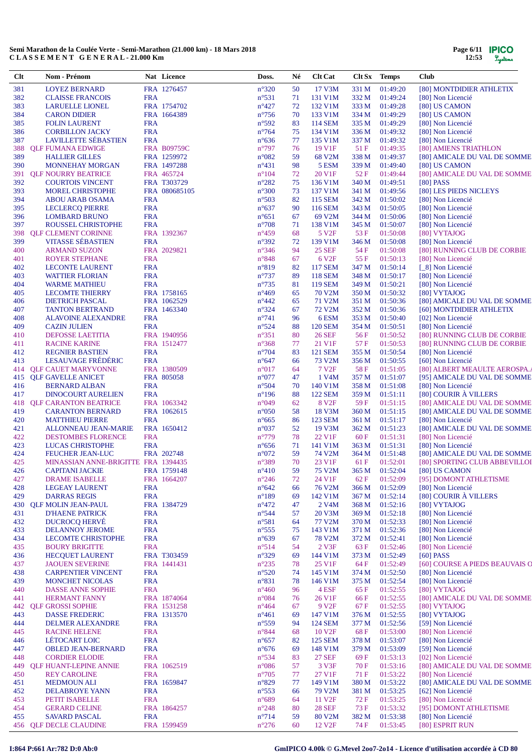| Clt | Nom - Prénom                                   |                          | Nat Licence   | Doss.                            | Né | <b>Clt Cat</b>     | Clt Sx | <b>Temps</b>   | <b>Club</b>                    |
|-----|------------------------------------------------|--------------------------|---------------|----------------------------------|----|--------------------|--------|----------------|--------------------------------|
| 381 | <b>LOYEZ BERNARD</b>                           |                          | FRA 1276457   | $n^{\circ}320$                   | 50 | 17 V3M             | 331 M  | 01:49:20       | [80] MONTDIDIER ATHLETIX       |
| 382 | <b>CLAISSE FRANCOIS</b>                        | <b>FRA</b>               |               | $n^{\circ}531$                   | 71 | 131 V1M            | 332 M  | 01:49:24       | [80] Non Licencié              |
| 383 | <b>LARUELLE LIONEL</b>                         |                          | FRA 1754702   | $n^{\circ}427$                   | 72 | 132 V1M            | 333 M  | 01:49:28       | [80] US CAMON                  |
| 384 | <b>CARON DIDIER</b>                            |                          | FRA 1664389   | $n^{\circ}$ 756                  | 70 | 133 V1M            | 334 M  | 01:49:29       | [80] US CAMON                  |
| 385 | <b>FOLIN LAURENT</b>                           | <b>FRA</b>               |               | n°592                            | 83 | <b>114 SEM</b>     | 335 M  | 01:49:29       | [80] Non Licencié              |
| 386 | <b>CORBILLON JACKY</b>                         | <b>FRA</b>               |               | $n^{\circ}$ 764                  | 75 | 134 V1M            | 336 M  | 01:49:32       | [80] Non Licencié              |
| 387 | <b>LAVILLETTE SÉBASTIEN</b>                    | <b>FRA</b>               |               | $n^{\circ}636$                   | 77 | 135 V1M            | 337 M  | 01:49:32       | [80] Non Licencié              |
| 388 | <b>QLF FUMANA EDWIGE</b>                       |                          | FRA B09759C   | $n^{\circ}797$                   | 76 | 19 V1F             | 51F    | 01:49:35       | [80] AMIENS TRIATHLON          |
| 389 | <b>HALLIER GILLES</b>                          |                          | FRA 1259972   | $n^{\circ}082$                   | 59 | 68 V2M             | 338 M  | 01:49:37       | [80] AMICALE DU VAL DE SOMME   |
| 390 | <b>MONNEHAY MORGAN</b>                         |                          | FRA 1497288   | $n^{\circ}431$                   | 98 | 5 ESM              | 339 M  | 01:49:40       | [80] US CAMON                  |
| 391 | <b>QLF NOURRY BEATRICE</b>                     |                          | FRA 465724    | $n^{\circ}104$                   | 72 | 20 V1F             | 52 F   | 01:49:44       | [80] AMICALE DU VAL DE SOMME   |
| 392 | <b>COURTOIS VINCENT</b>                        |                          | FRA T303729   | $n^{\circ}282$                   | 75 | 136 V1M            | 340 M  | 01:49:51       | $[80]$ PASS                    |
| 393 | <b>MOREL CHRISTOPHE</b>                        |                          | FRA 080685105 | $n^{\circ}300$                   | 73 | 137 V1M            | 341 M  | 01:49:56       | [80] LES PIEDS NICLEYS         |
| 394 | <b>ABOU ARAB OSAMA</b>                         | <b>FRA</b>               |               | $n^{\circ}503$                   | 82 | <b>115 SEM</b>     | 342 M  | 01:50:02       | [80] Non Licencié              |
| 395 | <b>LECLERCQ PIERRE</b>                         | <b>FRA</b>               |               | $n^{\circ}637$                   | 90 | 116 SEM            | 343 M  | 01:50:05       | [80] Non Licencié              |
| 396 | <b>LOMBARD BRUNO</b>                           | <b>FRA</b>               |               | $n^{\circ}651$                   | 67 | 69 V2M             | 344 M  | 01:50:06       | [80] Non Licencié              |
| 397 | ROUSSEL CHRISTOPHE                             | <b>FRA</b>               |               | $n^{\circ}708$                   | 71 | 138 V1M            | 345 M  | 01:50:07       | [80] Non Licencié              |
| 398 | <b>QLF CLEMENT CORINNE</b>                     |                          | FRA 1392367   | $n^{\circ}459$                   | 68 | 5 V <sub>2F</sub>  | 53 F   | 01:50:08       | [80] VYTAJOG                   |
| 399 | <b>VITASSE SÉBASTIEN</b>                       | <b>FRA</b>               |               | $n^{\circ}392$                   | 72 | 139 V1M            | 346 M  | 01:50:08       | [80] Non Licencié              |
| 400 | <b>ARMAND SUZON</b>                            |                          | FRA 2029821   | $n^{\circ}346$                   | 94 | <b>25 SEF</b>      | 54 F   | 01:50:08       | [80] RUNNING CLUB DE CORBIE    |
| 401 | <b>ROYER STEPHANE</b>                          | <b>FRA</b>               |               | n°848                            | 67 | 6 V <sub>2F</sub>  | 55 F   | 01:50:13       | [80] Non Licencié              |
| 402 | <b>LECONTE LAURENT</b>                         | <b>FRA</b>               |               | $n^{\circ}819$                   | 82 | <b>117 SEM</b>     | 347 M  | 01:50:14       | [_8] Non Licencié              |
|     |                                                |                          |               |                                  | 89 |                    |        | 01:50:17       |                                |
| 403 | <b>WATTIER FLORIAN</b><br><b>WARME MATHIEU</b> | <b>FRA</b><br><b>FRA</b> |               | $n^{\circ}737$<br>$n^{\circ}735$ |    | <b>118 SEM</b>     | 348 M  | 01:50:21       | [80] Non Licencié              |
| 404 |                                                |                          |               |                                  | 81 | <b>119 SEM</b>     | 349 M  |                | [80] Non Licencié              |
| 405 | <b>LECOMTE THIERRY</b>                         |                          | FRA 1758165   | $n^{\circ}469$                   | 65 | 70 V2M             | 350 M  | 01:50:32       | [80] VYTAJOG                   |
| 406 | <b>DIETRICH PASCAL</b>                         |                          | FRA 1062529   | $n^{\circ}442$                   | 65 | 71 V2M             | 351 M  | 01:50:36       | [80] AMICALE DU VAL DE SOMME   |
| 407 | <b>TANTON BERTRAND</b>                         |                          | FRA 1463340   | $n^{\circ}324$                   | 67 | 72 V2M             | 352 M  | 01:50:36       | [60] MONTDIDIER ATHLETIX       |
| 408 | <b>ALAVOINE ALEXANDRE</b>                      | <b>FRA</b>               |               | $n^{\circ}$ 741                  | 96 | 6ESM               | 353 M  | 01:50:40       | [02] Non Licencié              |
| 409 | <b>CAZIN JULIEN</b>                            | <b>FRA</b>               |               | $n^{\circ}524$                   | 88 | <b>120 SEM</b>     | 354 M  | 01:50:51       | [80] Non Licencié              |
| 410 | DEFOSSE LAETITIA                               |                          | FRA 1940956   | $n^{\circ}351$                   | 80 | <b>26 SEF</b>      | 56 F   | 01:50:52       | [80] RUNNING CLUB DE CORBIE    |
| 411 | <b>RACINE KARINE</b>                           |                          | FRA 1512477   | $n^{\circ}368$                   | 77 | 21 V1F             | 57 F   | 01:50:53       | [80] RUNNING CLUB DE CORBIE    |
| 412 | <b>REGNIER BASTIEN</b>                         | <b>FRA</b>               |               | $n^{\circ}704$                   | 83 | <b>121 SEM</b>     | 355 M  | 01:50:54       | [80] Non Licencié              |
| 413 | <b>LESAUVAGE FRÉDÉRIC</b>                      | <b>FRA</b>               |               | $n^{\circ}647$                   | 66 | 73 V2M             | 356 M  | 01:50:55       | [60] Non Licencié              |
| 414 | <b>QLF CAUET MARYVONNE</b>                     |                          | FRA 1380509   | n°017                            | 64 | 7 V <sub>2F</sub>  | 58F    | 01:51:05       | [80] ALBERT MEAULTE AEROSPA.   |
|     | 415 QLF GAVELLE ANICET                         |                          | FRA 805058    | $n^{\circ}077$                   | 47 | 1 V <sub>4</sub> M | 357 M  | 01:51:07       | [95] AMICALE DU VAL DE SOMME   |
| 416 | <b>BERNARD ALBAN</b>                           | <b>FRA</b>               |               | $n^{\circ}504$                   | 70 | 140 V1M            | 358 M  | 01:51:08       | [80] Non Licencié              |
| 417 | <b>DINOCOURT AURELIEN</b>                      | <b>FRA</b>               |               | $n^{\circ}$ 196                  | 88 | <b>122 SEM</b>     | 359 M  | 01:51:11       | [80] COURIR À VILLERS          |
| 418 | <b>QLF CARANTON BEATRICE</b>                   |                          | FRA 1063342   | n°049                            | 62 | 8 V <sub>2F</sub>  | 59 F   | 01:51:15       | [80] AMICALE DU VAL DE SOMME   |
| 419 | <b>CARANTON BERNARD</b>                        |                          | FRA 1062615   | $n^{\circ}050$                   | 58 | 18 V3M             | 360 M  | 01:51:15       | [80] AMICALE DU VAL DE SOMME   |
| 420 | <b>MATTHIEU PIERRE</b>                         | <b>FRA</b>               |               | $n^{\circ}665$                   | 86 | 123 SEM            | 361 M  | 01:51:17       | [80] Non Licencié              |
| 421 | <b>ALLONNEAU JEAN-MARIE</b>                    |                          | FRA 1650412   | $n^{\circ}037$                   | 52 | 19 V3M             | 362 M  | 01:51:23       | [80] AMICALE DU VAL DE SOMME   |
| 422 | <b>DESTOMBES FLORENCE</b>                      | <b>FRA</b>               |               | $n^{\circ}779$                   | 78 | 22 V1F             | 60 F   | 01:51:31       | [80] Non Licencié              |
| 423 | LUCAS CHRISTOPHE                               | <b>FRA</b>               |               | $n^{\circ}656$                   | 71 | 141 V1M            | 363 M  | 01:51:31       | [80] Non Licencié              |
| 424 | FEUCHER JEAN-LUC                               |                          | FRA 202748    | $n^{\circ}072$                   | 59 | 74 V2M             | 364 M  | 01:51:48       | [80] AMICALE DU VAL DE SOMME   |
| 425 | MINASSIAN ANNE-BRIGITTE FRA 1394435            |                          |               | $n^{\circ}389$                   | 70 | 23 V1F             | 61 F   | 01:52:01       | [80] SPORTING CLUB ABBEVILLOI  |
| 426 | <b>CAPITANI JACKIE</b>                         |                          | FRA 1759148   | $n^{\circ}410$                   | 59 | 75 V2M             |        | 365 M 01:52:04 | [80] US CAMON                  |
| 427 | DRAME ISABELLE                                 |                          | FRA 1664207   | $n^{\circ}246$                   | 72 | 24 V1F             | 62 F   | 01:52:09       | [95] DOMONT ATHLETISME         |
| 428 | <b>LEGEAY LAURENT</b>                          | <b>FRA</b>               |               | $n^{\circ}642$                   | 66 | 76 V2M             | 366 M  | 01:52:09       | [80] Non Licencié              |
| 429 | <b>DARRAS REGIS</b>                            | <b>FRA</b>               |               | $n^{\circ}189$                   | 69 | 142 V1M            | 367 M  | 01:52:14       | [80] COURIR À VILLERS          |
| 430 | <b>QLF MOLIN JEAN-PAUL</b>                     |                          | FRA 1384729   | $n^{\circ}472$                   | 47 | 2 V <sub>4</sub> M | 368 M  | 01:52:16       | [80] VYTAJOG                   |
| 431 | <b>D'HAENE PATRICK</b>                         | <b>FRA</b>               |               | $n^{\circ}$ 544                  | 57 | 20 V3M             | 369 M  | 01:52:18       | [80] Non Licencié              |
| 432 | DUCROCQ HERVÉ                                  | <b>FRA</b>               |               | $n^{\circ}581$                   | 64 | 77 V2M             | 370 M  | 01:52:33       | [80] Non Licencié              |
| 433 | <b>DELANNOY JEROME</b>                         | <b>FRA</b>               |               | $n^{\circ}$ 555                  | 75 | 143 V1M            | 371 M  | 01:52:36       | [80] Non Licencié              |
| 434 | <b>LECOMTE CHRISTOPHE</b>                      | <b>FRA</b>               |               | $n^{\circ}639$                   | 67 | 78 V2M             | 372 M  | 01:52:41       | [80] Non Licencié              |
| 435 | <b>BOURY BRIGITTE</b>                          | <b>FRA</b>               |               | $n^{\circ}514$                   | 54 | 2 V3F              | 63 F   | 01:52:46       | [80] Non Licencié              |
| 436 | <b>HECOUET LAURENT</b>                         |                          | FRA T303459   | $n^{\circ}329$                   | 69 | 144 V1M            | 373 M  | 01:52:49       | $[60]$ PASS                    |
| 437 | <b>JAOUEN SEVERINE</b>                         |                          | FRA 1441431   | $n^{\circ}235$                   | 78 | 25 V1F             | 64 F   | 01:52:49       | [60] COURSE A PIEDS BEAUVAIS O |
| 438 | <b>CARPENTIER VINCENT</b>                      | <b>FRA</b>               |               | $n^{\circ}520$                   | 74 | 145 V1M            | 374 M  | 01:52:50       | [80] Non Licencié              |
| 439 | <b>MONCHET NICOLAS</b>                         | <b>FRA</b>               |               | $n^{\circ}831$                   | 78 | 146 V1M            | 375 M  | 01:52:54       | [80] Non Licencié              |
| 440 | DASSE ANNE SOPHIE                              | <b>FRA</b>               |               | $n^{\circ}460$                   | 96 | 4 ESF              | 65 F   | 01:52:55       | [80] VYTAJOG                   |
| 441 | <b>HERMANT FANNY</b>                           |                          | FRA 1874064   | $n^{\circ}084$                   | 76 | 26 V1F             | 66 F   | 01:52:55       | [80] AMICALE DU VAL DE SOMME   |
| 442 | <b>QLF GROSSI SOPHIE</b>                       |                          | FRA 1531258   | $n^{\circ}464$                   | 67 | 9 V <sub>2F</sub>  | 67 F   | 01:52:55       | [80] VYTAJOG                   |
|     |                                                |                          |               |                                  |    |                    |        |                |                                |
| 443 | <b>DASSE FREDERIC</b>                          |                          | FRA 1313570   | $n^{\circ}461$                   | 69 | 147 V1M            | 376 M  | 01:52:55       | [80] VYTAJOG                   |
| 444 | <b>DELMER ALEXANDRE</b>                        | <b>FRA</b>               |               | $n^{\circ}559$                   | 94 | <b>124 SEM</b>     | 377 M  | 01:52:56       | [59] Non Licencié              |
| 445 | <b>RACINE HELENE</b>                           | <b>FRA</b>               |               | $n^{\circ}844$                   | 68 | 10 V <sub>2F</sub> | 68 F   | 01:53:00       | [80] Non Licencié              |
| 446 | LÉTOCART LOIC                                  | <b>FRA</b>               |               | $n^{\circ}657$                   | 82 | 125 SEM            | 378 M  | 01:53:07       | [80] Non Licencié              |
| 447 | <b>OBLED JEAN-BERNARD</b>                      | <b>FRA</b>               |               | $n^{\circ}676$                   | 69 | 148 V1M            | 379 M  | 01:53:09       | [59] Non Licencié              |
| 448 | <b>CORDIER ELODIE</b>                          | <b>FRA</b>               |               | $n^{\circ}$ 534                  | 83 | <b>27 SEF</b>      | 69 F   | 01:53:13       | [02] Non Licencié              |
| 449 | <b>QLF HUANT-LEPINE ANNIE</b>                  |                          | FRA 1062519   | $n^{\circ}086$                   | 57 | 3 V3F              | 70 F   | 01:53:16       | [80] AMICALE DU VAL DE SOMME   |
| 450 | <b>REY CAROLINE</b>                            | <b>FRA</b>               |               | $n^{\circ}705$                   | 77 | 27 V1F             | 71 F   | 01:53:22       | [80] Non Licencié              |
| 451 | <b>MEDMOUN ALI</b>                             |                          | FRA 1659847   | $n^{\circ}829$                   | 77 | 149 V1M            | 380 M  | 01:53:22       | [80] AMICALE DU VAL DE SOMME   |
| 452 | DELABROYE YANN                                 | <b>FRA</b>               |               | $n^{\circ}$ 553                  | 66 | 79 V2M             | 381 M  | 01:53:25       | [62] Non Licencié              |
| 453 | PETIT ISABELLE                                 | <b>FRA</b>               |               | $n^{\circ}689$                   | 64 | 11 V <sub>2F</sub> | 72 F   | 01:53:25       | [80] Non Licencié              |
| 454 | <b>GERARD CELINE</b>                           |                          | FRA 1864257   | $n^{\circ}248$                   | 80 | <b>28 SEF</b>      | 73 F   | 01:53:32       | [95] DOMONT ATHLETISME         |
| 455 | <b>SAVARD PASCAL</b>                           | <b>FRA</b>               |               | $n^{\circ}714$                   | 59 | 80 V2M             | 382 M  | 01:53:38       | [80] Non Licencié              |
|     | 456 QLF DECLE CLAUDINE                         |                          | FRA 1599459   | $n^{\circ}276$                   | 60 | 12 V <sub>2F</sub> | 74 F   | 01:53:45       | [80] ESPRIT RUN                |

# **I:864 P:661 Ar:782 D:0 Ab:0 GmIPICO 4.00k © G.Mevel 2oo7-2o14 - Licence d'utilisation accordée à CD 80**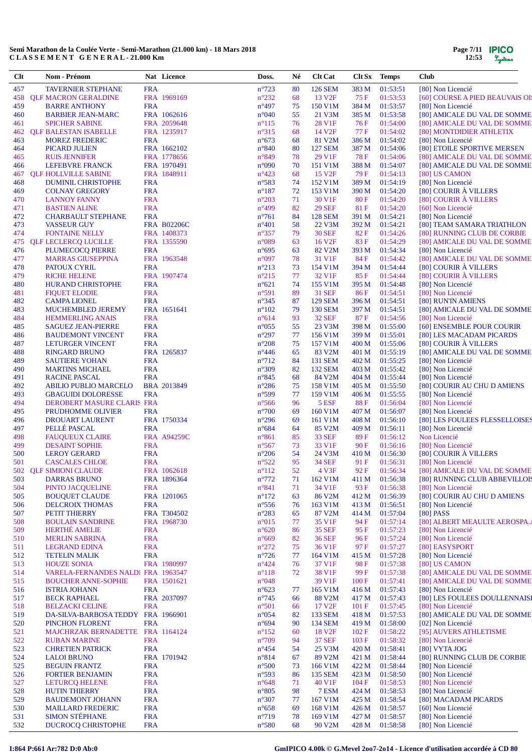| Clt        | Nom - Prénom                                            |                          | Nat Licence                | Doss.                             | Né       | <b>Clt Cat</b>                      | Clt Sx Temps   |                      | <b>Club</b>                                                  |
|------------|---------------------------------------------------------|--------------------------|----------------------------|-----------------------------------|----------|-------------------------------------|----------------|----------------------|--------------------------------------------------------------|
| 457        | <b>TAVERNIER STEPHANE</b>                               | <b>FRA</b>               |                            | $n^{\circ}723$                    | 80       | <b>126 SEM</b>                      | 383 M          | 01:53:51             | [80] Non Licencié                                            |
| 458        | <b>OLF MACRON GERALDINE</b>                             |                          | FRA 1969169                | $n^{\circ}232$                    | 68       | 13 V <sub>2F</sub>                  | 75 F           | 01:53:53             | [60] COURSE A PIED BEAUVAIS OI!                              |
| 459        | <b>BARRE ANTHONY</b>                                    | <b>FRA</b>               |                            | $n^{\circ}497$                    | 75       | 150 V1M                             | 384 M          | 01:53:57             | [80] Non Licencié                                            |
| 460<br>461 | <b>BARBIER JEAN-MARC</b><br><b>SPICHER SABINE</b>       |                          | FRA 1062616<br>FRA 2059648 | $n^{\circ}040$<br>$n^{\circ}115$  | 55<br>76 | 21 V3M<br>28 V1F                    | 385 M<br>76 F  | 01:53:58<br>01:54:00 | [80] AMICALE DU VAL DE SOMME<br>[80] AMICALE DU VAL DE SOMME |
| 462        | <b>OLF BALESTAN ISABELLE</b>                            |                          | FRA 1235917                | $n^{\circ}315$                    | 68       | 14 V <sub>2F</sub>                  | 77 F           | 01:54:02             | [80] MONTDIDIER ATHLETIX                                     |
| 463        | <b>MOREZ FREDERIC</b>                                   | <b>FRA</b>               |                            | $n^{\circ}673$                    | 68       | 81 V2M                              | 386 M          | 01:54:02             | [80] Non Licencié                                            |
| 464        | PICARD JULIEN                                           |                          | FRA 1662102                | $n^{\circ}840$                    | 80       | <b>127 SEM</b>                      | 387 M          | 01:54:06             | [80] ETOILE SPORTIVE MERSEN                                  |
| 465        | <b>RUIS JENNIFER</b>                                    |                          | FRA 1778656                | n°849                             | 78       | 29 V1F                              | 78 F           | 01:54:06             | [80] AMICALE DU VAL DE SOMME                                 |
| 466        | LEFEBVRE FRANCK                                         |                          | FRA 1970491                | $n^{\circ}090$                    | 70       | 151 V1M                             | 388 M          | 01:54:07             | [80] AMICALE DU VAL DE SOMME                                 |
| 467        | <b>OLF HOLLVILLE SABINE</b>                             |                          | FRA 1848911                | $n^{\circ}423$                    | 68       | 15 V <sub>2F</sub>                  | 79 F           | 01:54:13             | [80] US CAMON                                                |
| 468<br>469 | <b>DUMINIL CHRISTOPHE</b><br><b>COLNAY GREGORY</b>      | <b>FRA</b><br><b>FRA</b> |                            | n°583<br>$n^{\circ}187$           | 74<br>72 | 152 V1M<br>153 V1M                  | 389 M<br>390 M | 01:54:19<br>01:54:20 | [80] Non Licencié<br>[80] COURIR À VILLERS                   |
| 470        | <b>LANNOY FANNY</b>                                     | <b>FRA</b>               |                            | $n^{\circ}203$                    | 71       | 30 V1F                              | 80F            | 01:54:20             | [80] COURIR À VILLERS                                        |
| 471        | <b>BASTIEN ALINE</b>                                    | <b>FRA</b>               |                            | $n^{\circ}499$                    | 82       | <b>29 SEF</b>                       | 81 F           | 01:54:20             | [60] Non Licencié                                            |
| 472        | <b>CHARBAULT STEPHANE</b>                               | <b>FRA</b>               |                            | $n^{\circ}761$                    | 84       | <b>128 SEM</b>                      | 391 M          | 01:54:21             | [80] Non Licencié                                            |
| 473        | <b>VASSEUR GUY</b>                                      |                          | <b>FRA B02206C</b>         | $n^{\circ}401$                    | 58       | 22 V3M                              | 392 M          | 01:54:21             | [80] TEAM SAMARA TRIATHLON                                   |
| 474        | <b>FONTAINE NELLY</b>                                   |                          | FRA 1408373                | $n^{\circ}357$                    | 79       | <b>30 SEF</b>                       | 82F            | 01:54:26             | [80] RUNNING CLUB DE CORBIE                                  |
| 475        | <b>QLF LECLERCQ LUCILLE</b>                             |                          | FRA 1355590                | n°089                             | 63       | 16 V <sub>2F</sub>                  | 83F            | 01:54:29             | [80] AMICALE DU VAL DE SOMME                                 |
| 476<br>477 | PLUMECOCQ PIERRE<br><b>MARRAS GIUSEPPINA</b>            | <b>FRA</b>               | FRA 1963548                | $n^{\circ}695$<br>n°097           | 63<br>78 | 82 V2M<br>31 V1F                    | 393 M<br>84 F  | 01:54:34<br>01:54:42 | [80] Non Licencié<br>[80] AMICALE DU VAL DE SOMME            |
| 478        | PATOUX CYRIL                                            | <b>FRA</b>               |                            | $n^{\circ}213$                    | 73       | 154 V1M                             | 394 M          | 01:54:44             | [80] COURIR À VILLERS                                        |
| 479        | <b>RICHE HELENE</b>                                     |                          | FRA 1907474                | $n^{\circ}215$                    | 77       | 32 V1F                              | 85 F           | 01:54:44             | [80] COURIR À VILLERS                                        |
| 480        | HURAND CHRISTOPHE                                       | <b>FRA</b>               |                            | $n^{\circ}621$                    | 74       | 155 V1M                             | 395 M          | 01:54:48             | [80] Non Licencié                                            |
| 481        | <b>FIQUET ELODIE</b>                                    | <b>FRA</b>               |                            | n°591                             | 89       | 31 SEF                              | 86 F           | 01:54:51             | [80] Non Licencié                                            |
| 482        | <b>CAMPA LIONEL</b>                                     | <b>FRA</b>               |                            | $n^{\circ}345$                    | 87       | <b>129 SEM</b>                      | 396 M          | 01:54:51             | [80] RUN'IN AMIENS                                           |
| 483        | MUCHEMBLED JEREMY                                       |                          | FRA 1651641                | $n^{\circ}102$                    | 79       | <b>130 SEM</b>                      | 397 M          | 01:54:51             | [80] AMICALE DU VAL DE SOMME                                 |
| 484        | <b>HEMMERLING ANAIS</b>                                 | <b>FRA</b>               |                            | $n^{\circ}614$                    | 93       | <b>32 SEF</b>                       | 87 F           | 01:54:56             | [80] Non Licencié                                            |
| 485<br>486 | <b>SAGUEZ JEAN-PIERRE</b>                               | <b>FRA</b><br><b>FRA</b> |                            | $n^{\circ}055$<br>$n^{\circ}297$  | 55<br>77 | 23 V3M<br>156 V1M                   | 398 M<br>399 M | 01:55:00<br>01:55:01 | [60] ENSEMBLE POUR COURIR<br>[80] LES MACADAM PICARDS        |
| 487        | <b>BAUDEMONT VINCENT</b><br><b>LETURGER VINCENT</b>     | <b>FRA</b>               |                            | $n^{\circ}208$                    | 75       | 157 V1M                             | 400 M          | 01:55:06             | [80] COURIR À VILLERS                                        |
| 488        | <b>RINGARD BRUNO</b>                                    |                          | FRA 1265837                | $n^{\circ}446$                    | 65       | 83 V2M                              | 401 M          | 01:55:19             | [80] AMICALE DU VAL DE SOMME                                 |
| 489        | <b>SAUTIERE YOHAN</b>                                   | <b>FRA</b>               |                            | $n^{\circ}712$                    | 84       | <b>131 SEM</b>                      | 402 M          | 01:55:25             | [80] Non Licencié                                            |
| 490        | <b>MARTINS MICHAEL</b>                                  | <b>FRA</b>               |                            | n°309                             | 82       | <b>132 SEM</b>                      | 403 M          | 01:55:42             | [80] Non Licencié                                            |
| 491        | <b>RACINE PASCAL</b>                                    | <b>FRA</b>               |                            | $n^{\circ}845$                    | 68       | 84 V2M                              | 404 M          | 01:55:44             | [80] Non Licencié                                            |
| 492        | <b>ABILIO PUBLIO MARCELO</b>                            |                          | BRA 2013849                | $n^{\circ}286$                    | 75       | 158 V1M                             | 405 M          | 01:55:50             | [80] COURIR AU CHU D AMIENS                                  |
| 493        | <b>GBAGUIDI DOLORESSE</b>                               | <b>FRA</b>               |                            | n°599                             | 77       | 159 V1M                             | 406 M          | 01:55:55             | [80] Non Licencié                                            |
| 494<br>495 | DEROBERT MASURE CLARIS FRA<br>PRUDHOMME OLIVIER         | <b>FRA</b>               |                            | $n^{\circ}$ 566<br>$n^{\circ}700$ | 96<br>69 | 5 ESF<br>160 V1M                    | 88 F<br>407 M  | 01:56:04<br>01:56:07 | [80] Non Licencié<br>[80] Non Licencié                       |
| 496        | <b>DROUART LAURENT</b>                                  |                          | FRA 1750334                | $n^{\circ}296$                    | 69       | 161 V1M                             | 408 M          | 01:56:10             | [80] LES FOULEES FLESSELLOISES                               |
| 497        | PELLÉ PASCAL                                            | <b>FRA</b>               |                            | $n^{\circ}684$                    | 64       | 85 V2M                              | 409 M          | 01:56:11             | [80] Non Licencié                                            |
| 498        | <b>FAUQUEUX CLAIRE</b>                                  |                          | <b>FRA A94259C</b>         | $n^{\circ}861$                    | 85       | <b>33 SEF</b>                       | 89 F           | 01:56:12             | Non Licencié                                                 |
| 499        | <b>DESAINT SOPHIE</b>                                   | <b>FRA</b>               |                            | $n^{\circ}567$                    | 73       | 33 V1F                              | 90 F           | 01:56:16             | [80] Non Licencié                                            |
| 500        | <b>LEROY GERARD</b>                                     | <b>FRA</b>               |                            | $n^{\circ}206$                    | 54       | 24 V3M                              | 410 M          | 01:56:30             | [80] COURIR À VILLERS                                        |
| 501        | <b>CASCALES CHLOE</b>                                   | <b>FRA</b>               |                            | $n^{\circ}522$                    | 95       | <b>34 SEF</b>                       | 91F            | 01:56:31             | [80] Non Licencié                                            |
|            | 502 QLF SIMIONI CLAUDE                                  |                          | FRA 1062618                | $n^{\circ}112$                    | 52       | 4 V3F                               | 92 F           | 01:56:34             | [80] AMICALE DU VAL DE SOMME                                 |
| 503<br>504 | <b>DARRAS BRUNO</b><br>PINTO JACQUELINE                 | <b>FRA</b>               | FRA 1896364                | $n^{\circ}772$<br>$n^{\circ}841$  | 71<br>71 | 162 V1M<br>34 V1F                   | 411 M<br>93 F  | 01:56:38<br>01:56:38 | [80] RUNNING CLUB ABBEVILLOIS<br>[80] Non Licencié           |
| 505        | <b>BOUQUET CLAUDE</b>                                   |                          | FRA 1201065                | $n^{\circ}172$                    | 63       | 86 V2M                              | 412 M          | 01:56:39             | [80] COURIR AU CHU D AMIENS                                  |
| 506        | <b>DELCROIX THOMAS</b>                                  | <b>FRA</b>               |                            | $n^{\circ}$ 556                   | 76       | 163 V1M                             | 413 M          | 01:56:51             | [80] Non Licencié                                            |
| 507        | PETIT THIERRY                                           |                          | FRA T304502                | $n^{\circ}283$                    | 65       | 87 V2M                              | 414 M          | 01:57:04             | $[80]$ PASS                                                  |
| 508        | <b>BOULAIN SANDRINE</b>                                 |                          | FRA 1968730                | $n^{\circ}015$                    | 77       | 35 V1F                              | 94 F           | 01:57:14             | [80] ALBERT MEAULTE AEROSPA.                                 |
| 509        | <b>HERTHÉ AMELIE</b>                                    | <b>FRA</b>               |                            | $n^{\circ}620$                    | 86       | <b>35 SEF</b>                       | 95 F           | 01:57:23             | [80] Non Licencié                                            |
| 510        | <b>MERLIN SABRINA</b>                                   | <b>FRA</b>               |                            | $n^{\circ}669$                    | 82       | <b>36 SEF</b>                       | 96 F           | 01:57:24             | [80] Non Licencié                                            |
| 511        | <b>LEGRAND EDINA</b>                                    | <b>FRA</b>               |                            | $n^{\circ}272$                    | 75       | 36 V1F                              | 97 F           | 01:57:27             | [80] EASYSPORT                                               |
| 512<br>513 | <b>TETELIN MALIK</b><br><b>HOUZE SONIA</b>              | <b>FRA</b>               | FRA 1980997                | $n^{\circ}$ 726<br>$n^{\circ}424$ | 77<br>76 | 164 V1M<br>37 V1F                   | 415 M<br>98 F  | 01:57:28<br>01:57:38 | [80] Non Licencié<br>[80] US CAMON                           |
| 514        | VARELA-FERNANDES NALDI FRA 1963547                      |                          |                            | $n^{\circ}118$                    | 72       | 38 V1F                              | 99 F           | 01:57:38             | [80] AMICALE DU VAL DE SOMME                                 |
| 515        | <b>BOUCHER ANNE-SOPHIE</b>                              |                          | FRA 1501621                | n°048                             |          | 39 V1F                              | 100 F          | 01:57:41             | [80] AMICALE DU VAL DE SOMME                                 |
| 516        | <b>ISTRIA JOHANN</b>                                    | <b>FRA</b>               |                            | $n^{\circ}623$                    | 77       | 165 V1M                             | 416 M          | 01:57:43             | [80] Non Licencié                                            |
| 517        | <b>BECK RAPHAEL</b>                                     |                          | FRA 2037097                | $n^{\circ}$ 745                   | 66       | 88 V2M                              | 417 M          | 01:57:43             | [80] LES FOULEES DOULLENNAISI                                |
| 518        | <b>BELZACKI CELINE</b>                                  | <b>FRA</b>               |                            | $n^{\circ}501$                    | 66       | 17 V <sub>2F</sub>                  | 101 F          | 01:57:45             | [80] Non Licencié                                            |
| 519        | DA-SILVA-BARBOSA TEDDY FRA 1966901                      |                          |                            | $n^{\circ}054$                    | 82       | 133 SEM                             | 418 M          | 01:57:53             | [80] AMICALE DU VAL DE SOMME                                 |
| 520        | PINCHON FLORENT                                         | <b>FRA</b>               |                            | n°694                             | 90       | 134 SEM                             | 419 M          | 01:58:00             | [02] Non Licencié                                            |
| 521<br>522 | MAJCHRZAK BERNADETTE FRA 1164124<br><b>RUBAN MARINE</b> | <b>FRA</b>               |                            | $n^{\circ}152$<br>$n^{\circ}709$  | 60<br>94 | 18 V <sub>2F</sub><br><b>37 SEF</b> | 102 F<br>103 F | 01:58:22<br>01:58:32 | [95] AUVERS ATHLETISME<br>[80] Non Licencié                  |
| 523        | <b>CHRETIEN PATRICK</b>                                 | <b>FRA</b>               |                            | $n^{\circ}454$                    | 54       | 25 V3M                              | 420 M          | 01:58:41             | [80] VYTA JOG                                                |
| 524        | <b>LALOI BRUNO</b>                                      |                          | FRA 1701942                | n°814                             | 67       | 89 V2M                              | 421 M          | 01:58:44             | [80] RUNNING CLUB DE CORBIE                                  |
| 525        | <b>BEGUIN FRANTZ</b>                                    | <b>FRA</b>               |                            | $n^{\circ}500$                    | 73       | 166 V1M                             | 422 M          | 01:58:44             | [80] Non Licencié                                            |
| 526        | <b>FORTIER BENJAMIN</b>                                 | <b>FRA</b>               |                            | n°593                             | 86       | <b>135 SEM</b>                      | 423 M          | 01:58:50             | [80] Non Licencié                                            |
| 527        | <b>LETURCQ HELENE</b>                                   | <b>FRA</b>               |                            | $n^{\circ}648$                    | 71       | 40 V1F                              | 104 F          | 01:58:53             | [80] Non Licencié                                            |
| 528        | <b>HUTIN THIERRY</b>                                    | <b>FRA</b>               |                            | $n^{\circ}805$                    | 98       | 7 ESM                               | 424 M          | 01:58:53             | [80] Non Licencié                                            |
| 529        | <b>BAUDEMONT JOHANN</b>                                 | <b>FRA</b>               |                            | $n^{\circ}307$                    | 77       | 167 V1M                             | 425 M          | 01:58:54             | [80] MACADAM PICARDS                                         |
| 530        | <b>MAILLARD FREDERIC</b>                                | <b>FRA</b>               |                            | $n^{\circ}658$                    | 69       | 168 V1M                             | 426 M          | 01:58:57             | [60] Non Licencié                                            |
| 531<br>532 | <b>SIMON STÉPHANE</b><br>DUCROCQ CHRISTOPHE             | <b>FRA</b><br><b>FRA</b> |                            | $n^{\circ}719$<br>$n^{\circ}580$  | 78<br>68 | 169 V1M<br>90 V2M                   | 427 M<br>428 M | 01:58:57<br>01:58:58 | [80] Non Licencié<br>[80] Non Licencié                       |
|            |                                                         |                          |                            |                                   |          |                                     |                |                      |                                                              |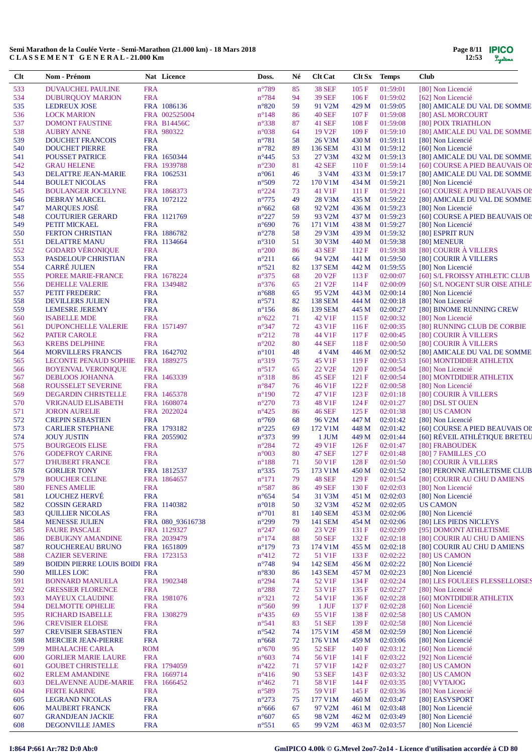| $Cl$ t     | Nom - Prénom                                                   |                          | Nat Licence                      | Doss.                            | Né       | <b>Clt Cat</b>                       | Clt Sx Temps   |                      | <b>Club</b>                                                       |
|------------|----------------------------------------------------------------|--------------------------|----------------------------------|----------------------------------|----------|--------------------------------------|----------------|----------------------|-------------------------------------------------------------------|
| 533        | DUVAUCHEL PAULINE                                              | <b>FRA</b>               |                                  | $n^{\circ}789$                   | 85       | <b>38 SEF</b>                        | 105 F          | 01:59:01             | [80] Non Licencié                                                 |
| 534        | <b>DUBURQUOY MARION</b>                                        | <b>FRA</b>               |                                  | $n^{\circ}784$                   | 94       | <b>39 SEF</b>                        | 106 F          | 01:59:02             | [62] Non Licencié                                                 |
| 535        | <b>LEDREUX JOSE</b>                                            |                          | FRA 1086136                      | $n^{\circ}820$                   | 59       | 91 V2M                               | 429 M          | 01:59:05             | [80] AMICALE DU VAL DE SOMME                                      |
| 536        | <b>LOCK MARION</b>                                             |                          | FRA 002525004                    | $n^{\circ}148$                   | 86       | <b>40 SEF</b>                        | 107F           | 01:59:08             | [80] ASL MORCOURT                                                 |
| 537<br>538 | <b>DOMONT FAUSTINE</b><br><b>AUBRY ANNE</b>                    |                          | <b>FRA B14456C</b><br>FRA 980322 | $n^{\circ}338$<br>$n^{\circ}038$ | 87<br>64 | 41 SEF<br>19 V <sub>2F</sub>         | 108 F<br>109F  | 01:59:08<br>01:59:10 | [80] POIX TRIATHLON<br>[80] AMICALE DU VAL DE SOMME               |
| 539        | <b>DOUCHET FRANCOIS</b>                                        | <b>FRA</b>               |                                  | $n^{\circ}781$                   | 58       | 26 V3M                               | 430 M          | 01:59:11             | [80] Non Licencié                                                 |
| 540        | <b>DOUCHET PIERRE</b>                                          | <b>FRA</b>               |                                  | $n^{\circ}782$                   | 89       | 136 SEM                              | 431 M          | 01:59:12             | [60] Non Licencié                                                 |
| 541        | <b>POUSSET PATRICE</b>                                         |                          | FRA 1650344                      | $n^{\circ}445$                   | 53       | 27 V3M                               | 432 M          | 01:59:13             | [80] AMICALE DU VAL DE SOMME                                      |
| 542        | <b>GRAU HELENE</b>                                             |                          | FRA 1939788                      | $n^{\circ}230$                   | 81       | <b>42 SEF</b>                        | 110F           | 01:59:14             | [60] COURSE A PIED BEAUVAIS OI!                                   |
| 543        | DELATTRE JEAN-MARIE                                            |                          | FRA 1062531                      | $n^{\circ}061$                   | 46       | 3 V <sub>4</sub> M                   | 433 M          | 01:59:17             | [80] AMICALE DU VAL DE SOMME                                      |
| 544        | <b>BOULET NICOLAS</b>                                          | <b>FRA</b>               |                                  | $n^{\circ}509$                   | 72       | 170 V1M                              | 434 M          | 01:59:21             | [80] Non Licencié                                                 |
| 545        | <b>BOULANGER JOCELYNE</b>                                      |                          | FRA 1868373                      | $n^{\circ}224$                   | 73       | 41 V1F                               | 111F           | 01:59:21             | [60] COURSE A PIED BEAUVAIS OI!                                   |
| 546<br>547 | <b>DEBRAY MARCEL</b><br><b>MARQUES JOSÉ</b>                    | <b>FRA</b>               | FRA 1072122                      | $n^{\circ}775$<br>$n^{\circ}662$ | 49<br>68 | 28 V3M<br>92 V2M                     | 435 M<br>436 M | 01:59:22<br>01:59:23 | [80] AMICALE DU VAL DE SOMME<br>[80] Non Licencié                 |
| 548        | <b>COUTURIER GERARD</b>                                        |                          | FRA 1121769                      | $n^{\circ}227$                   | 59       | 93 V2M                               | 437 M          | 01:59:23             | [60] COURSE A PIED BEAUVAIS OI!                                   |
| 549        | PETIT MICKAEL                                                  | <b>FRA</b>               |                                  | $n^{\circ}690$                   | 76       | 171 V1M                              | 438 M          | 01:59:27             | [80] Non Licencié                                                 |
| 550        | <b>FERTON CHRISTIAN</b>                                        |                          | FRA 1886782                      | $n^{\circ}278$                   | 58       | 29 V3M                               | 439 M          | 01:59:32             | [80] ESPRIT RUN                                                   |
| 551        | <b>DELATTRE MANU</b>                                           |                          | FRA 1134664                      | $n^{\circ}310$                   | 51       | 30 V3M                               | 440 M          | 01:59:38             | [80] MENEUR                                                       |
| 552        | <b>GODARD VÉRONIQUE</b>                                        | <b>FRA</b>               |                                  | $n^{\circ}200$                   | 86       | 43 SEF                               | 112F           | 01:59:38             | [80] COURIR À VILLERS                                             |
| 553        | PASDELOUP CHRISTIAN                                            | <b>FRA</b>               |                                  | $n^{\circ}211$                   | 66       | 94 V2M                               | 441 M          | 01:59:50             | [80] COURIR À VILLERS                                             |
| 554<br>555 | <b>CARRÉ JULIEN</b>                                            | <b>FRA</b>               | FRA 1678224                      | $n^{\circ}521$<br>$n^{\circ}375$ | 82       | <b>137 SEM</b><br>20 V <sub>2F</sub> | 442 M          | 01:59:55<br>02:00:07 | [80] Non Licencié                                                 |
| 556        | POREE MARIE-FRANCE<br><b>DEHELLE VALERIE</b>                   |                          | FRA 1349482                      | $n^{\circ}376$                   | 68<br>65 | 21 V <sub>2F</sub>                   | 113 F<br>114F  | 02:00:09             | [60] S/L FROISSY ATHLETIC CLUB<br>[60] S/L NOGENT SUR OISE ATHLET |
| 557        | PETIT FREDERIC                                                 | <b>FRA</b>               |                                  | $n^{\circ}688$                   | 65       | 95 V2M                               | 443 M          | 02:00:14             | [80] Non Licencié                                                 |
| 558        | <b>DEVILLERS JULIEN</b>                                        | <b>FRA</b>               |                                  | $n^{\circ}571$                   | 82       | <b>138 SEM</b>                       | 444 M          | 02:00:18             | [80] Non Licencié                                                 |
| 559        | <b>LEMESRE JEREMY</b>                                          | <b>FRA</b>               |                                  | $n^{\circ}156$                   | 86       | 139 SEM                              | 445 M          | 02:00:27             | [80] BINOME RUNNING CREW                                          |
| 560        | <b>ISABELLE MDE</b>                                            | <b>FRA</b>               |                                  | $n^{\circ}622$                   | 71       | 42 V1F                               | 115 F          | 02:00:32             | [80] Non Licencié                                                 |
| 561        | <b>DUPONCHELLE VALERIE</b>                                     |                          | FRA 1571497                      | $n^{\circ}347$                   | 72       | 43 V1F                               | 116F           | 02:00:35             | [80] RUNNING CLUB DE CORBIE                                       |
| 562        | PATER CAROLE                                                   | <b>FRA</b><br><b>FRA</b> |                                  | $n^{\circ}212$<br>$n^{\circ}202$ | 78       | 44 V1F<br><b>44 SEF</b>              | 117F           | 02:00:45<br>02:00:50 | [80] COURIR À VILLERS<br>[80] COURIR À VILLERS                    |
| 563<br>564 | <b>KREBS DELPHINE</b><br><b>MORVILLERS FRANCIS</b>             |                          | FRA 1642702                      | $n^{\circ}101$                   | 80<br>48 | 4 V <sub>4</sub> M                   | 118F<br>446 M  | 02:00:52             | [80] AMICALE DU VAL DE SOMME                                      |
| 565        | <b>LECONTE PENAUD SOPHIE</b>                                   |                          | FRA 1889275                      | $n^{\circ}319$                   | 75       | 45 V1F                               | 119F           | 02:00:53             | [60] MONTDIDIER ATHLETIX                                          |
| 566        | <b>BOYENVAL VERONIQUE</b>                                      | <b>FRA</b>               |                                  | $n^{\circ}517$                   | 65       | 22 V <sub>2F</sub>                   | 120F           | 02:00:54             | [80] Non Licencié                                                 |
| 567        | <b>DEBLOOS JOHANNA</b>                                         |                          | FRA 1463339                      | $n^{\circ}318$                   | 86       | 45 SEF                               | 121 F          | 02:00:54             | [80] MONTDIDIER ATHLETIX                                          |
| 568        | ROUSSELET SEVERINE                                             | <b>FRA</b>               |                                  | $n^{\circ}847$                   | 76       | 46 V1F                               | 122 F          | 02:00:58             | [80] Non Licencié                                                 |
| 569        | <b>DEGARDIN CHRISTELLE</b>                                     |                          | FRA 1465378                      | $n^{\circ}190$                   | 72       | 47 V1F                               | 123 F          | 02:01:18             | [80] COURIR À VILLERS                                             |
| 570        | <b>VRIGNAUD ELISABETH</b>                                      |                          | FRA 1608074                      | $n^{\circ}270$                   | 73       | 48 V1F                               | 124 F          | 02:01:27             | [80] DSL ST OUEN                                                  |
| 571<br>572 | <b>JORON AURELIE</b><br><b>CREPIN SEBASTIEN</b>                | <b>FRA</b>               | FRA 2022024                      | $n^{\circ}425$<br>$n^{\circ}769$ | 86<br>68 | <b>46 SEF</b><br>96 V2M              | 125F<br>447 M  | 02:01:38<br>02:01:42 | [80] US CAMON<br>[80] Non Licencié                                |
| 573        | <b>CARLIER STEPHANE</b>                                        |                          | FRA 1793182                      | $n^{\circ}225$                   | 69       | 172 V1M                              | 448 M          | 02:01:42             | [60] COURSE A PIED BEAUVAIS OI!                                   |
| 574        | <b>JOUY JUSTIN</b>                                             |                          | FRA 2055902                      | $n^{\circ}373$                   | 99       | 1 JUM                                | 449 M          | 02:01:44             | [60] RÉVEIL ATHLÉTIQUE BRETEU                                     |
| 575        | <b>BOURGEOIS ELISE</b>                                         | <b>FRA</b>               |                                  | $n^{\circ}284$                   | 72       | 49 V1F                               | 126F           | 02:01:47             | [80] FRABOUDEK                                                    |
| 576        | <b>GODEFROY CARINE</b>                                         | <b>FRA</b>               |                                  | $n^{\circ}003$                   | 80       | <b>47 SEF</b>                        | 127 F          | 02:01:48             | [80] 7 FAMILLES CO                                                |
| 577        | <b>D'HUBERT FRANCE</b>                                         | <b>FRA</b>               |                                  | $n^{\circ}188$                   | 71       | 50 V1F                               | 128F           | 02:01:50             | [80] COURIR À VILLERS                                             |
| 578        | <b>GORLIER TONY</b>                                            |                          | FRA 1812537                      | $n^{\circ}335$                   | 75       | 173 V1M                              | 450 M          | 02:01:52             | [80] PERONNE ATHLETISME CLUB                                      |
| 579        | <b>BOUCHER CELINE</b>                                          | <b>FRA</b>               | FRA 1864657                      | $n^{\circ}171$<br>$n^{\circ}587$ | 79       | 48 SEF<br><b>49 SEF</b>              | 129F<br>130 F  | 02:01:54<br>02:02:03 | [80] COURIR AU CHU D AMIENS                                       |
| 580<br>581 | <b>FENES AMELIE</b><br><b>LOUCHEZ HERVE</b>                    | <b>FRA</b>               |                                  | $n^{\circ}654$                   | 86<br>54 | 31 V3M                               | 451 M          | 02:02:03             | [80] Non Licencié<br>[80] Non Licencié                            |
| 582        | <b>COSSIN GERARD</b>                                           |                          | FRA 1140382                      | $n^{\circ}018$                   | 50       | 32 V3M                               | 452 M          | 02:02:05             | <b>US CAMON</b>                                                   |
| 583        | <b>QUILLIER NICOLAS</b>                                        | <b>FRA</b>               |                                  | $n^{\circ}701$                   | 81       | <b>140 SEM</b>                       | 453 M          | 02:02:06             | [80] Non Licencié                                                 |
| 584        | <b>MENESSE JULIEN</b>                                          |                          | FRA 080_93616738                 | $n^{\circ}299$                   | 79       | <b>141 SEM</b>                       | 454 M          | 02:02:06             | [80] LES PIEDS NICLEYS                                            |
| 585        | <b>FAURE PASCALE</b>                                           |                          | FRA 1129327                      | $n^{\circ}247$                   | 60       | 23 V <sub>2F</sub>                   | 131 F          | 02:02:09             | [95] DOMONT ATHLETISME                                            |
| 586        | <b>DEBUIGNY AMANDINE</b>                                       |                          | FRA 2039479                      | $n^{\circ}174$                   | 88       | <b>50 SEF</b>                        | 132 F          | 02:02:18             | [80] COURIR AU CHU D AMIENS                                       |
| 587        | ROUCHEREAU BRUNO                                               |                          | FRA 1651809                      | $n^{\circ}179$                   | 73       | 174 V1M                              | 455 M          | 02:02:18             | [80] COURIR AU CHU D AMIENS                                       |
| 588<br>589 | <b>CAZIER SEVERINE</b><br><b>BOIDIN PIERRE LOUIS BOIDI FRA</b> |                          | FRA 1723153                      | $n^{\circ}412$<br>$n^{\circ}748$ | 72<br>94 | 51 V1F<br><b>142 SEM</b>             | 133 F<br>456 M | 02:02:22<br>02:02:22 | [80] US CAMON<br>[80] Non Licencié                                |
| 590        | <b>MILLES LOIC</b>                                             | <b>FRA</b>               |                                  | $n^{\circ}830$                   | 86       | 143 SEM                              | 457 M          | 02:02:23             | [80] Non Licencié                                                 |
| 591        | <b>BONNARD MANUELA</b>                                         |                          | FRA 1902348                      | $n^{\circ}294$                   | 74       | 52 V <sub>1F</sub>                   | 134 F          | 02:02:24             | [80] LES FOULEES FLESSELLOISES                                    |
| 592        | <b>GRESSIER FLORENCE</b>                                       | <b>FRA</b>               |                                  | $n^{\circ}288$                   | 72       | 53 V1F                               | 135 F          | 02:02:27             | [80] Non Licencié                                                 |
| 593        | <b>MAYEUX CLAUDINE</b>                                         |                          | FRA 1981076                      | $n^{\circ}321$                   | 72       | 54 V1F                               | 136 F          | 02:02:28             | [60] MONTDIDIER ATHLETIX                                          |
| 594        | DELMOTTE OPHELIE                                               | <b>FRA</b>               |                                  | $n^{\circ}560$                   | 99       | 1 JUF                                | 137 F          | 02:02:28             | [60] Non Licencié                                                 |
| 595        | RICHARD ISABELLE                                               |                          | FRA 1308279                      | $n^{\circ}435$                   | 69       | 55 V1F                               | 138 F          | 02:02:58             | [80] US CAMON                                                     |
| 596        | <b>CREVISIER ELOISE</b>                                        | <b>FRA</b>               |                                  | $n^{\circ}541$                   | 83       | 51 SEF                               | 139F           | 02:02:58             | [80] Non Licencié                                                 |
| 597<br>598 | <b>CREVISIER SEBASTIEN</b><br><b>MERCIER JEAN-PIERRE</b>       | <b>FRA</b><br><b>FRA</b> |                                  | $n^{\circ}542$<br>$n^{\circ}668$ | 74<br>72 | 175 V1M<br>176 V1M                   | 458 M<br>459 M | 02:02:59<br>02:03:06 | [80] Non Licencié<br>[80] Non Licencié                            |
| 599        | <b>MIHALACHE CARLA</b>                                         | <b>ROM</b>               |                                  | $n^{\circ}670$                   | 95       | <b>52 SEF</b>                        | 140 F          | 02:03:12             | [60] Non Licencié                                                 |
| 600        | <b>GORLIER MARIE LAURE</b>                                     | <b>FRA</b>               |                                  | $n^{\circ}603$                   | 74       | 56 V1F                               | 141 F          | 02:03:22             | [92] Non Licencié                                                 |
| 601        | <b>GOUBET CHRISTELLE</b>                                       |                          | FRA 1794059                      | $n^{\circ}422$                   | 71       | 57 V1F                               | 142 F          | 02:03:27             | [80] US CAMON                                                     |
| 602        | <b>ERLEM AMANDINE</b>                                          |                          | FRA 1669714                      | $n^{\circ}416$                   | 90       | 53 SEF                               | 143 F          | 02:03:32             | [80] US CAMON                                                     |
| 603        | DELAVENNE AUDE-MARIE                                           |                          | FRA 1666452                      | $n^{\circ}462$                   | 71       | 58 V1F                               | 144 F          | 02:03:35             | [80] VYTAJOG                                                      |
| 604        | <b>FERTE KARINE</b>                                            | <b>FRA</b>               |                                  | $n^{\circ}589$                   | 75       | 59 V1F                               | 145 F          | 02:03:36             | [80] Non Licencié                                                 |
| 605        | <b>LEGRAND NICOLAS</b>                                         | <b>FRA</b>               |                                  | $n^{\circ}273$                   | 75       | 177 V1M                              | 460 M          | 02:03:47             | [80] EASYSPORT                                                    |
| 606        | <b>MAUBERT FRANCK</b>                                          | <b>FRA</b>               |                                  | $n^{\circ}666$                   | 67       | 97 V2M                               | 461 M          | 02:03:48             | [80] Non Licencié                                                 |
| 607<br>608 | <b>GRANDJEAN JACKIE</b><br>DEGONVILLE JAMES                    | <b>FRA</b><br><b>FRA</b> |                                  | $n^{\circ}607$<br>$n^{\circ}551$ | 65<br>65 | 98 V2M<br>99 V2M                     | 462 M<br>463 M | 02:03:49<br>02:03:57 | [80] Non Licencié<br>[80] Non Licencié                            |
|            |                                                                |                          |                                  |                                  |          |                                      |                |                      |                                                                   |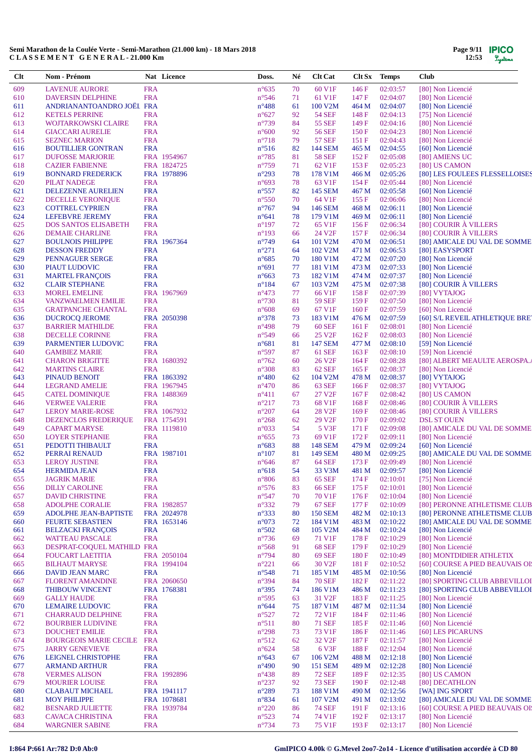| Clt        | Nom - Prénom                                       |                          | Nat Licence                | Doss.                            | Né       | <b>Clt Cat</b>                      | Clt Sx Temps   |                      | <b>Club</b>                                     |
|------------|----------------------------------------------------|--------------------------|----------------------------|----------------------------------|----------|-------------------------------------|----------------|----------------------|-------------------------------------------------|
| 609        | <b>LAVENUE AURORE</b>                              | <b>FRA</b>               |                            | $n^{\circ}635$                   | 70       | 60 V1F                              | 146F           | 02:03:57             | [80] Non Licencié                               |
| 610        | <b>DAVERSIN DELPHINE</b>                           | <b>FRA</b>               |                            | $n^{\circ}$ 546                  | 71       | 61 V1F                              | 147 F          | 02:04:07             | [80] Non Licencié                               |
| 611        | ANDRIANANTOANDRO JOËL FRA                          |                          |                            | $n^{\circ}488$                   | 61       | 100 V2M                             | 464 M          | 02:04:07             | [80] Non Licencié                               |
| 612        | <b>KETELS PERRINE</b>                              | <b>FRA</b>               |                            | $n^{\circ}627$                   | 92       | <b>54 SEF</b>                       | 148 F          | 02:04:13             | [75] Non Licencié                               |
| 613        | WOJTARKOWSKI CLAIRE                                | <b>FRA</b>               |                            | $n^{\circ}739$                   | 84       | <b>55 SEF</b>                       | 149 F          | 02:04:16             | [80] Non Licencié                               |
| 614        | <b>GIACCARI AURELIE</b>                            | <b>FRA</b>               |                            | $n^{\circ}600$                   | 92       | <b>56 SEF</b>                       | 150 F          | 02:04:23             | [80] Non Licencié                               |
| 615        | <b>SEZNEC MARION</b>                               | <b>FRA</b>               |                            | $n^{\circ}718$                   | 79       | <b>57 SEF</b>                       | 151F           | 02:04:43             | [80] Non Licencié                               |
| 616        | <b>BOUTILLIER GONTRAN</b>                          | <b>FRA</b>               |                            | $n^{\circ}516$                   | 82       | <b>144 SEM</b>                      | 465 M          | 02:04:55             | [60] Non Licencié                               |
| 617        | <b>DUFOSSE MARJORIE</b>                            |                          | FRA 1954967                | $n^{\circ}785$                   | 81       | <b>58 SEF</b>                       | 152F           | 02:05:08             | [80] AMIENS UC                                  |
| 618<br>619 | <b>CAZIER FABIENNE</b><br><b>BONNARD FREDERICK</b> |                          | FRA 1824725<br>FRA 1978896 | $n^{\circ}759$<br>$n^{\circ}293$ | 71<br>78 | 62 V1F<br>178 V1M                   | 153F<br>466 M  | 02:05:23<br>02:05:26 | [80] US CAMON<br>[80] LES FOULEES FLESSELLOISES |
| 620        | <b>PILAT NADEGE</b>                                | <b>FRA</b>               |                            | $n^{\circ}693$                   | 78       | 63 V1F                              | 154F           | 02:05:44             | [80] Non Licencié                               |
| 621        | DELEZENNE AURELIEN                                 | <b>FRA</b>               |                            | $n^{\circ}$ 557                  | 82       | 145 SEM                             | 467 M          | 02:05:58             | [60] Non Licencié                               |
| 622        | DECELLE VERONIQUE                                  | <b>FRA</b>               |                            | $n^{\circ}550$                   | 70       | 64 V1F                              | 155 F          | 02:06:06             | [80] Non Licencié                               |
| 623        | <b>COTTREL CYPRIEN</b>                             | <b>FRA</b>               |                            | $n^{\circ}767$                   | 94       | <b>146 SEM</b>                      | 468 M          | 02:06:11             | [80] Non Licencié                               |
| 624        | <b>LEFEBVRE JEREMY</b>                             | <b>FRA</b>               |                            | $n^{\circ}641$                   | 78       | 179 V1M                             | 469 M          | 02:06:11             | [80] Non Licencié                               |
| 625        | <b>DOS SANTOS ELISABETH</b>                        | <b>FRA</b>               |                            | $n^{\circ}197$                   | 72       | 65 V1F                              | 156F           | 02:06:34             | [80] COURIR À VILLERS                           |
| 626        | <b>DEMAIE CHARLINE</b>                             | <b>FRA</b>               |                            | $n^{\circ}193$                   | 66       | 24 V <sub>2F</sub>                  | 157 F          | 02:06:34             | [80] COURIR À VILLERS                           |
| 627        | <b>BOULNOIS PHILIPPE</b>                           |                          | FRA 1967364                | $n^{\circ}$ 749                  | 64       | 101 V2M                             | 470 M          | 02:06:51             | [80] AMICALE DU VAL DE SOMME                    |
| 628        | <b>DESSON FREDDY</b>                               | <b>FRA</b>               |                            | $n^{\circ}271$                   | 64       | 102 V <sub>2</sub> M                | 471 M          | 02:06:53             | [80] EASYSPORT                                  |
| 629        | PENNAGUER SERGE                                    | <b>FRA</b>               |                            | $n^{\circ}685$                   | 70       | 180 V1M                             | 472 M          | 02:07:20             | [80] Non Licencié                               |
| 630        | PIAUT LUDOVIC                                      | <b>FRA</b>               |                            | $n^{\circ}691$                   | 77       | 181 V1M                             | 473 M          | 02:07:33             | [80] Non Licencié                               |
| 631        | <b>MARTEL FRANÇOIS</b>                             | <b>FRA</b>               |                            | $n^{\circ}663$                   | 73       | 182 V1M                             | 474 M          | 02:07:37             | [80] Non Licencié                               |
| 632        | <b>CLAIR STEPHANE</b>                              | <b>FRA</b>               |                            | $n^{\circ}184$                   | 67       | 103 V2M                             | 475 M          | 02:07:38             | [80] COURIR À VILLERS                           |
| 633        | <b>MOREL EMELINE</b>                               |                          | FRA 1967969                | $n^{\circ}473$                   | 77       | 66 V1F                              | 158 F          | 02:07:39             | [80] VYTAJOG                                    |
| 634        | <b>VANZWAELMEN EMILIE</b>                          | <b>FRA</b>               |                            | $n^{\circ}730$                   | 81       | <b>59 SEF</b>                       | 159F           | 02:07:50             | [80] Non Licencié                               |
| 635        | <b>GRATPANCHE CHANTAL</b>                          | <b>FRA</b>               |                            | $n^{\circ}608$                   | 69       | 67 V1F                              | 160 F          | 02:07:59             | [60] Non Licencié                               |
| 636        | <b>DUCROCQ JEROME</b>                              |                          | FRA 2050398                | $n^{\circ}378$                   | 73       | 183 V1M                             | 476 M          | 02:07:59             | [60] S/L REVEIL ATHLETIQUE BRE                  |
| 637<br>638 | <b>BARRIER MATHILDE</b>                            | <b>FRA</b><br><b>FRA</b> |                            | $n^{\circ}498$<br>$n^{\circ}549$ | 79<br>66 | <b>60 SEF</b><br>25 V <sub>2F</sub> | 161 F<br>162F  | 02:08:01<br>02:08:03 | [80] Non Licencié<br>[80] Non Licencié          |
| 639        | DECELLE CORINNE<br>PARMENTIER LUDOVIC              | <b>FRA</b>               |                            | $n^{\circ}681$                   | 81       | <b>147 SEM</b>                      | 477 M          | 02:08:10             | [59] Non Licencié                               |
| 640        | <b>GAMBIEZ MARIE</b>                               | <b>FRA</b>               |                            | $n^{\circ}597$                   | 87       | <b>61 SEF</b>                       | 163 F          | 02:08:10             | [59] Non Licencié                               |
| 641        | <b>CHARON BRIGITTE</b>                             |                          | FRA 1680392                | $n^{\circ}762$                   | 60       | 26 V <sub>2F</sub>                  | 164F           | 02:08:28             | [80] ALBERT MEAULTE AEROSPA.                    |
| 642        | <b>MARTINS CLAIRE</b>                              | <b>FRA</b>               |                            | $n^{\circ}308$                   | 83       | <b>62 SEF</b>                       | 165 F          | 02:08:37             | [80] Non Licencié                               |
| 643        | PINAUD BENOIT                                      |                          | FRA 1863392                | $n^{\circ}480$                   | 62       | 104 V2M                             | 478 M          | 02:08:37             | [80] VYTAJOG                                    |
| 644        | <b>LEGRAND AMELIE</b>                              |                          | FRA 1967945                | $n^{\circ}470$                   | 86       | <b>63 SEF</b>                       | 166 F          | 02:08:37             | [80] VYTAJOG                                    |
| 645        | <b>CATEL DOMINIQUE</b>                             |                          | FRA 1488369                | $n^{\circ}411$                   | 67       | 27 V2F                              | 167 F          | 02:08:42             | [80] US CAMON                                   |
| 646        | <b>VERWEE VALERIE</b>                              | <b>FRA</b>               |                            | $n^{\circ}217$                   | 73       | 68 V1F                              | 168F           | 02:08:46             | [80] COURIR À VILLERS                           |
| 647        | <b>LEROY MARIE-ROSE</b>                            |                          | FRA 1067932                | $n^{\circ}207$                   | 64       | 28 V <sub>2F</sub>                  | 169F           | 02:08:46             | [80] COURIR À VILLERS                           |
| 648        | DEZENCLOS FREDERIQUE                               |                          | FRA 1754591                | $n^{\circ}268$                   | 62       | 29 V <sub>2F</sub>                  | 170F           | 02:09:02             | <b>DSL ST OUEN</b>                              |
| 649        | <b>CAPART MARYSE</b>                               |                          | FRA 1119810                | $n^{\circ}033$                   | 54       | 5 V3F                               | 171F           | 02:09:08             | [80] AMICALE DU VAL DE SOMME                    |
| 650        | <b>LOYER STEPHANIE</b>                             | <b>FRA</b>               |                            | $n^{\circ}655$                   | 73       | 69 V1F                              | 172 F          | 02:09:11             | [80] Non Licencié                               |
| 651        | PEDOTTI THIBAULT                                   | <b>FRA</b>               |                            | $n^{\circ}683$                   | 88       | <b>148 SEM</b>                      | 479 M          | 02:09:24             | [60] Non Licencié                               |
| 652        | PERRAI RENAUD                                      |                          | FRA 1987101                | $n^{\circ}107$                   | 81       | 149 SEM                             | 480 M          | 02:09:25             | [80] AMICALE DU VAL DE SOMME                    |
| 653        | <b>LEROY JUSTINE</b>                               | <b>FRA</b>               |                            | $n^{\circ}646$                   | 87       | <b>64 SEF</b>                       | 173 F          | 02:09:49             | [80] Non Licencié                               |
| 654        | <b>HERMIDA JEAN</b>                                | <b>FRA</b>               |                            | $n^{\circ}618$                   | 54       | 33 V3M                              | 481 M          | 02:09:57             | [80] Non Licencié<br>[75] Non Licencié          |
| 655<br>656 | <b>JAGRIK MARIE</b><br><b>DILLY CAROLINE</b>       | <b>FRA</b><br><b>FRA</b> |                            | $n^{\circ}806$<br>$n^{\circ}576$ | 83<br>83 | <b>65 SEF</b><br><b>66 SEF</b>      | 174 F<br>175F  | 02:10:01<br>02:10:01 | [80] Non Licencié                               |
| 657        | <b>DAVID CHRISTINE</b>                             | <b>FRA</b>               |                            | $n^{\circ}547$                   | 70       | 70 V1F                              | 176F           | 02:10:04             | [80] Non Licencié                               |
| 658        | <b>ADOLPHE CORALIE</b>                             |                          | FRA 1982857                | $n^{\circ}332$                   | 79       | <b>67 SEF</b>                       | 177 F          | 02:10:09             | [80] PERONNE ATHLETISME CLUB                    |
| 659        | ADOLPHE JEAN-BAPTISTE                              |                          | FRA 2024978                | $n^{\circ}333$                   | 80       | <b>150 SEM</b>                      | 482 M          | 02:10:13             | [80] PERONNE ATHLETISME CLUB                    |
| 660        | <b>FEURTE SEBASTIEN</b>                            |                          | FRA 1653146                | $n^{\circ}073$                   | 72       | 184 V1M                             | 483 M          | 02:10:22             | [80] AMICALE DU VAL DE SOMME                    |
| 661        | <b>BELZACKI FRANCOIS</b>                           | <b>FRA</b>               |                            | $n^{\circ}502$                   | 68       | 105 V2M                             | 484 M          | 02:10:24             | [80] Non Licencié                               |
| 662        | <b>WATTEAU PASCALE</b>                             | <b>FRA</b>               |                            | $n^{\circ}736$                   | 69       | 71 V1F                              | 178 F          | 02:10:29             | [80] Non Licencié                               |
| 663        | DESPRAT-COQUEL MATHILD FRA                         |                          |                            | $n^{\circ}$ 568                  | 91       | <b>68 SEF</b>                       | 179 F          | 02:10:29             | [80] Non Licencié                               |
| 664        | <b>FOUCART LAETITIA</b>                            |                          | FRA 2050104                | $n^{\circ}$ 794                  | 80       | 69 SEF                              | 180 F          | 02:10:49             | [80] MONTDIDIER ATHLETIX                        |
| 665        | <b>BILHAUT MARYSE</b>                              |                          | FRA 1994104                | $n^{\circ}221$                   | 66       | 30 V <sub>2F</sub>                  | 181 F          | 02:10:52             | [60] COURSE A PIED BEAUVAIS OI!                 |
| 666        | DAVID JEAN MARC                                    | <b>FRA</b>               |                            | $n^{\circ}548$                   | 71       | 185 V1M                             | 485 M          | 02:10:56             | [80] Non Licencié                               |
| 667        | <b>FLORENT AMANDINE</b>                            |                          | FRA 2060650                | $n^{\circ}394$                   | 84       | <b>70 SEF</b>                       | 182F           | 02:11:22             | [80] SPORTING CLUB ABBEVILLOI                   |
| 668        | <b>THIBOUW VINCENT</b>                             |                          | FRA 1768381                | $n^{\circ}395$                   | 74       | 186 V1M                             | 486 M          | 02:11:23             | [80] SPORTING CLUB ABBEVILLOI                   |
| 669        | <b>GALLY HAUDE</b>                                 | <b>FRA</b>               |                            | n°595                            | 63       | 31 V <sub>2F</sub>                  | 183 F          | 02:11:25             | [80] Non Licencié                               |
| 670        | <b>LEMAIRE LUDOVIC</b>                             | <b>FRA</b>               |                            | $n^{\circ}644$                   | 75       | 187 V1M                             | 487 M          | 02:11:34             | [80] Non Licencié                               |
| 671        | <b>CHARRAUD DELPHINE</b>                           | <b>FRA</b>               |                            | $n^{\circ}527$                   | 72       | 72 V1F<br><b>71 SEF</b>             | 184 F          | 02:11:46             | [80] Non Licencié<br>[60] Non Licencié          |
| 672<br>673 | <b>BOURBIER LUDIVINE</b><br><b>DOUCHET EMILIE</b>  | <b>FRA</b><br><b>FRA</b> |                            | $n^{\circ}511$<br>$n^{\circ}298$ | 80<br>73 | 73 V1F                              | 185 F<br>186 F | 02:11:46<br>02:11:46 | [60] LES PICARUNS                               |
| 674        | <b>BOURGEOIS MARIE CECILE FRA</b>                  |                          |                            | $n^{\circ}512$                   | 62       | 32 V <sub>2F</sub>                  | 187 F          | 02:11:57             | [80] Non Licencié                               |
| 675        | <b>JARRY GENEVIEVE</b>                             | <b>FRA</b>               |                            | $n^{\circ}624$                   | 58       | 6 V3F                               | 188F           | 02:12:04             | [80] Non Licencié                               |
| 676        | LEIGNEL CHRISTOPHE                                 | <b>FRA</b>               |                            | $n^{\circ}643$                   | 67       | 106 V <sub>2</sub> M                | 488 M          | 02:12:18             | [80] Non Licencié                               |
| 677        | <b>ARMAND ARTHUR</b>                               | <b>FRA</b>               |                            | $n^{\circ}490$                   | 90       | <b>151 SEM</b>                      | 489 M          | 02:12:28             | [80] Non Licencié                               |
| 678        | <b>VERMES ALISON</b>                               |                          | FRA 1992896                | $n^{\circ}438$                   | 89       | <b>72 SEF</b>                       | 189 F          | 02:12:35             | [80] US CAMON                                   |
| 679        | <b>MOURIER LOUISE</b>                              | <b>FRA</b>               |                            | $n^{\circ}237$                   | 92       | <b>73 SEF</b>                       | 190F           | 02:12:48             | [80] DECATHLON                                  |
| 680        | <b>CLABAUT MICHAEL</b>                             |                          | FRA 1941117                | $n^{\circ}289$                   | 73       | 188 V1M                             | 490 M          | 02:12:56             | [WA] ING SPORT                                  |
| 681        | <b>MOY PHILIPPE</b>                                |                          | FRA 1078681                | $n^{\circ}834$                   | 61       | 107 V2M                             | 491 M          | 02:13:02             | [80] AMICALE DU VAL DE SOMME                    |
| 682        | <b>BESNARD JULIETTE</b>                            |                          | FRA 1939784                | $n^{\circ}220$                   | 86       | <b>74 SEF</b>                       | 191 F          | 02:13:16             | [60] COURSE A PIED BEAUVAIS OI!                 |
| 683        | <b>CAVACA CHRISTINA</b>                            | <b>FRA</b>               |                            | $n^{\circ}523$                   | 74       | 74 V1F                              | 192 F          | 02:13:17             | [80] Non Licencié                               |
| 684        | <b>WARGNIER SABINE</b>                             | <b>FRA</b>               |                            | $n^{\circ}734$                   | 73       | 75 V1F                              | 193 F          | 02:13:17             | [80] Non Licencié                               |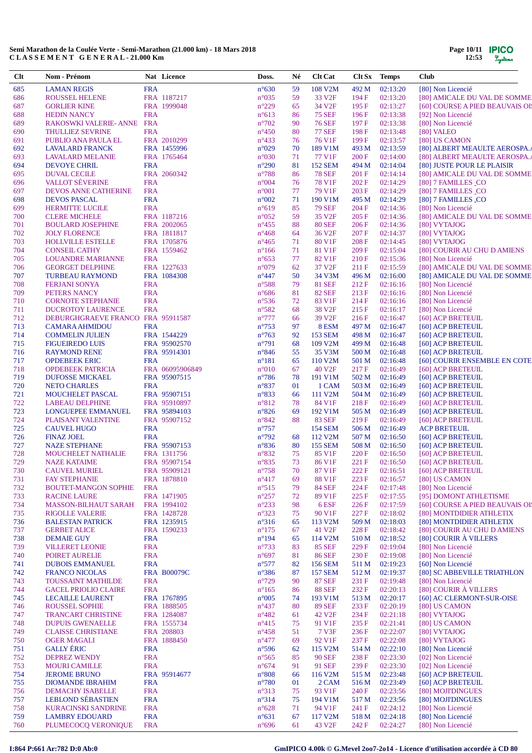| $Cl$       | Nom - Prénom                                          |                          | Nat Licence                  | Doss.                            | Né       | <b>Clt Cat</b>                  | Clt Sx         | <b>Temps</b>         | <b>Club</b>                                                  |
|------------|-------------------------------------------------------|--------------------------|------------------------------|----------------------------------|----------|---------------------------------|----------------|----------------------|--------------------------------------------------------------|
| 685        | <b>LAMAN REGIS</b>                                    | <b>FRA</b>               |                              | $n^{\circ}630$                   | 59       | 108 V2M                         | 492 M          | 02:13:20             | [80] Non Licencié                                            |
| 686        | <b>ROUSSEL HELENE</b>                                 |                          | FRA 1187217                  | $n^{\circ}035$                   | 59       | 33 V <sub>2F</sub>              | 194 F          | 02:13:20             | [80] AMICALE DU VAL DE SOMME                                 |
| 687        | <b>GORLIER KINE</b>                                   |                          | FRA 1999048                  | $n^{\circ}229$                   | 65       | 34 V <sub>2F</sub>              | 195 F          | 02:13:27             | [60] COURSE A PIED BEAUVAIS OI!                              |
| 688        | <b>HEDIN NANCY</b>                                    | <b>FRA</b>               |                              | $n^{\circ}613$                   | 86       | <b>75 SEF</b>                   | 196F           | 02:13:38             | [92] Non Licencié                                            |
| 689<br>690 | RAKOSWKI VALERIE- ANNE FRA<br><b>THULLIEZ SEVRINE</b> | <b>FRA</b>               |                              | $n^{\circ}702$<br>$n^{\circ}450$ | 90<br>80 | <b>76 SEF</b><br><b>77 SEF</b>  | 197 F<br>198F  | 02:13:38<br>02:13:48 | [80] Non Licencié<br>[80] VALEO                              |
| 691        | PUBLIO ANA PAULA EL                                   |                          | FRA 2010299                  | $n^{\circ}433$                   | 76       | 76 V1F                          | 199 F          | 02:13:57             | [80] US CAMON                                                |
| 692        | <b>LAVALARD FRANCK</b>                                |                          | FRA 1455996                  | $n^{\circ}029$                   | 70       | 189 V1M                         | 493 M          | 02:13:59             | [80] ALBERT MEAULTE AEROSPA.                                 |
| 693        | <b>LAVALARD MELANIE</b>                               |                          | FRA 1765464                  | $n^{\circ}030$                   | 71       | 77 V1F                          | 200F           | 02:14:00             | [80] ALBERT MEAULTE AEROSPA.                                 |
| 694        | <b>DEVOYE CHRIL</b>                                   | <b>FRA</b>               |                              | $n^{\circ}290$                   | 81       | <b>152 SEM</b>                  | 494 M          | 02:14:04             | [80] JUSTE POUR LE PLAISIR                                   |
| 695        | <b>DUVAL CECILE</b>                                   |                          | FRA 2060342                  | $n^{\circ}788$                   | 86       | <b>78 SEF</b>                   | 201 F          | 02:14:14             | [80] AMICALE DU VAL DE SOMME                                 |
| 696        | <b>VALLOT SÉVERINE</b>                                | <b>FRA</b>               |                              | $n^{\circ}004$                   | 76       | 78 V1F                          | 202 F          | 02:14:29             | [80] 7 FAMILLES CO                                           |
| 697        | DEVOS ANNE CATHERINE                                  | <b>FRA</b><br><b>FRA</b> |                              | $n^{\circ}001$<br>$n^{\circ}002$ | 77<br>71 | 79 V1F<br>190 V1M               | 203 F          | 02:14:29<br>02:14:29 | [80] 7 FAMILLES CO                                           |
| 698<br>699 | <b>DEVOS PASCAL</b><br><b>HERMITTE LUCILE</b>         | <b>FRA</b>               |                              | $n^{\circ}619$                   | 85       | <b>79 SEF</b>                   | 495 M<br>204 F | 02:14:36             | [80] 7 FAMILLES CO<br>[80] Non Licencié                      |
| 700        | <b>CLERE MICHELE</b>                                  |                          | FRA 1187216                  | $n^{\circ}052$                   | 59       | 35 V <sub>2F</sub>              | 205 F          | 02:14:36             | [80] AMICALE DU VAL DE SOMME                                 |
| 701        | <b>BOULARD JOSEPHINE</b>                              |                          | FRA 2002065                  | $n^{\circ}455$                   | 88       | <b>80 SEF</b>                   | 206 F          | 02:14:36             | [80] VYTAJOG                                                 |
| 702        | <b>JOLY FLORENCE</b>                                  |                          | FRA 1811817                  | $n^{\circ}468$                   | 64       | 36 V <sub>2F</sub>              | 207 F          | 02:14:37             | [80] VYTAJOG                                                 |
| 703        | HOLLVILLE ESTELLE                                     |                          | FRA 1705876                  | $n^{\circ}465$                   | 71       | 80 V1F                          | 208 F          | 02:14:45             | [80] VYTAJOG                                                 |
| 704        | <b>CONSEIL CATHY</b>                                  |                          | FRA 1559462                  | $n^{\circ}166$                   | 71       | 81 V1F                          | 209 F          | 02:15:04             | [80] COURIR AU CHU D AMIENS                                  |
| 705        | <b>LOUANDRE MARIANNE</b>                              | <b>FRA</b>               |                              | $n^{\circ}653$                   | 77       | 82 V1F                          | 210F           | 02:15:36             | [80] Non Licencié                                            |
| 706<br>707 | <b>GEORGET DELPHINE</b><br><b>TURBEAU RAYMOND</b>     |                          | FRA 1227633<br>FRA 1084308   | $n^{\circ}079$<br>$n^{\circ}447$ | 62<br>50 | 37 V <sub>2F</sub><br>34 V3M    | 211 F<br>496 M | 02:15:59<br>02:16:00 | [80] AMICALE DU VAL DE SOMME<br>[80] AMICALE DU VAL DE SOMME |
| 708        | <b>FERJANI SONYA</b>                                  | <b>FRA</b>               |                              | $n^{\circ}588$                   | 79       | <b>81 SEF</b>                   | 212F           | 02:16:16             | [80] Non Licencié                                            |
| 709        | PETERS NANCY                                          | <b>FRA</b>               |                              | $n^{\circ}686$                   | 81       | <b>82 SEF</b>                   | 213 F          | 02:16:16             | [80] Non Licencié                                            |
| 710        | <b>CORNOTE STEPHANIE</b>                              | <b>FRA</b>               |                              | $n^{\circ}$ 536                  | 72       | 83 V1F                          | 214F           | 02:16:16             | [80] Non Licencié                                            |
| 711        | <b>DUCROTOY LAURENCE</b>                              | <b>FRA</b>               |                              | $n^{\circ}582$                   | 68       | 38 V <sub>2F</sub>              | 215F           | 02:16:17             | [80] Non Licencié                                            |
| 712        | DEBURGHGRAEVE FRANCO. FRA 95911587                    |                          |                              | $n^{\circ}777$                   | 66       | 39 V <sub>2F</sub>              | 216F           | 02:16:47             | [60] ACP BRETEUIL                                            |
| 713        | <b>CAMARA AHMIDOU</b>                                 | <b>FRA</b>               |                              | $n^{\circ}753$                   | 97       | 8ESM                            | 497 M          | 02:16:47             | [60] ACP BRETEUIL                                            |
| 714        | <b>COMMELIN JULIEN</b>                                |                          | FRA 1544229                  | $n^{\circ}763$<br>$n^{\circ}791$ | 92       | 153 SEM<br>109 V2M              | 498 M          | 02:16:47             | [60] ACP BRETEUIL                                            |
| 715<br>716 | <b>FIGUEIREDO LUIS</b><br><b>RAYMOND RENE</b>         |                          | FRA 95902570<br>FRA 95914301 | $n^{\circ}846$                   | 68<br>55 | 35 V3M                          | 499 M<br>500 M | 02:16:48<br>02:16:48 | [60] ACP BRETEUIL<br>[60] ACP BRETEUIL                       |
| 717        | <b>OPDEBEEK ERIC</b>                                  | <b>FRA</b>               |                              | $n^{\circ}181$                   | 65       | 110 V2M                         | 501 M          | 02:16:48             | [60] COURIR ENSEMBLE EN COTE                                 |
| 718        | <b>OPDEBEEK PATRICIA</b>                              |                          | FRA 06095906849              | $n^{\circ}010$                   | 67       | 40 V <sub>2F</sub>              | 217 F          | 02:16:49             | [60] ACP BRETEUIL                                            |
| 719        | <b>DUFOSSE MICKAEL</b>                                |                          | FRA 95907515                 | $n^{\circ}786$                   | 78       | 191 V1M                         | 502 M          | 02:16:49             | [60] ACP BRETEUIL                                            |
| 720        | <b>NETO CHARLES</b>                                   | <b>FRA</b>               |                              | $n^{\circ}837$                   | 01       | 1 CAM                           | 503 M          | 02:16:49             | [60] ACP BRETEUIL                                            |
| 721        | MOUCHELET PASCAL                                      |                          | FRA 95907151                 | $n^{\circ}833$                   | 66       | 111 V2M                         | 504 M          | 02:16:49             | [60] ACP BRETEUIL                                            |
| 722        | <b>LABEAU DELPHINE</b>                                |                          | FRA 95910897                 | $n^{\circ}812$                   | 78       | 84 V1F                          | 218F           | 02:16:49             | [60] ACP BRETEUIL                                            |
| 723<br>724 | LONGUEPEE EMMANUEL                                    |                          | FRA 95894103<br>FRA 95907152 | $n^{\circ}826$<br>$n^{\circ}842$ | 69<br>88 | 192 V1M<br><b>83 SEF</b>        | 505 M<br>219F  | 02:16:49<br>02:16:49 | [60] ACP BRETEUIL                                            |
| 725        | PLAISANT VALENTINE<br><b>CAUVEL HUGO</b>              | <b>FRA</b>               |                              | $n^{\circ}757$                   |          | 154 SEM                         | 506 M          | 02:16:49             | [60] ACP BRETEUIL<br><b>ACP BRETEUIL</b>                     |
| 726        | <b>FINAZ JOEL</b>                                     | <b>FRA</b>               |                              | $n^{\circ}792$                   | 68       | 112 V <sub>2</sub> M            | 507 M          | 02:16:50             | [60] ACP BRETEUIL                                            |
| 727        | <b>NAZE STEPHANE</b>                                  |                          | FRA 95907153                 | $n^{\circ}836$                   | 80       | <b>155 SEM</b>                  | 508 M          | 02:16:50             | [60] ACP BRETEUIL                                            |
| 728        | MOUCHELET NATHALIE                                    |                          | FRA 1311756                  | $n^{\circ}832$                   | 75       | 85 V1F                          | 220 F          | 02:16:50             | [60] ACP BRETEUIL                                            |
| 729        | <b>NAZE KATAIME</b>                                   |                          | FRA 95907154                 | $n^{\circ}835$                   | 73       | 86 V1F                          | 221 F          | 02:16:50             | [60] ACP BRETEUIL                                            |
| 730        | <b>CAUVEL MURIEL</b>                                  |                          | FRA 95909121                 | $n^{\circ}758$                   | 70       | 87 V1F                          | 222 F          | 02:16:51             | [60] ACP BRETEUIL                                            |
| 731<br>732 | <b>FAY STEPHANIE</b>                                  |                          | FRA 1878810                  | $n^{\circ}417$<br>$n^{\circ}515$ | 69<br>79 | 88 V1F                          | 223 F          | 02:16:57             | [80] US CAMON<br>[80] Non Licencié                           |
| 733        | <b>BOUTET-MANGON SOPHIE</b><br><b>RACINE LAURE</b>    | <b>FRA</b>               | FRA 1471905                  | $n^{\circ}257$                   | 72       | <b>84 SEF</b><br>89 V1F         | 224 F<br>225 F | 02:17:48<br>02:17:55 | [95] DOMONT ATHLETISME                                       |
| 734        | <b>MASSON-BILHAUT SARAH</b>                           |                          | FRA 1994102                  | $n^{\circ}233$                   | 98       | 6 ESF                           | 226F           | 02:17:59             | [60] COURSE A PIED BEAUVAIS OI!                              |
| 735        | <b>RIGOLLE VALERIE</b>                                |                          | FRA 1428728                  | $n^{\circ}323$                   | 75       | 90 V1F                          | 227 F          | 02:18:02             | [80] MONTDIDIER ATHLETIX                                     |
| 736        | <b>BALESTAN PATRICK</b>                               |                          | FRA 1235915                  | $n^{\circ}316$                   | 65       | 113 V <sub>2</sub> M            | 509 M          | 02:18:03             | [80] MONTDIDIER ATHLETIX                                     |
| 737        | <b>GERBET ALICE</b>                                   |                          | FRA 1590233                  | $n^{\circ}175$                   | 67       | 41 V2F                          | 228 F          | 02:18:42             | [80] COURIR AU CHU D AMIENS                                  |
| 738        | <b>DEMAIE GUY</b>                                     | <b>FRA</b>               |                              | $n^{\circ}194$                   | 65       | 114 V2M                         | 510 M          | 02:18:52             | [80] COURIR À VILLERS                                        |
| 739        | <b>VILLERET LEONIE</b>                                | <b>FRA</b>               |                              | $n^{\circ}733$                   | 83       | <b>85 SEF</b>                   | 229F           | 02:19:04             | [80] Non Licencié                                            |
| 740<br>741 | POIRET AURELIE<br><b>DUBOIS EMMANUEL</b>              | <b>FRA</b><br><b>FRA</b> |                              | $n^{\circ}697$<br>$n^{\circ}577$ | 81<br>82 | <b>86 SEF</b><br><b>156 SEM</b> | 230 F<br>511 M | 02:19:08<br>02:19:23 | [80] Non Licencié<br>[60] Non Licencié                       |
| 742        | <b>FRANCO NICOLAS</b>                                 |                          | <b>FRA B00079C</b>           | $n^{\circ}386$                   | 87       | <b>157 SEM</b>                  | 512 M          | 02:19:37             | [80] SC ABBEVILLE TRIATHLON                                  |
| 743        | <b>TOUSSAINT MATHILDE</b>                             | <b>FRA</b>               |                              | $n^{\circ}729$                   | 90       | <b>87 SEF</b>                   | 231 F          | 02:19:48             | [80] Non Licencié                                            |
| 744        | <b>GACEL PRIOLIO CLAIRE</b>                           | <b>FRA</b>               |                              | $n^{\circ}165$                   | 86       | <b>88 SEF</b>                   | 232 F          | 02:20:13             | [80] COURIR À VILLERS                                        |
| 745        | <b>LECAILLE LAURENT</b>                               |                          | FRA 1767895                  | $n^{\circ}005$                   | 74       | 193 V1M                         | 513 M          | 02:20:17             | [60] AC CLERMONT-SUR-OISE                                    |
| 746        | <b>ROUSSEL SOPHIE</b>                                 |                          | FRA 1888505                  | $n^{\circ}437$                   | 80       | <b>89 SEF</b>                   | 233 F          | 02:20:19             | [80] US CAMON                                                |
| 747        | <b>TRANCART CHRISTINE</b>                             |                          | FRA 1284087                  | $n^{\circ}482$                   | 61       | 42 V <sub>2F</sub>              | 234 F          | 02:21:18             | [80] VYTAJOG                                                 |
| 748        | <b>DUPUIS GWENAELLE</b>                               |                          | FRA 1555734                  | $n^{\circ}415$                   | 75       | 91 V1F                          | 235 F          | 02:21:41             | [80] US CAMON                                                |
| 749<br>750 | <b>CLAISSE CHRISTIANE</b><br><b>OGER MAGALI</b>       |                          | FRA 208803<br>FRA 1888450    | $n^{\circ}458$<br>$n^{\circ}477$ | 51<br>69 | 7 V3F<br>92 V1F                 | 236F<br>237 F  | 02:22:07<br>02:22:08 | [80] VYTAJOG<br>[80] VYTAJOG                                 |
| 751        | <b>GALLY ÉRIC</b>                                     | <b>FRA</b>               |                              | $n^{\circ}$ 596                  | 62       | 115 V <sub>2</sub> M            | 514 M          | 02:22:10             | [80] Non Licencié                                            |
| 752        | <b>DEPREZ WENDY</b>                                   | <b>FRA</b>               |                              | $n^{\circ}565$                   | 85       | <b>90 SEF</b>                   | 238 F          | 02:23:30             | [02] Non Licencié                                            |
| 753        | <b>MOURI CAMILLE</b>                                  | <b>FRA</b>               |                              | $n^{\circ}674$                   | 91       | 91 SEF                          | 239F           | 02:23:30             | [02] Non Licencié                                            |
| 754        | <b>JEROME BRUNO</b>                                   |                          | FRA 95914677                 | $n^{\circ}808$                   | 66       | 116 V2M                         | 515 M          | 02:23:48             | [60] ACP BRETEUIL                                            |
| 755        | <b>DIOMANDE IBRAHIM</b>                               | <b>FRA</b>               |                              | $n^{\circ}780$                   | 01       | 2 CAM                           | 516 M          | 02:23:49             | [60] ACP BRETEUIL                                            |
| 756        | <b>DEMACHY ISABELLE</b>                               | <b>FRA</b>               |                              | $n^{\circ}313$                   | 75       | 93 V1F                          | 240 F          | 02:23:56             | [80] MOJI'DINGUES                                            |
| 757        | <b>LEBLOND SÉBASTIEN</b>                              | <b>FRA</b>               |                              | $n^{\circ}314$                   | 75       | 194 V1M                         | 517 M          | 02:23:56             | [80] MOJI'DINGUES                                            |
| 758<br>759 | <b>KURACINSKI SANDRINE</b><br><b>LAMBRY EDOUARD</b>   | <b>FRA</b><br><b>FRA</b> |                              | $n^{\circ}628$<br>$n^{\circ}631$ | 71<br>67 | 94 V1F<br>117 V2M               | 241 F<br>518 M | 02:24:12<br>02:24:18 | [80] Non Licencié<br>[80] Non Licencié                       |
| 760        | PLUMECOCQ VERONIQUE                                   | <b>FRA</b>               |                              | $n^{\circ}696$                   | 61       | 43 V <sub>2F</sub>              | 242 F          | 02:24:27             | [80] Non Licencié                                            |
|            |                                                       |                          |                              |                                  |          |                                 |                |                      |                                                              |